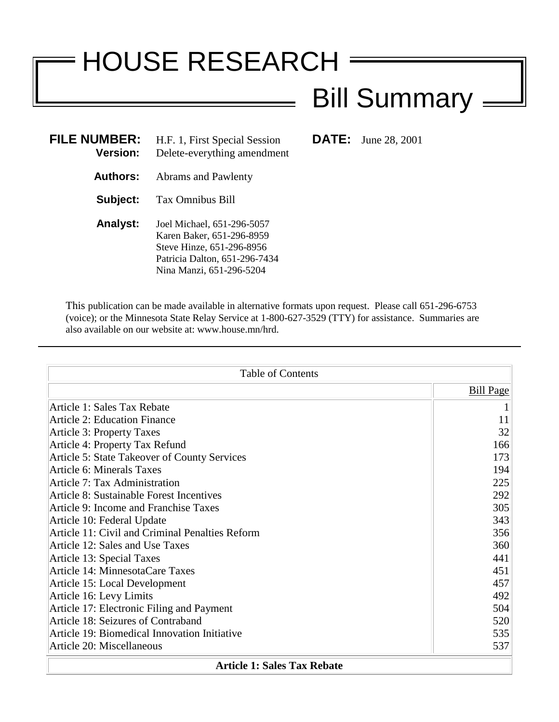# HOUSE RESEARCH

## Bill Summary =

**FILMBER:** June 28, 2001

| <b>FILE NUMBER:</b><br><b>Version:</b> | H.F. 1, First Special Session<br>Delete-everything amendment                                                                                      |
|----------------------------------------|---------------------------------------------------------------------------------------------------------------------------------------------------|
| <b>Authors:</b>                        | Abrams and Pawlenty                                                                                                                               |
| Subject:                               | Tax Omnibus Bill                                                                                                                                  |
| <b>Analyst:</b>                        | Joel Michael, 651-296-5057<br>Karen Baker, 651-296-8959<br>Steve Hinze, 651-296-8956<br>Patricia Dalton, 651-296-7434<br>Nina Manzi, 651-296-5204 |

This publication can be made available in alternative formats upon request. Please call 651-296-6753 (voice); or the Minnesota State Relay Service at 1-800-627-3529 (TTY) for assistance. Summaries are also available on our website at: www.house.mn/hrd.

| <b>Table of Contents</b>                        |                  |
|-------------------------------------------------|------------------|
|                                                 | <b>Bill Page</b> |
| Article 1: Sales Tax Rebate                     |                  |
| <b>Article 2: Education Finance</b>             | 11               |
| Article 3: Property Taxes                       | 32               |
| Article 4: Property Tax Refund                  | 166              |
| Article 5: State Takeover of County Services    | 173              |
| <b>Article 6: Minerals Taxes</b>                | 194              |
| Article 7: Tax Administration                   | 225              |
| Article 8: Sustainable Forest Incentives        | 292              |
| Article 9: Income and Franchise Taxes           | 305              |
| Article 10: Federal Update                      | 343              |
| Article 11: Civil and Criminal Penalties Reform | 356              |
| Article 12: Sales and Use Taxes                 | 360              |
| Article 13: Special Taxes                       | 441              |
| Article 14: MinnesotaCare Taxes                 | 451              |
| Article 15: Local Development                   | 457              |
| Article 16: Levy Limits                         | 492              |
| Article 17: Electronic Filing and Payment       | 504              |
| Article 18: Seizures of Contraband              | 520              |
| Article 19: Biomedical Innovation Initiative    | 535              |
| Article 20: Miscellaneous                       | 537              |
| <b>Article 1: Sales Tax Rebate</b>              |                  |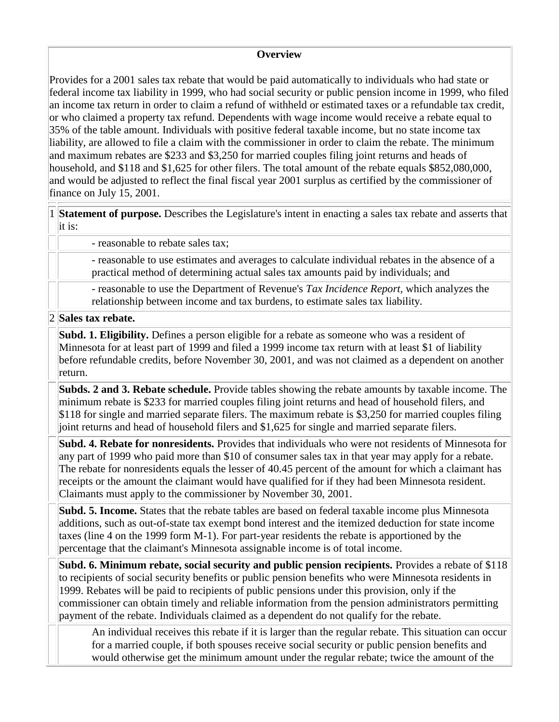#### **Overview**

Provides for a 2001 sales tax rebate that would be paid automatically to individuals who had state or federal income tax liability in 1999, who had social security or public pension income in 1999, who filed an income tax return in order to claim a refund of withheld or estimated taxes or a refundable tax credit, or who claimed a property tax refund. Dependents with wage income would receive a rebate equal to 35% of the table amount. Individuals with positive federal taxable income, but no state income tax liability, are allowed to file a claim with the commissioner in order to claim the rebate. The minimum and maximum rebates are \$233 and \$3,250 for married couples filing joint returns and heads of household, and \$118 and \$1,625 for other filers. The total amount of the rebate equals \$852,080,000, and would be adjusted to reflect the final fiscal year 2001 surplus as certified by the commissioner of finance on July 15, 2001.

1 **Statement of purpose.** Describes the Legislature's intent in enacting a sales tax rebate and asserts that it is:

- reasonable to rebate sales tax;

- reasonable to use estimates and averages to calculate individual rebates in the absence of a practical method of determining actual sales tax amounts paid by individuals; and

- reasonable to use the Department of Revenue's *Tax Incidence Report,* which analyzes the relationship between income and tax burdens, to estimate sales tax liability.

2 **Sales tax rebate.**

**Subd. 1. Eligibility.** Defines a person eligible for a rebate as someone who was a resident of Minnesota for at least part of 1999 and filed a 1999 income tax return with at least \$1 of liability before refundable credits, before November 30, 2001, and was not claimed as a dependent on another return.

**Subds. 2 and 3. Rebate schedule.** Provide tables showing the rebate amounts by taxable income. The minimum rebate is \$233 for married couples filing joint returns and head of household filers, and \$118 for single and married separate filers. The maximum rebate is \$3,250 for married couples filing joint returns and head of household filers and \$1,625 for single and married separate filers.

**Subd. 4. Rebate for nonresidents.** Provides that individuals who were not residents of Minnesota for any part of 1999 who paid more than \$10 of consumer sales tax in that year may apply for a rebate. The rebate for nonresidents equals the lesser of 40.45 percent of the amount for which a claimant has receipts or the amount the claimant would have qualified for if they had been Minnesota resident. Claimants must apply to the commissioner by November 30, 2001.

**Subd. 5. Income.** States that the rebate tables are based on federal taxable income plus Minnesota additions, such as out-of-state tax exempt bond interest and the itemized deduction for state income taxes (line 4 on the 1999 form M-1). For part-year residents the rebate is apportioned by the percentage that the claimant's Minnesota assignable income is of total income.

**Subd. 6. Minimum rebate, social security and public pension recipients.** Provides a rebate of \$118 to recipients of social security benefits or public pension benefits who were Minnesota residents in 1999. Rebates will be paid to recipients of public pensions under this provision, only if the commissioner can obtain timely and reliable information from the pension administrators permitting payment of the rebate. Individuals claimed as a dependent do not qualify for the rebate.

An individual receives this rebate if it is larger than the regular rebate. This situation can occur for a married couple, if both spouses receive social security or public pension benefits and would otherwise get the minimum amount under the regular rebate; twice the amount of the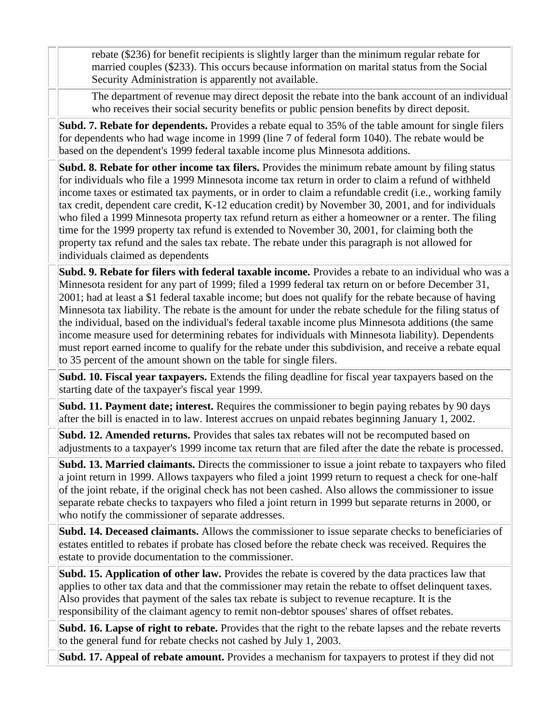rebate (\$236) for benefit recipients is slightly larger than the minimum regular rebate for married couples (\$233). This occurs because information on marital status from the Social Security Administration is apparently not available.

The department of revenue may direct deposit the rebate into the bank account of an individual who receives their social security benefits or public pension benefits by direct deposit.

**Subd. 7. Rebate for dependents.** Provides a rebate equal to 35% of the table amount for single filers for dependents who had wage income in 1999 (line 7 of federal form 1040). The rebate would be based on the dependent's 1999 federal taxable income plus Minnesota additions.

**Subd. 8. Rebate for other income tax filers.** Provides the minimum rebate amount by filing status for individuals who file a 1999 Minnesota income tax return in order to claim a refund of withheld income taxes or estimated tax payments, or in order to claim a refundable credit (i.e., working family tax credit, dependent care credit, K-12 education credit) by November 30, 2001, and for individuals who filed a 1999 Minnesota property tax refund return as either a homeowner or a renter. The filing time for the 1999 property tax refund is extended to November 30, 2001, for claiming both the property tax refund and the sales tax rebate. The rebate under this paragraph is not allowed for individuals claimed as dependents

**Subd. 9. Rebate for filers with federal taxable income.** Provides a rebate to an individual who was a Minnesota resident for any part of 1999; filed a 1999 federal tax return on or before December 31, 2001; had at least a \$1 federal taxable income; but does not qualify for the rebate because of having Minnesota tax liability. The rebate is the amount for under the rebate schedule for the filing status of the individual, based on the individual's federal taxable income plus Minnesota additions (the same income measure used for determining rebates for individuals with Minnesota liability). Dependents must report earned income to qualify for the rebate under this subdivision, and receive a rebate equal to 35 percent of the amount shown on the table for single filers.

**Subd. 10. Fiscal year taxpayers.** Extends the filing deadline for fiscal year taxpayers based on the starting date of the taxpayer's fiscal year 1999.

**Subd. 11. Payment date; interest.** Requires the commissioner to begin paying rebates by 90 days after the bill is enacted in to law. Interest accrues on unpaid rebates beginning January 1, 2002.

**Subd. 12. Amended returns.** Provides that sales tax rebates will not be recomputed based on adjustments to a taxpayer's 1999 income tax return that are filed after the date the rebate is processed.

**Subd. 13. Married claimants.** Directs the commissioner to issue a joint rebate to taxpayers who filed a joint return in 1999. Allows taxpayers who filed a joint 1999 return to request a check for one-half of the joint rebate, if the original check has not been cashed. Also allows the commissioner to issue separate rebate checks to taxpayers who filed a joint return in 1999 but separate returns in 2000, or who notify the commissioner of separate addresses.

**Subd. 14. Deceased claimants.** Allows the commissioner to issue separate checks to beneficiaries of estates entitled to rebates if probate has closed before the rebate check was received. Requires the estate to provide documentation to the commissioner.

**Subd. 15. Application of other law.** Provides the rebate is covered by the data practices law that applies to other tax data and that the commissioner may retain the rebate to offset delinquent taxes. Also provides that payment of the sales tax rebate is subject to revenue recapture. It is the responsibility of the claimant agency to remit non-debtor spouses' shares of offset rebates.

**Subd. 16. Lapse of right to rebate.** Provides that the right to the rebate lapses and the rebate reverts to the general fund for rebate checks not cashed by July 1, 2003.

**Subd. 17. Appeal of rebate amount.** Provides a mechanism for taxpayers to protest if they did not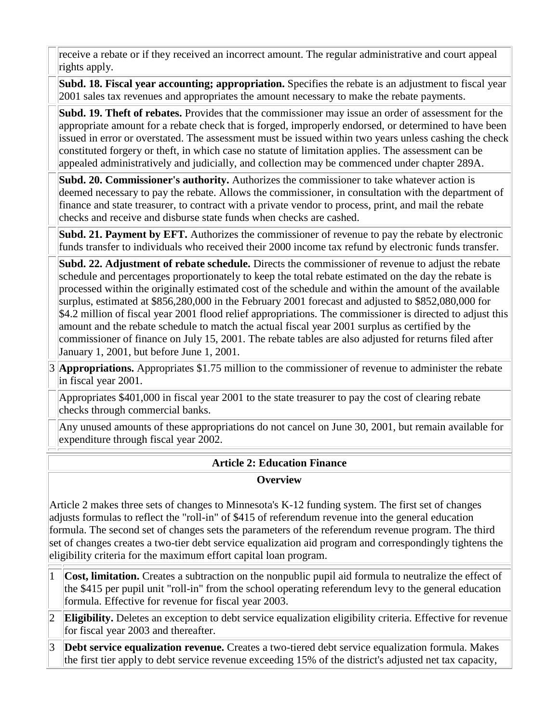receive a rebate or if they received an incorrect amount. The regular administrative and court appeal rights apply.

**Subd. 18. Fiscal year accounting; appropriation.** Specifies the rebate is an adjustment to fiscal year 2001 sales tax revenues and appropriates the amount necessary to make the rebate payments.

**Subd. 19. Theft of rebates.** Provides that the commissioner may issue an order of assessment for the appropriate amount for a rebate check that is forged, improperly endorsed, or determined to have been issued in error or overstated. The assessment must be issued within two years unless cashing the check constituted forgery or theft, in which case no statute of limitation applies. The assessment can be appealed administratively and judicially, and collection may be commenced under chapter 289A.

**Subd. 20. Commissioner's authority.** Authorizes the commissioner to take whatever action is deemed necessary to pay the rebate. Allows the commissioner, in consultation with the department of finance and state treasurer, to contract with a private vendor to process, print, and mail the rebate checks and receive and disburse state funds when checks are cashed.

**Subd. 21. Payment by EFT.** Authorizes the commissioner of revenue to pay the rebate by electronic funds transfer to individuals who received their 2000 income tax refund by electronic funds transfer.

**Subd. 22. Adjustment of rebate schedule.** Directs the commissioner of revenue to adjust the rebate schedule and percentages proportionately to keep the total rebate estimated on the day the rebate is processed within the originally estimated cost of the schedule and within the amount of the available surplus, estimated at \$856,280,000 in the February 2001 forecast and adjusted to \$852,080,000 for \$4.2 million of fiscal year 2001 flood relief appropriations. The commissioner is directed to adjust this amount and the rebate schedule to match the actual fiscal year 2001 surplus as certified by the commissioner of finance on July 15, 2001. The rebate tables are also adjusted for returns filed after January 1, 2001, but before June 1, 2001.

3 **Appropriations.** Appropriates \$1.75 million to the commissioner of revenue to administer the rebate in fiscal year 2001.

Appropriates \$401,000 in fiscal year 2001 to the state treasurer to pay the cost of clearing rebate checks through commercial banks.

Any unused amounts of these appropriations do not cancel on June 30, 2001, but remain available for expenditure through fiscal year 2002.

## **Article 2: Education Finance**

#### **Overview**

Article 2 makes three sets of changes to Minnesota's K-12 funding system. The first set of changes adjusts formulas to reflect the "roll-in" of \$415 of referendum revenue into the general education formula. The second set of changes sets the parameters of the referendum revenue program. The third set of changes creates a two-tier debt service equalization aid program and correspondingly tightens the eligibility criteria for the maximum effort capital loan program.

- 1 **Cost, limitation.** Creates a subtraction on the nonpublic pupil aid formula to neutralize the effect of the \$415 per pupil unit "roll-in" from the school operating referendum levy to the general education formula. Effective for revenue for fiscal year 2003.
- 2 **Eligibility.** Deletes an exception to debt service equalization eligibility criteria. Effective for revenue for fiscal year 2003 and thereafter.
- 3 **Debt service equalization revenue.** Creates a two-tiered debt service equalization formula. Makes the first tier apply to debt service revenue exceeding 15% of the district's adjusted net tax capacity,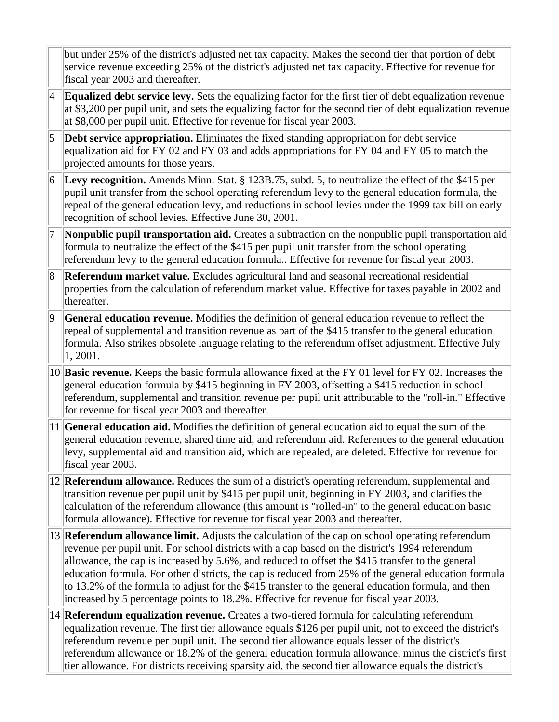| but under 25% of the district's adjusted net tax capacity. Makes the second tier that portion of debt |
|-------------------------------------------------------------------------------------------------------|
| service revenue exceeding 25% of the district's adjusted net tax capacity. Effective for revenue for  |
| fiscal year 2003 and thereafter.                                                                      |

- 4 **Equalized debt service levy.** Sets the equalizing factor for the first tier of debt equalization revenue at \$3,200 per pupil unit, and sets the equalizing factor for the second tier of debt equalization revenue at \$8,000 per pupil unit. Effective for revenue for fiscal year 2003.
- 5 **Debt service appropriation.** Eliminates the fixed standing appropriation for debt service equalization aid for FY 02 and FY 03 and adds appropriations for FY 04 and FY 05 to match the projected amounts for those years.
- 6 **Levy recognition.** Amends Minn. Stat. § 123B.75, subd. 5, to neutralize the effect of the \$415 per pupil unit transfer from the school operating referendum levy to the general education formula, the repeal of the general education levy, and reductions in school levies under the 1999 tax bill on early recognition of school levies. Effective June 30, 2001.
- 7 **Nonpublic pupil transportation aid.** Creates a subtraction on the nonpublic pupil transportation aid formula to neutralize the effect of the \$415 per pupil unit transfer from the school operating referendum levy to the general education formula.. Effective for revenue for fiscal year 2003.
- 8 **Referendum market value.** Excludes agricultural land and seasonal recreational residential properties from the calculation of referendum market value. Effective for taxes payable in 2002 and thereafter.
- 9 **General education revenue.** Modifies the definition of general education revenue to reflect the repeal of supplemental and transition revenue as part of the \$415 transfer to the general education formula. Also strikes obsolete language relating to the referendum offset adjustment. Effective July 1, 2001.
- 10 **Basic revenue.** Keeps the basic formula allowance fixed at the FY 01 level for FY 02. Increases the general education formula by \$415 beginning in FY 2003, offsetting a \$415 reduction in school referendum, supplemental and transition revenue per pupil unit attributable to the "roll-in." Effective for revenue for fiscal year 2003 and thereafter.
- 11 **General education aid.** Modifies the definition of general education aid to equal the sum of the general education revenue, shared time aid, and referendum aid. References to the general education levy, supplemental aid and transition aid, which are repealed, are deleted. Effective for revenue for fiscal year 2003.
- 12 **Referendum allowance.** Reduces the sum of a district's operating referendum, supplemental and transition revenue per pupil unit by \$415 per pupil unit, beginning in FY 2003, and clarifies the calculation of the referendum allowance (this amount is "rolled-in" to the general education basic formula allowance). Effective for revenue for fiscal year 2003 and thereafter.
- 13 **Referendum allowance limit.** Adjusts the calculation of the cap on school operating referendum revenue per pupil unit. For school districts with a cap based on the district's 1994 referendum allowance, the cap is increased by 5.6%, and reduced to offset the \$415 transfer to the general education formula. For other districts, the cap is reduced from 25% of the general education formula to 13.2% of the formula to adjust for the \$415 transfer to the general education formula, and then increased by 5 percentage points to 18.2%. Effective for revenue for fiscal year 2003.
- 14 **Referendum equalization revenue.** Creates a two-tiered formula for calculating referendum equalization revenue. The first tier allowance equals \$126 per pupil unit, not to exceed the district's referendum revenue per pupil unit. The second tier allowance equals lesser of the district's referendum allowance or 18.2% of the general education formula allowance, minus the district's first tier allowance. For districts receiving sparsity aid, the second tier allowance equals the district's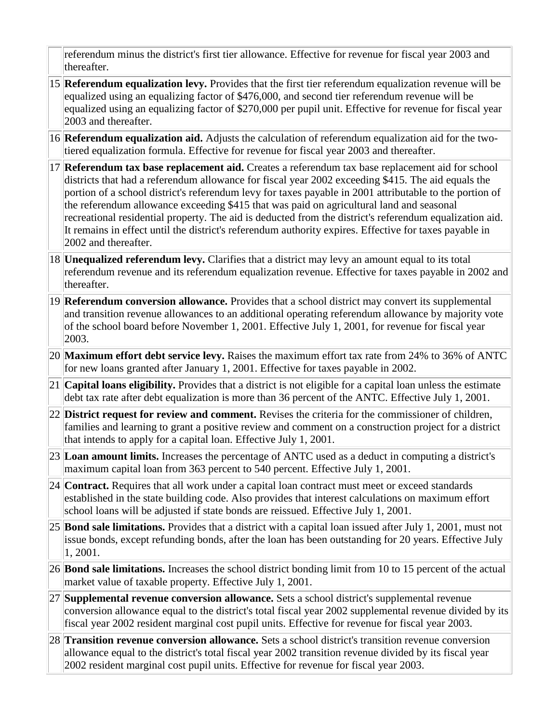referendum minus the district's first tier allowance. Effective for revenue for fiscal year 2003 and thereafter.

- 15 **Referendum equalization levy.** Provides that the first tier referendum equalization revenue will be equalized using an equalizing factor of \$476,000, and second tier referendum revenue will be equalized using an equalizing factor of \$270,000 per pupil unit. Effective for revenue for fiscal year 2003 and thereafter.
- 16 **Referendum equalization aid.** Adjusts the calculation of referendum equalization aid for the twotiered equalization formula. Effective for revenue for fiscal year 2003 and thereafter.
- 17 **Referendum tax base replacement aid.** Creates a referendum tax base replacement aid for school districts that had a referendum allowance for fiscal year 2002 exceeding \$415. The aid equals the portion of a school district's referendum levy for taxes payable in 2001 attributable to the portion of the referendum allowance exceeding \$415 that was paid on agricultural land and seasonal recreational residential property. The aid is deducted from the district's referendum equalization aid. It remains in effect until the district's referendum authority expires. Effective for taxes payable in 2002 and thereafter.
- 18 **Unequalized referendum levy.** Clarifies that a district may levy an amount equal to its total referendum revenue and its referendum equalization revenue. Effective for taxes payable in 2002 and thereafter.
- 19 **Referendum conversion allowance.** Provides that a school district may convert its supplemental and transition revenue allowances to an additional operating referendum allowance by majority vote of the school board before November 1, 2001. Effective July 1, 2001, for revenue for fiscal year 2003.
- 20 **Maximum effort debt service levy.** Raises the maximum effort tax rate from 24% to 36% of ANTC for new loans granted after January 1, 2001. Effective for taxes payable in 2002.
- 21 **Capital loans eligibility.** Provides that a district is not eligible for a capital loan unless the estimate debt tax rate after debt equalization is more than 36 percent of the ANTC. Effective July 1, 2001.
- 22 **District request for review and comment.** Revises the criteria for the commissioner of children, families and learning to grant a positive review and comment on a construction project for a district that intends to apply for a capital loan. Effective July 1, 2001.
- 23 **Loan amount limits.** Increases the percentage of ANTC used as a deduct in computing a district's maximum capital loan from 363 percent to 540 percent. Effective July 1, 2001.
- 24 **Contract.** Requires that all work under a capital loan contract must meet or exceed standards established in the state building code. Also provides that interest calculations on maximum effort school loans will be adjusted if state bonds are reissued. Effective July 1, 2001.
- 25 **Bond sale limitations.** Provides that a district with a capital loan issued after July 1, 2001, must not issue bonds, except refunding bonds, after the loan has been outstanding for 20 years. Effective July 1, 2001.
- 26 **Bond sale limitations.** Increases the school district bonding limit from 10 to 15 percent of the actual market value of taxable property. Effective July 1, 2001.
- 27 **Supplemental revenue conversion allowance.** Sets a school district's supplemental revenue conversion allowance equal to the district's total fiscal year 2002 supplemental revenue divided by its fiscal year 2002 resident marginal cost pupil units. Effective for revenue for fiscal year 2003.
- 28 **Transition revenue conversion allowance.** Sets a school district's transition revenue conversion allowance equal to the district's total fiscal year 2002 transition revenue divided by its fiscal year 2002 resident marginal cost pupil units. Effective for revenue for fiscal year 2003.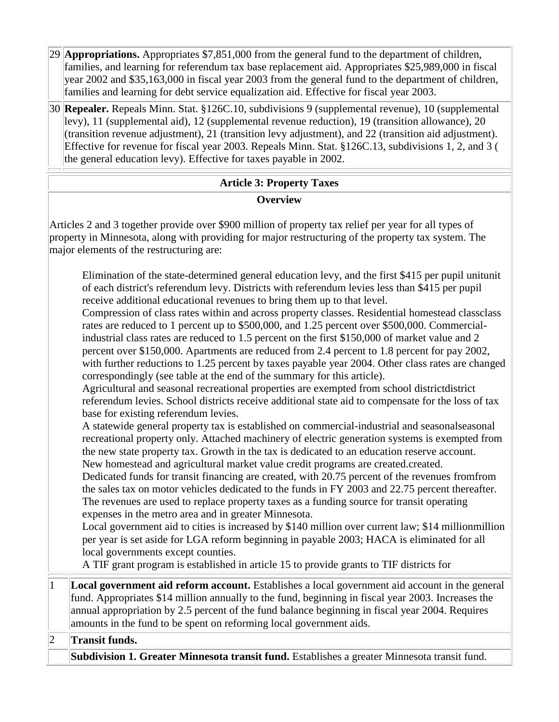29 **Appropriations.** Appropriates \$7,851,000 from the general fund to the department of children, families, and learning for referendum tax base replacement aid. Appropriates \$25,989,000 in fiscal year 2002 and \$35,163,000 in fiscal year 2003 from the general fund to the department of children, families and learning for debt service equalization aid. Effective for fiscal year 2003.

30 **Repealer.** Repeals Minn. Stat. §126C.10, subdivisions 9 (supplemental revenue), 10 (supplemental levy), 11 (supplemental aid), 12 (supplemental revenue reduction), 19 (transition allowance), 20 (transition revenue adjustment), 21 (transition levy adjustment), and 22 (transition aid adjustment). Effective for revenue for fiscal year 2003. Repeals Minn. Stat. §126C.13, subdivisions 1, 2, and 3 ( the general education levy). Effective for taxes payable in 2002.

## **Article 3: Property Taxes Overview**

Articles 2 and 3 together provide over \$900 million of property tax relief per year for all types of property in Minnesota, along with providing for major restructuring of the property tax system. The major elements of the restructuring are:

Elimination of the state-determined general education levy, and the first \$415 per pupil unitunit of each district's referendum levy. Districts with referendum levies less than \$415 per pupil receive additional educational revenues to bring them up to that level.

Compression of class rates within and across property classes. Residential homestead classclass rates are reduced to 1 percent up to \$500,000, and 1.25 percent over \$500,000. Commercialindustrial class rates are reduced to 1.5 percent on the first \$150,000 of market value and 2 percent over \$150,000. Apartments are reduced from 2.4 percent to 1.8 percent for pay 2002, with further reductions to 1.25 percent by taxes payable year 2004. Other class rates are changed correspondingly (see table at the end of the summary for this article).

Agricultural and seasonal recreational properties are exempted from school districtdistrict referendum levies. School districts receive additional state aid to compensate for the loss of tax base for existing referendum levies.

A statewide general property tax is established on commercial-industrial and seasonalseasonal recreational property only. Attached machinery of electric generation systems is exempted from the new state property tax. Growth in the tax is dedicated to an education reserve account. New homestead and agricultural market value credit programs are created.created.

Dedicated funds for transit financing are created, with 20.75 percent of the revenues fromfrom the sales tax on motor vehicles dedicated to the funds in FY 2003 and 22.75 percent thereafter. The revenues are used to replace property taxes as a funding source for transit operating expenses in the metro area and in greater Minnesota.

Local government aid to cities is increased by \$140 million over current law; \$14 millionmillion per year is set aside for LGA reform beginning in payable 2003; HACA is eliminated for all local governments except counties.

A TIF grant program is established in article 15 to provide grants to TIF districts for

1 **Local government aid reform account.** Establishes a local government aid account in the general fund. Appropriates \$14 million annually to the fund, beginning in fiscal year 2003. Increases the annual appropriation by 2.5 percent of the fund balance beginning in fiscal year 2004. Requires amounts in the fund to be spent on reforming local government aids.

2 **Transit funds.**

**Subdivision 1. Greater Minnesota transit fund.** Establishes a greater Minnesota transit fund.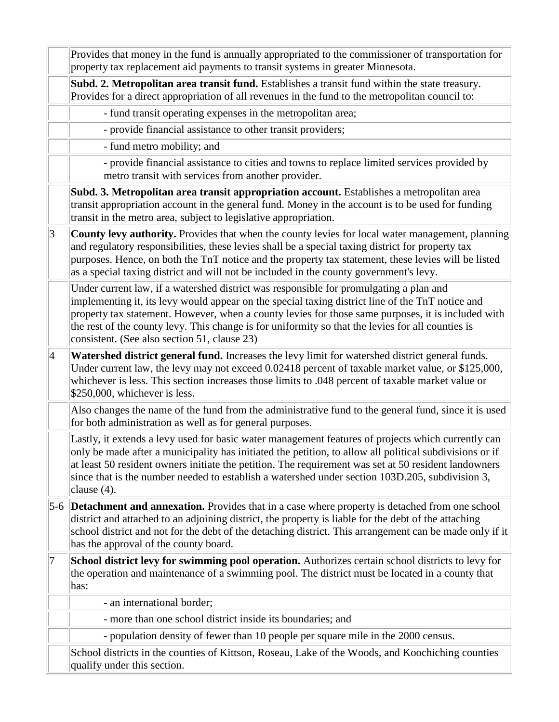|                 | Provides that money in the fund is annually appropriated to the commissioner of transportation for<br>property tax replacement aid payments to transit systems in greater Minnesota.                                                                                                                                                                                                                                                                  |
|-----------------|-------------------------------------------------------------------------------------------------------------------------------------------------------------------------------------------------------------------------------------------------------------------------------------------------------------------------------------------------------------------------------------------------------------------------------------------------------|
|                 | Subd. 2. Metropolitan area transit fund. Establishes a transit fund within the state treasury.<br>Provides for a direct appropriation of all revenues in the fund to the metropolitan council to:                                                                                                                                                                                                                                                     |
|                 | - fund transit operating expenses in the metropolitan area;                                                                                                                                                                                                                                                                                                                                                                                           |
|                 | - provide financial assistance to other transit providers;                                                                                                                                                                                                                                                                                                                                                                                            |
|                 | - fund metro mobility; and                                                                                                                                                                                                                                                                                                                                                                                                                            |
|                 | - provide financial assistance to cities and towns to replace limited services provided by<br>metro transit with services from another provider.                                                                                                                                                                                                                                                                                                      |
|                 | Subd. 3. Metropolitan area transit appropriation account. Establishes a metropolitan area<br>transit appropriation account in the general fund. Money in the account is to be used for funding<br>transit in the metro area, subject to legislative appropriation.                                                                                                                                                                                    |
| 3               | <b>County levy authority.</b> Provides that when the county levies for local water management, planning<br>and regulatory responsibilities, these levies shall be a special taxing district for property tax<br>purposes. Hence, on both the TnT notice and the property tax statement, these levies will be listed<br>as a special taxing district and will not be included in the county government's levy.                                         |
|                 | Under current law, if a watershed district was responsible for promulgating a plan and<br>implementing it, its levy would appear on the special taxing district line of the TnT notice and<br>property tax statement. However, when a county levies for those same purposes, it is included with<br>the rest of the county levy. This change is for uniformity so that the levies for all counties is<br>consistent. (See also section 51, clause 23) |
| $\vert 4 \vert$ | Watershed district general fund. Increases the levy limit for watershed district general funds.<br>Under current law, the levy may not exceed 0.02418 percent of taxable market value, or \$125,000,<br>whichever is less. This section increases those limits to .048 percent of taxable market value or<br>\$250,000, whichever is less.                                                                                                            |
|                 | Also changes the name of the fund from the administrative fund to the general fund, since it is used<br>for both administration as well as for general purposes.                                                                                                                                                                                                                                                                                      |
|                 | Lastly, it extends a levy used for basic water management features of projects which currently can<br>only be made after a municipality has initiated the petition, to allow all political subdivisions or if<br>at least 50 resident owners initiate the petition. The requirement was set at 50 resident landowners<br>since that is the number needed to establish a watershed under section 103D.205, subdivision 3,<br>clause $(4)$ .            |
|                 | 5-6 <b>Detachment and annexation.</b> Provides that in a case where property is detached from one school<br>district and attached to an adjoining district, the property is liable for the debt of the attaching<br>school district and not for the debt of the detaching district. This arrangement can be made only if it<br>has the approval of the county board.                                                                                  |
| 7               | School district levy for swimming pool operation. Authorizes certain school districts to levy for<br>the operation and maintenance of a swimming pool. The district must be located in a county that<br>has:                                                                                                                                                                                                                                          |
|                 | - an international border;                                                                                                                                                                                                                                                                                                                                                                                                                            |
|                 | - more than one school district inside its boundaries; and                                                                                                                                                                                                                                                                                                                                                                                            |
|                 | - population density of fewer than 10 people per square mile in the 2000 census.                                                                                                                                                                                                                                                                                                                                                                      |
|                 | School districts in the counties of Kittson, Roseau, Lake of the Woods, and Koochiching counties<br>qualify under this section.                                                                                                                                                                                                                                                                                                                       |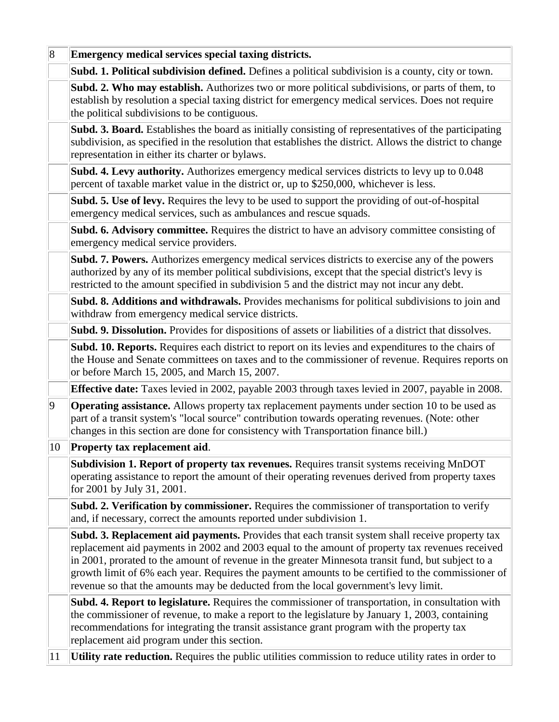| $\vert 8 \vert$ | Emergency medical services special taxing districts.                                                                                                                                                                                                                                                                                                                                                                                                                                                 |
|-----------------|------------------------------------------------------------------------------------------------------------------------------------------------------------------------------------------------------------------------------------------------------------------------------------------------------------------------------------------------------------------------------------------------------------------------------------------------------------------------------------------------------|
|                 | Subd. 1. Political subdivision defined. Defines a political subdivision is a county, city or town.                                                                                                                                                                                                                                                                                                                                                                                                   |
|                 | Subd. 2. Who may establish. Authorizes two or more political subdivisions, or parts of them, to<br>establish by resolution a special taxing district for emergency medical services. Does not require<br>the political subdivisions to be contiguous.                                                                                                                                                                                                                                                |
|                 | Subd. 3. Board. Establishes the board as initially consisting of representatives of the participating<br>subdivision, as specified in the resolution that establishes the district. Allows the district to change<br>representation in either its charter or bylaws.                                                                                                                                                                                                                                 |
|                 | Subd. 4. Levy authority. Authorizes emergency medical services districts to levy up to 0.048<br>percent of taxable market value in the district or, up to \$250,000, whichever is less.                                                                                                                                                                                                                                                                                                              |
|                 | Subd. 5. Use of levy. Requires the levy to be used to support the providing of out-of-hospital<br>emergency medical services, such as ambulances and rescue squads.                                                                                                                                                                                                                                                                                                                                  |
|                 | Subd. 6. Advisory committee. Requires the district to have an advisory committee consisting of<br>emergency medical service providers.                                                                                                                                                                                                                                                                                                                                                               |
|                 | <b>Subd. 7. Powers.</b> Authorizes emergency medical services districts to exercise any of the powers<br>authorized by any of its member political subdivisions, except that the special district's levy is<br>restricted to the amount specified in subdivision 5 and the district may not incur any debt.                                                                                                                                                                                          |
|                 | Subd. 8. Additions and withdrawals. Provides mechanisms for political subdivisions to join and<br>withdraw from emergency medical service districts.                                                                                                                                                                                                                                                                                                                                                 |
|                 | Subd. 9. Dissolution. Provides for dispositions of assets or liabilities of a district that dissolves.                                                                                                                                                                                                                                                                                                                                                                                               |
|                 | Subd. 10. Reports. Requires each district to report on its levies and expenditures to the chairs of<br>the House and Senate committees on taxes and to the commissioner of revenue. Requires reports on<br>or before March 15, 2005, and March 15, 2007.                                                                                                                                                                                                                                             |
|                 | Effective date: Taxes levied in 2002, payable 2003 through taxes levied in 2007, payable in 2008.                                                                                                                                                                                                                                                                                                                                                                                                    |
| $ 9\rangle$     | <b>Operating assistance.</b> Allows property tax replacement payments under section 10 to be used as<br>part of a transit system's "local source" contribution towards operating revenues. (Note: other<br>changes in this section are done for consistency with Transportation finance bill.)                                                                                                                                                                                                       |
| 10              | Property tax replacement aid.                                                                                                                                                                                                                                                                                                                                                                                                                                                                        |
|                 | Subdivision 1. Report of property tax revenues. Requires transit systems receiving MnDOT<br>operating assistance to report the amount of their operating revenues derived from property taxes<br>for 2001 by July 31, 2001.                                                                                                                                                                                                                                                                          |
|                 | Subd. 2. Verification by commissioner. Requires the commissioner of transportation to verify<br>and, if necessary, correct the amounts reported under subdivision 1.                                                                                                                                                                                                                                                                                                                                 |
|                 | Subd. 3. Replacement aid payments. Provides that each transit system shall receive property tax<br>replacement aid payments in 2002 and 2003 equal to the amount of property tax revenues received<br>in 2001, prorated to the amount of revenue in the greater Minnesota transit fund, but subject to a<br>growth limit of 6% each year. Requires the payment amounts to be certified to the commissioner of<br>revenue so that the amounts may be deducted from the local government's levy limit. |
|                 | Subd. 4. Report to legislature. Requires the commissioner of transportation, in consultation with<br>the commissioner of revenue, to make a report to the legislature by January 1, 2003, containing<br>recommendations for integrating the transit assistance grant program with the property tax<br>replacement aid program under this section.                                                                                                                                                    |
| 11              | Utility rate reduction. Requires the public utilities commission to reduce utility rates in order to                                                                                                                                                                                                                                                                                                                                                                                                 |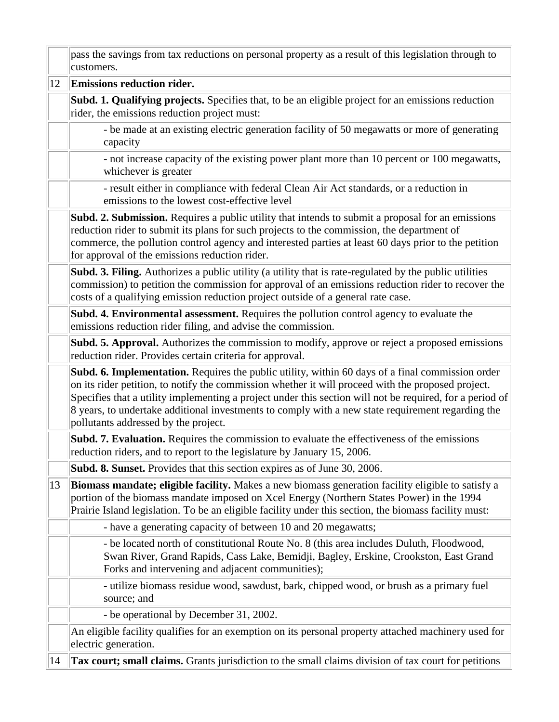|    | pass the savings from tax reductions on personal property as a result of this legislation through to<br>customers.                                                                                                                                                                                                                                                                                                                                              |
|----|-----------------------------------------------------------------------------------------------------------------------------------------------------------------------------------------------------------------------------------------------------------------------------------------------------------------------------------------------------------------------------------------------------------------------------------------------------------------|
| 12 | Emissions reduction rider.                                                                                                                                                                                                                                                                                                                                                                                                                                      |
|    | Subd. 1. Qualifying projects. Specifies that, to be an eligible project for an emissions reduction<br>rider, the emissions reduction project must:                                                                                                                                                                                                                                                                                                              |
|    | - be made at an existing electric generation facility of 50 megawatts or more of generating<br>capacity                                                                                                                                                                                                                                                                                                                                                         |
|    | - not increase capacity of the existing power plant more than 10 percent or 100 megawatts,<br>whichever is greater                                                                                                                                                                                                                                                                                                                                              |
|    | - result either in compliance with federal Clean Air Act standards, or a reduction in<br>emissions to the lowest cost-effective level                                                                                                                                                                                                                                                                                                                           |
|    | Subd. 2. Submission. Requires a public utility that intends to submit a proposal for an emissions<br>reduction rider to submit its plans for such projects to the commission, the department of<br>commerce, the pollution control agency and interested parties at least 60 days prior to the petition<br>for approval of the emissions reduction rider.                                                                                                       |
|    | <b>Subd. 3. Filing.</b> Authorizes a public utility (a utility that is rate-regulated by the public utilities<br>commission) to petition the commission for approval of an emissions reduction rider to recover the<br>costs of a qualifying emission reduction project outside of a general rate case.                                                                                                                                                         |
|    | <b>Subd. 4. Environmental assessment.</b> Requires the pollution control agency to evaluate the<br>emissions reduction rider filing, and advise the commission.                                                                                                                                                                                                                                                                                                 |
|    | Subd. 5. Approval. Authorizes the commission to modify, approve or reject a proposed emissions<br>reduction rider. Provides certain criteria for approval.                                                                                                                                                                                                                                                                                                      |
|    | Subd. 6. Implementation. Requires the public utility, within 60 days of a final commission order<br>on its rider petition, to notify the commission whether it will proceed with the proposed project.<br>Specifies that a utility implementing a project under this section will not be required, for a period of<br>8 years, to undertake additional investments to comply with a new state requirement regarding the<br>pollutants addressed by the project. |
|    | Subd. 7. Evaluation. Requires the commission to evaluate the effectiveness of the emissions<br>reduction riders, and to report to the legislature by January 15, 2006.                                                                                                                                                                                                                                                                                          |
|    | Subd. 8. Sunset. Provides that this section expires as of June 30, 2006.                                                                                                                                                                                                                                                                                                                                                                                        |
| 13 | Biomass mandate; eligible facility. Makes a new biomass generation facility eligible to satisfy a<br>portion of the biomass mandate imposed on Xcel Energy (Northern States Power) in the 1994<br>Prairie Island legislation. To be an eligible facility under this section, the biomass facility must:                                                                                                                                                         |
|    | - have a generating capacity of between 10 and 20 megawatts;                                                                                                                                                                                                                                                                                                                                                                                                    |
|    | - be located north of constitutional Route No. 8 (this area includes Duluth, Floodwood,<br>Swan River, Grand Rapids, Cass Lake, Bemidji, Bagley, Erskine, Crookston, East Grand<br>Forks and intervening and adjacent communities);                                                                                                                                                                                                                             |
|    | - utilize biomass residue wood, sawdust, bark, chipped wood, or brush as a primary fuel<br>source; and                                                                                                                                                                                                                                                                                                                                                          |
|    | - be operational by December 31, 2002.                                                                                                                                                                                                                                                                                                                                                                                                                          |
| 14 | An eligible facility qualifies for an exemption on its personal property attached machinery used for<br>electric generation.                                                                                                                                                                                                                                                                                                                                    |
|    | Tax court; small claims. Grants jurisdiction to the small claims division of tax court for petitions                                                                                                                                                                                                                                                                                                                                                            |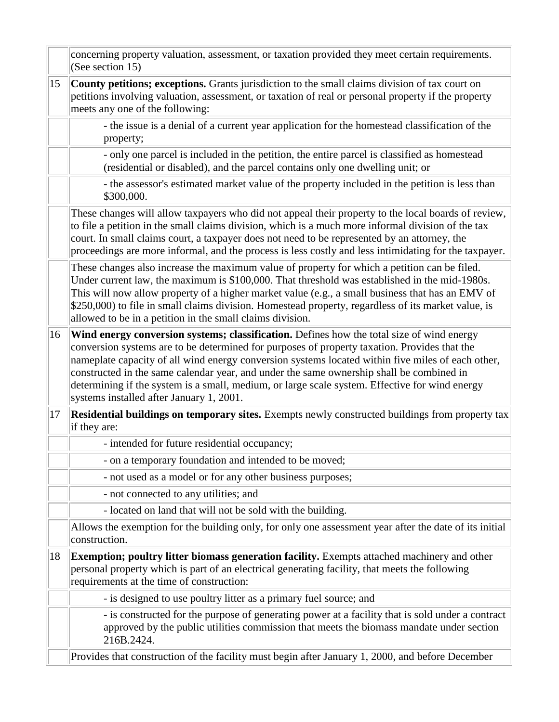|    | concerning property valuation, assessment, or taxation provided they meet certain requirements.<br>(See section 15)                                                                                                                                                                                                                                                                                                                                                                                                                      |
|----|------------------------------------------------------------------------------------------------------------------------------------------------------------------------------------------------------------------------------------------------------------------------------------------------------------------------------------------------------------------------------------------------------------------------------------------------------------------------------------------------------------------------------------------|
| 15 | County petitions; exceptions. Grants jurisdiction to the small claims division of tax court on<br>petitions involving valuation, assessment, or taxation of real or personal property if the property<br>meets any one of the following:                                                                                                                                                                                                                                                                                                 |
|    | - the issue is a denial of a current year application for the homestead classification of the<br>property;                                                                                                                                                                                                                                                                                                                                                                                                                               |
|    | - only one parcel is included in the petition, the entire parcel is classified as homestead<br>(residential or disabled), and the parcel contains only one dwelling unit; or                                                                                                                                                                                                                                                                                                                                                             |
|    | - the assessor's estimated market value of the property included in the petition is less than<br>\$300,000.                                                                                                                                                                                                                                                                                                                                                                                                                              |
|    | These changes will allow taxpayers who did not appeal their property to the local boards of review,<br>to file a petition in the small claims division, which is a much more informal division of the tax<br>court. In small claims court, a taxpayer does not need to be represented by an attorney, the<br>proceedings are more informal, and the process is less costly and less intimidating for the taxpayer.                                                                                                                       |
|    | These changes also increase the maximum value of property for which a petition can be filed.<br>Under current law, the maximum is \$100,000. That threshold was established in the mid-1980s.<br>This will now allow property of a higher market value (e.g., a small business that has an EMV of<br>\$250,000) to file in small claims division. Homestead property, regardless of its market value, is<br>allowed to be in a petition in the small claims division.                                                                    |
| 16 | Wind energy conversion systems; classification. Defines how the total size of wind energy<br>conversion systems are to be determined for purposes of property taxation. Provides that the<br>nameplate capacity of all wind energy conversion systems located within five miles of each other,<br>constructed in the same calendar year, and under the same ownership shall be combined in<br>determining if the system is a small, medium, or large scale system. Effective for wind energy<br>systems installed after January 1, 2001. |
| 17 | <b>Residential buildings on temporary sites.</b> Exempts newly constructed buildings from property tax<br>if they are:                                                                                                                                                                                                                                                                                                                                                                                                                   |
|    | - intended for future residential occupancy;                                                                                                                                                                                                                                                                                                                                                                                                                                                                                             |
|    | - on a temporary foundation and intended to be moved;                                                                                                                                                                                                                                                                                                                                                                                                                                                                                    |
|    | - not used as a model or for any other business purposes;                                                                                                                                                                                                                                                                                                                                                                                                                                                                                |
|    | - not connected to any utilities; and                                                                                                                                                                                                                                                                                                                                                                                                                                                                                                    |
|    | - located on land that will not be sold with the building.                                                                                                                                                                                                                                                                                                                                                                                                                                                                               |
|    | Allows the exemption for the building only, for only one assessment year after the date of its initial<br>construction.                                                                                                                                                                                                                                                                                                                                                                                                                  |
| 18 | <b>Exemption; poultry litter biomass generation facility.</b> Exempts attached machinery and other<br>personal property which is part of an electrical generating facility, that meets the following<br>requirements at the time of construction:                                                                                                                                                                                                                                                                                        |
|    | - is designed to use poultry litter as a primary fuel source; and                                                                                                                                                                                                                                                                                                                                                                                                                                                                        |
|    | - is constructed for the purpose of generating power at a facility that is sold under a contract<br>approved by the public utilities commission that meets the biomass mandate under section<br>216B.2424.                                                                                                                                                                                                                                                                                                                               |
|    | Provides that construction of the facility must begin after January 1, 2000, and before December                                                                                                                                                                                                                                                                                                                                                                                                                                         |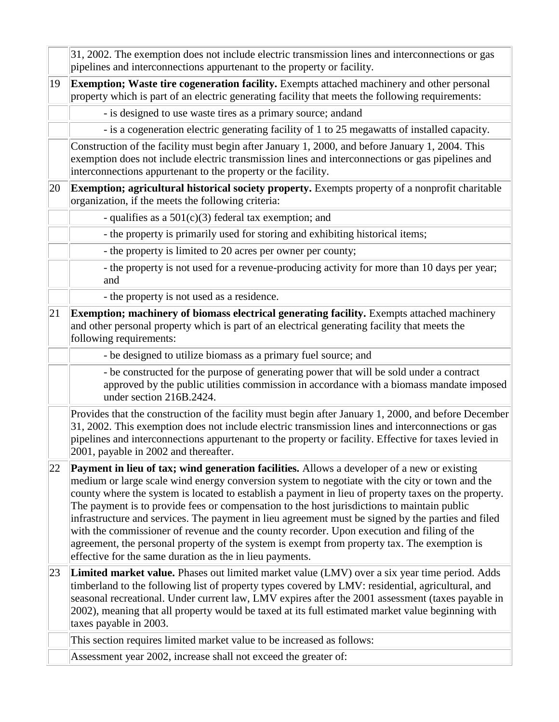|    | 31, 2002. The exemption does not include electric transmission lines and interconnections or gas<br>pipelines and interconnections appurtenant to the property or facility.                                                                                                                                                                                                                                                                                                                                                                                                                                                                                                                                                                                                 |
|----|-----------------------------------------------------------------------------------------------------------------------------------------------------------------------------------------------------------------------------------------------------------------------------------------------------------------------------------------------------------------------------------------------------------------------------------------------------------------------------------------------------------------------------------------------------------------------------------------------------------------------------------------------------------------------------------------------------------------------------------------------------------------------------|
| 19 | Exemption; Waste tire cogeneration facility. Exempts attached machinery and other personal<br>property which is part of an electric generating facility that meets the following requirements:                                                                                                                                                                                                                                                                                                                                                                                                                                                                                                                                                                              |
|    | - is designed to use waste tires as a primary source; andand                                                                                                                                                                                                                                                                                                                                                                                                                                                                                                                                                                                                                                                                                                                |
|    | - is a cogeneration electric generating facility of 1 to 25 megawatts of installed capacity.                                                                                                                                                                                                                                                                                                                                                                                                                                                                                                                                                                                                                                                                                |
|    | Construction of the facility must begin after January 1, 2000, and before January 1, 2004. This<br>exemption does not include electric transmission lines and interconnections or gas pipelines and<br>interconnections appurtenant to the property or the facility.                                                                                                                                                                                                                                                                                                                                                                                                                                                                                                        |
| 20 | Exemption; agricultural historical society property. Exempts property of a nonprofit charitable<br>organization, if the meets the following criteria:                                                                                                                                                                                                                                                                                                                                                                                                                                                                                                                                                                                                                       |
|    | - qualifies as a $501(c)(3)$ federal tax exemption; and                                                                                                                                                                                                                                                                                                                                                                                                                                                                                                                                                                                                                                                                                                                     |
|    | - the property is primarily used for storing and exhibiting historical items;                                                                                                                                                                                                                                                                                                                                                                                                                                                                                                                                                                                                                                                                                               |
|    | - the property is limited to 20 acres per owner per county;                                                                                                                                                                                                                                                                                                                                                                                                                                                                                                                                                                                                                                                                                                                 |
|    | - the property is not used for a revenue-producing activity for more than 10 days per year;<br>and                                                                                                                                                                                                                                                                                                                                                                                                                                                                                                                                                                                                                                                                          |
|    | - the property is not used as a residence.                                                                                                                                                                                                                                                                                                                                                                                                                                                                                                                                                                                                                                                                                                                                  |
| 21 | Exemption; machinery of biomass electrical generating facility. Exempts attached machinery<br>and other personal property which is part of an electrical generating facility that meets the<br>following requirements:                                                                                                                                                                                                                                                                                                                                                                                                                                                                                                                                                      |
|    | - be designed to utilize biomass as a primary fuel source; and                                                                                                                                                                                                                                                                                                                                                                                                                                                                                                                                                                                                                                                                                                              |
|    | - be constructed for the purpose of generating power that will be sold under a contract<br>approved by the public utilities commission in accordance with a biomass mandate imposed<br>under section 216B.2424.                                                                                                                                                                                                                                                                                                                                                                                                                                                                                                                                                             |
|    | Provides that the construction of the facility must begin after January 1, 2000, and before December<br>31, 2002. This exemption does not include electric transmission lines and interconnections or gas<br>pipelines and interconnections appurtenant to the property or facility. Effective for taxes levied in<br>2001, payable in 2002 and thereafter.                                                                                                                                                                                                                                                                                                                                                                                                                 |
| 22 | <b>Payment in lieu of tax; wind generation facilities.</b> Allows a developer of a new or existing<br>medium or large scale wind energy conversion system to negotiate with the city or town and the<br>county where the system is located to establish a payment in lieu of property taxes on the property.<br>The payment is to provide fees or compensation to the host jurisdictions to maintain public<br>infrastructure and services. The payment in lieu agreement must be signed by the parties and filed<br>with the commissioner of revenue and the county recorder. Upon execution and filing of the<br>agreement, the personal property of the system is exempt from property tax. The exemption is<br>effective for the same duration as the in lieu payments. |
| 23 | <b>Limited market value.</b> Phases out limited market value (LMV) over a six year time period. Adds<br>timberland to the following list of property types covered by LMV: residential, agricultural, and<br>seasonal recreational. Under current law, LMV expires after the 2001 assessment (taxes payable in<br>2002), meaning that all property would be taxed at its full estimated market value beginning with<br>taxes payable in 2003.                                                                                                                                                                                                                                                                                                                               |
|    | This section requires limited market value to be increased as follows:                                                                                                                                                                                                                                                                                                                                                                                                                                                                                                                                                                                                                                                                                                      |
|    | Assessment year 2002, increase shall not exceed the greater of:                                                                                                                                                                                                                                                                                                                                                                                                                                                                                                                                                                                                                                                                                                             |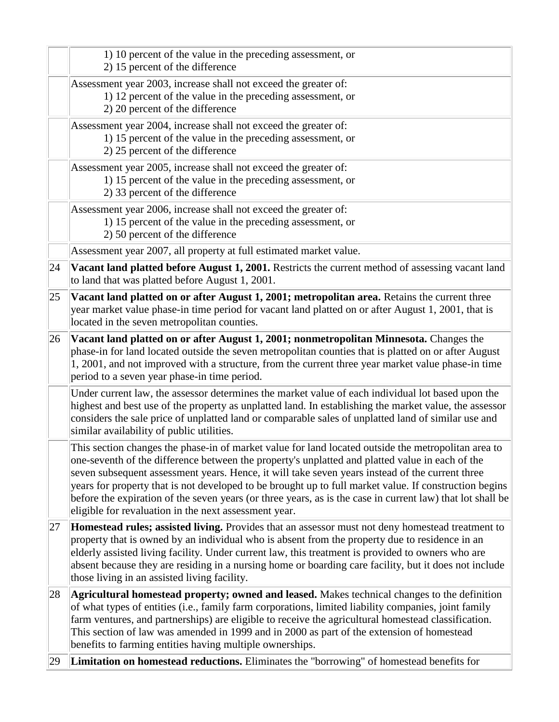|    | 1) 10 percent of the value in the preceding assessment, or<br>2) 15 percent of the difference                                                                                                                                                                                                                                                                                                                                                                                                                                                                                              |
|----|--------------------------------------------------------------------------------------------------------------------------------------------------------------------------------------------------------------------------------------------------------------------------------------------------------------------------------------------------------------------------------------------------------------------------------------------------------------------------------------------------------------------------------------------------------------------------------------------|
|    | Assessment year 2003, increase shall not exceed the greater of:<br>1) 12 percent of the value in the preceding assessment, or<br>2) 20 percent of the difference                                                                                                                                                                                                                                                                                                                                                                                                                           |
|    | Assessment year 2004, increase shall not exceed the greater of:<br>1) 15 percent of the value in the preceding assessment, or<br>2) 25 percent of the difference                                                                                                                                                                                                                                                                                                                                                                                                                           |
|    | Assessment year 2005, increase shall not exceed the greater of:<br>1) 15 percent of the value in the preceding assessment, or<br>2) 33 percent of the difference                                                                                                                                                                                                                                                                                                                                                                                                                           |
|    | Assessment year 2006, increase shall not exceed the greater of:<br>1) 15 percent of the value in the preceding assessment, or<br>2) 50 percent of the difference                                                                                                                                                                                                                                                                                                                                                                                                                           |
|    | Assessment year 2007, all property at full estimated market value.                                                                                                                                                                                                                                                                                                                                                                                                                                                                                                                         |
| 24 | Vacant land platted before August 1, 2001. Restricts the current method of assessing vacant land<br>to land that was platted before August 1, 2001.                                                                                                                                                                                                                                                                                                                                                                                                                                        |
| 25 | Vacant land platted on or after August 1, 2001; metropolitan area. Retains the current three<br>year market value phase-in time period for vacant land platted on or after August 1, 2001, that is<br>located in the seven metropolitan counties.                                                                                                                                                                                                                                                                                                                                          |
| 26 | Vacant land platted on or after August 1, 2001; nonmetropolitan Minnesota. Changes the<br>phase-in for land located outside the seven metropolitan counties that is platted on or after August<br>1, 2001, and not improved with a structure, from the current three year market value phase-in time<br>period to a seven year phase-in time period.                                                                                                                                                                                                                                       |
|    | Under current law, the assessor determines the market value of each individual lot based upon the<br>highest and best use of the property as unplatted land. In establishing the market value, the assessor<br>considers the sale price of unplatted land or comparable sales of unplatted land of similar use and<br>similar availability of public utilities.                                                                                                                                                                                                                            |
|    | This section changes the phase-in of market value for land located outside the metropolitan area to<br>one-seventh of the difference between the property's unplatted and platted value in each of the<br>seven subsequent assessment years. Hence, it will take seven years instead of the current three<br>years for property that is not developed to be brought up to full market value. If construction begins<br>before the expiration of the seven years (or three years, as is the case in current law) that lot shall be<br>eligible for revaluation in the next assessment year. |
| 27 | <b>Homestead rules; assisted living.</b> Provides that an assessor must not deny homestead treatment to<br>property that is owned by an individual who is absent from the property due to residence in an<br>elderly assisted living facility. Under current law, this treatment is provided to owners who are<br>absent because they are residing in a nursing home or boarding care facility, but it does not include<br>those living in an assisted living facility.                                                                                                                    |
| 28 | Agricultural homestead property; owned and leased. Makes technical changes to the definition<br>of what types of entities (i.e., family farm corporations, limited liability companies, joint family<br>farm ventures, and partnerships) are eligible to receive the agricultural homestead classification.<br>This section of law was amended in 1999 and in 2000 as part of the extension of homestead<br>benefits to farming entities having multiple ownerships.                                                                                                                       |
| 29 | Limitation on homestead reductions. Eliminates the "borrowing" of homestead benefits for                                                                                                                                                                                                                                                                                                                                                                                                                                                                                                   |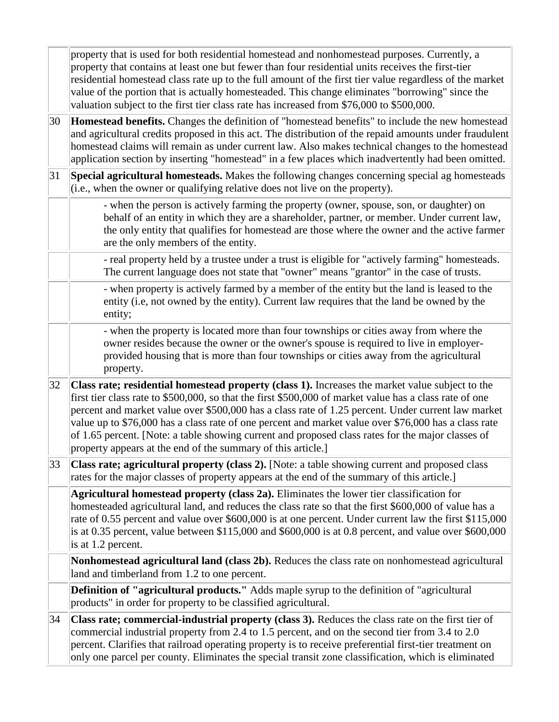|    | property that is used for both residential homestead and nonhomestead purposes. Currently, a<br>property that contains at least one but fewer than four residential units receives the first-tier<br>residential homestead class rate up to the full amount of the first tier value regardless of the market<br>value of the portion that is actually homesteaded. This change eliminates "borrowing" since the<br>valuation subject to the first tier class rate has increased from \$76,000 to \$500,000.                                                                                   |
|----|-----------------------------------------------------------------------------------------------------------------------------------------------------------------------------------------------------------------------------------------------------------------------------------------------------------------------------------------------------------------------------------------------------------------------------------------------------------------------------------------------------------------------------------------------------------------------------------------------|
| 30 | Homestead benefits. Changes the definition of "homestead benefits" to include the new homestead<br>and agricultural credits proposed in this act. The distribution of the repaid amounts under fraudulent<br>homestead claims will remain as under current law. Also makes technical changes to the homestead<br>application section by inserting "homestead" in a few places which inadvertently had been omitted.                                                                                                                                                                           |
| 31 | Special agricultural homesteads. Makes the following changes concerning special ag homesteads<br>$(i.e., when the owner or qualifying relative does not live on the property).$                                                                                                                                                                                                                                                                                                                                                                                                               |
|    | - when the person is actively farming the property (owner, spouse, son, or daughter) on<br>behalf of an entity in which they are a shareholder, partner, or member. Under current law,<br>the only entity that qualifies for homestead are those where the owner and the active farmer<br>are the only members of the entity.                                                                                                                                                                                                                                                                 |
|    | - real property held by a trustee under a trust is eligible for "actively farming" homesteads.<br>The current language does not state that "owner" means "grantor" in the case of trusts.                                                                                                                                                                                                                                                                                                                                                                                                     |
|    | - when property is actively farmed by a member of the entity but the land is leased to the<br>entity (i.e, not owned by the entity). Current law requires that the land be owned by the<br>entity;                                                                                                                                                                                                                                                                                                                                                                                            |
|    | - when the property is located more than four townships or cities away from where the<br>owner resides because the owner or the owner's spouse is required to live in employer-<br>provided housing that is more than four townships or cities away from the agricultural<br>property.                                                                                                                                                                                                                                                                                                        |
| 32 | Class rate; residential homestead property (class 1). Increases the market value subject to the<br>first tier class rate to \$500,000, so that the first \$500,000 of market value has a class rate of one<br>percent and market value over \$500,000 has a class rate of 1.25 percent. Under current law market<br>value up to \$76,000 has a class rate of one percent and market value over \$76,000 has a class rate<br>of 1.65 percent. [Note: a table showing current and proposed class rates for the major classes of<br>property appears at the end of the summary of this article.] |
| 33 | Class rate; agricultural property (class 2). [Note: a table showing current and proposed class<br>rates for the major classes of property appears at the end of the summary of this article.                                                                                                                                                                                                                                                                                                                                                                                                  |
|    | Agricultural homestead property (class 2a). Eliminates the lower tier classification for<br>homesteaded agricultural land, and reduces the class rate so that the first \$600,000 of value has a<br>rate of 0.55 percent and value over \$600,000 is at one percent. Under current law the first \$115,000<br>is at 0.35 percent, value between $$115,000$ and $$600,000$ is at 0.8 percent, and value over $$600,000$<br>is at 1.2 percent.                                                                                                                                                  |
|    | Nonhomestead agricultural land (class 2b). Reduces the class rate on nonhomestead agricultural<br>land and timberland from 1.2 to one percent.                                                                                                                                                                                                                                                                                                                                                                                                                                                |
|    | <b>Definition of "agricultural products."</b> Adds maple syrup to the definition of "agricultural"<br>products" in order for property to be classified agricultural.                                                                                                                                                                                                                                                                                                                                                                                                                          |
| 34 | Class rate; commercial-industrial property (class 3). Reduces the class rate on the first tier of<br>commercial industrial property from 2.4 to 1.5 percent, and on the second tier from 3.4 to 2.0<br>percent. Clarifies that railroad operating property is to receive preferential first-tier treatment on<br>only one parcel per county. Eliminates the special transit zone classification, which is eliminated                                                                                                                                                                          |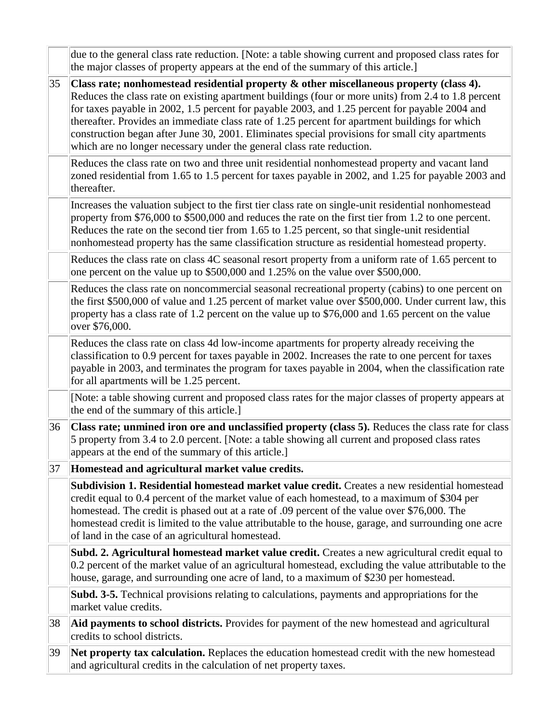|    | due to the general class rate reduction. [Note: a table showing current and proposed class rates for<br>the major classes of property appears at the end of the summary of this article.                                                                                                                                                                                                                                                                                                                                                                                          |
|----|-----------------------------------------------------------------------------------------------------------------------------------------------------------------------------------------------------------------------------------------------------------------------------------------------------------------------------------------------------------------------------------------------------------------------------------------------------------------------------------------------------------------------------------------------------------------------------------|
| 35 | Class rate; nonhomestead residential property $\&$ other miscellaneous property (class 4).<br>Reduces the class rate on existing apartment buildings (four or more units) from 2.4 to 1.8 percent<br>for taxes payable in 2002, 1.5 percent for payable 2003, and 1.25 percent for payable 2004 and<br>thereafter. Provides an immediate class rate of 1.25 percent for apartment buildings for which<br>construction began after June 30, 2001. Eliminates special provisions for small city apartments<br>which are no longer necessary under the general class rate reduction. |
|    | Reduces the class rate on two and three unit residential nonhomestead property and vacant land<br>zoned residential from 1.65 to 1.5 percent for taxes payable in 2002, and 1.25 for payable 2003 and<br>thereafter.                                                                                                                                                                                                                                                                                                                                                              |
|    | Increases the valuation subject to the first tier class rate on single-unit residential nonhomestead<br>property from \$76,000 to \$500,000 and reduces the rate on the first tier from 1.2 to one percent.<br>Reduces the rate on the second tier from 1.65 to 1.25 percent, so that single-unit residential<br>nonhomestead property has the same classification structure as residential homestead property.                                                                                                                                                                   |
|    | Reduces the class rate on class 4C seasonal resort property from a uniform rate of 1.65 percent to<br>one percent on the value up to \$500,000 and 1.25% on the value over \$500,000.                                                                                                                                                                                                                                                                                                                                                                                             |
|    | Reduces the class rate on noncommercial seasonal recreational property (cabins) to one percent on<br>the first \$500,000 of value and 1.25 percent of market value over \$500,000. Under current law, this<br>property has a class rate of 1.2 percent on the value up to \$76,000 and 1.65 percent on the value<br>over \$76,000.                                                                                                                                                                                                                                                |
|    | Reduces the class rate on class 4d low-income apartments for property already receiving the<br>classification to 0.9 percent for taxes payable in 2002. Increases the rate to one percent for taxes<br>payable in 2003, and terminates the program for taxes payable in 2004, when the classification rate<br>for all apartments will be 1.25 percent.                                                                                                                                                                                                                            |
|    | [Note: a table showing current and proposed class rates for the major classes of property appears at<br>the end of the summary of this article.]                                                                                                                                                                                                                                                                                                                                                                                                                                  |
| 36 | Class rate; unmined iron ore and unclassified property (class 5). Reduces the class rate for class<br>5 property from 3.4 to 2.0 percent. [Note: a table showing all current and proposed class rates<br>appears at the end of the summary of this article.]                                                                                                                                                                                                                                                                                                                      |
| 37 | Homestead and agricultural market value credits.                                                                                                                                                                                                                                                                                                                                                                                                                                                                                                                                  |
|    | <b>Subdivision 1. Residential homestead market value credit.</b> Creates a new residential homestead<br>credit equal to 0.4 percent of the market value of each homestead, to a maximum of \$304 per<br>homestead. The credit is phased out at a rate of .09 percent of the value over \$76,000. The<br>homestead credit is limited to the value attributable to the house, garage, and surrounding one acre<br>of land in the case of an agricultural homestead.                                                                                                                 |
|    | <b>Subd. 2. Agricultural homestead market value credit.</b> Creates a new agricultural credit equal to<br>0.2 percent of the market value of an agricultural homestead, excluding the value attributable to the<br>house, garage, and surrounding one acre of land, to a maximum of \$230 per homestead.                                                                                                                                                                                                                                                                          |
|    | <b>Subd. 3-5.</b> Technical provisions relating to calculations, payments and appropriations for the<br>market value credits.                                                                                                                                                                                                                                                                                                                                                                                                                                                     |
| 38 | Aid payments to school districts. Provides for payment of the new homestead and agricultural<br>credits to school districts.                                                                                                                                                                                                                                                                                                                                                                                                                                                      |
| 39 | Net property tax calculation. Replaces the education homestead credit with the new homestead<br>and agricultural credits in the calculation of net property taxes.                                                                                                                                                                                                                                                                                                                                                                                                                |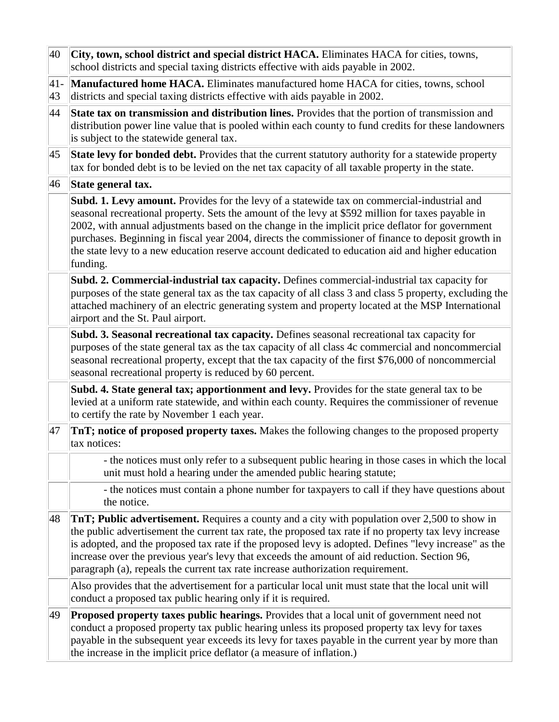| 40           | City, town, school district and special district HACA. Eliminates HACA for cities, towns,<br>school districts and special taxing districts effective with aids payable in 2002.                                                                                                                                                                                                                                                                                                                                            |
|--------------|----------------------------------------------------------------------------------------------------------------------------------------------------------------------------------------------------------------------------------------------------------------------------------------------------------------------------------------------------------------------------------------------------------------------------------------------------------------------------------------------------------------------------|
| $ 41-$<br>43 | Manufactured home HACA. Eliminates manufactured home HACA for cities, towns, school<br>districts and special taxing districts effective with aids payable in 2002.                                                                                                                                                                                                                                                                                                                                                         |
| 44           | State tax on transmission and distribution lines. Provides that the portion of transmission and<br>distribution power line value that is pooled within each county to fund credits for these landowners<br>is subject to the statewide general tax.                                                                                                                                                                                                                                                                        |
| 45           | State levy for bonded debt. Provides that the current statutory authority for a statewide property<br>tax for bonded debt is to be levied on the net tax capacity of all taxable property in the state.                                                                                                                                                                                                                                                                                                                    |
| 46           | State general tax.                                                                                                                                                                                                                                                                                                                                                                                                                                                                                                         |
|              | Subd. 1. Levy amount. Provides for the levy of a statewide tax on commercial-industrial and<br>seasonal recreational property. Sets the amount of the levy at \$592 million for taxes payable in<br>2002, with annual adjustments based on the change in the implicit price deflator for government<br>purchases. Beginning in fiscal year 2004, directs the commissioner of finance to deposit growth in<br>the state levy to a new education reserve account dedicated to education aid and higher education<br>funding. |
|              | Subd. 2. Commercial-industrial tax capacity. Defines commercial-industrial tax capacity for<br>purposes of the state general tax as the tax capacity of all class 3 and class 5 property, excluding the<br>attached machinery of an electric generating system and property located at the MSP International<br>airport and the St. Paul airport.                                                                                                                                                                          |
|              | Subd. 3. Seasonal recreational tax capacity. Defines seasonal recreational tax capacity for<br>purposes of the state general tax as the tax capacity of all class 4c commercial and noncommercial<br>seasonal recreational property, except that the tax capacity of the first \$76,000 of noncommercial<br>seasonal recreational property is reduced by 60 percent.                                                                                                                                                       |
|              | Subd. 4. State general tax; apportionment and levy. Provides for the state general tax to be<br>levied at a uniform rate statewide, and within each county. Requires the commissioner of revenue<br>to certify the rate by November 1 each year.                                                                                                                                                                                                                                                                           |
| 47           | <b>TnT</b> ; notice of proposed property taxes. Makes the following changes to the proposed property<br>tax notices:                                                                                                                                                                                                                                                                                                                                                                                                       |
|              | - the notices must only refer to a subsequent public hearing in those cases in which the local<br>unit must hold a hearing under the amended public hearing statute;                                                                                                                                                                                                                                                                                                                                                       |
|              | - the notices must contain a phone number for taxpayers to call if they have questions about<br>the notice.                                                                                                                                                                                                                                                                                                                                                                                                                |
| 48           | TnT; Public advertisement. Requires a county and a city with population over 2,500 to show in<br>the public advertisement the current tax rate, the proposed tax rate if no property tax levy increase<br>is adopted, and the proposed tax rate if the proposed levy is adopted. Defines "levy increase" as the<br>increase over the previous year's levy that exceeds the amount of aid reduction. Section 96,<br>paragraph (a), repeals the current tax rate increase authorization requirement.                         |
|              | Also provides that the advertisement for a particular local unit must state that the local unit will<br>conduct a proposed tax public hearing only if it is required.                                                                                                                                                                                                                                                                                                                                                      |
| 49           | <b>Proposed property taxes public hearings.</b> Provides that a local unit of government need not<br>conduct a proposed property tax public hearing unless its proposed property tax levy for taxes<br>payable in the subsequent year exceeds its levy for taxes payable in the current year by more than<br>the increase in the implicit price deflator (a measure of inflation.)                                                                                                                                         |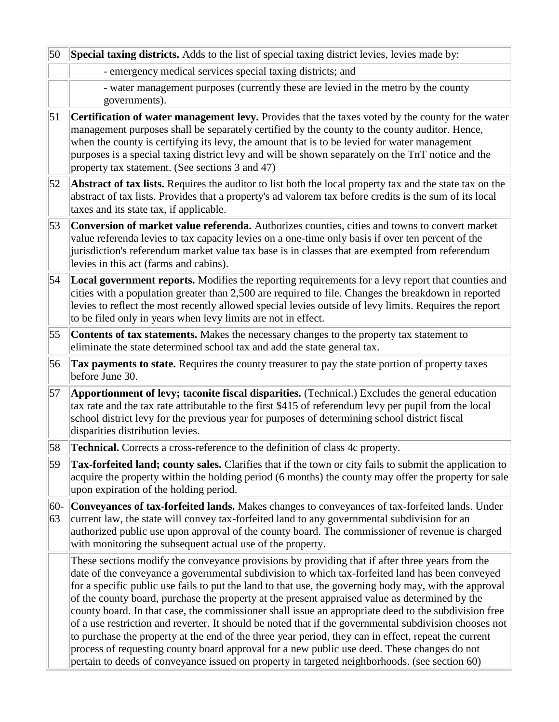| 50               | <b>Special taxing districts.</b> Adds to the list of special taxing district levies, levies made by:                                                                                                                                                                                                                                                                                                                                                       |
|------------------|------------------------------------------------------------------------------------------------------------------------------------------------------------------------------------------------------------------------------------------------------------------------------------------------------------------------------------------------------------------------------------------------------------------------------------------------------------|
|                  | - emergency medical services special taxing districts; and                                                                                                                                                                                                                                                                                                                                                                                                 |
|                  | - water management purposes (currently these are levied in the metro by the county<br>governments).                                                                                                                                                                                                                                                                                                                                                        |
| $\vert 51 \vert$ | Certification of water management levy. Provides that the taxes voted by the county for the water<br>management purposes shall be separately certified by the county to the county auditor. Hence,<br>when the county is certifying its levy, the amount that is to be levied for water management<br>purposes is a special taxing district levy and will be shown separately on the TnT notice and the<br>property tax statement. (See sections 3 and 47) |
| 52               | Abstract of tax lists. Requires the auditor to list both the local property tax and the state tax on the<br>abstract of tax lists. Provides that a property's ad valorem tax before credits is the sum of its local<br>taxes and its state tax, if applicable.                                                                                                                                                                                             |
| 53               | Conversion of market value referenda. Authorizes counties, cities and towns to convert market<br>value referenda levies to tax capacity levies on a one-time only basis if over ten percent of the<br>jurisdiction's referendum market value tax base is in classes that are exempted from referendum<br>levies in this act (farms and cabins).                                                                                                            |
| 54               | <b>Local government reports.</b> Modifies the reporting requirements for a levy report that counties and<br>cities with a population greater than 2,500 are required to file. Changes the breakdown in reported<br>levies to reflect the most recently allowed special levies outside of levy limits. Requires the report<br>to be filed only in years when levy limits are not in effect.                                                                 |
| 55               | <b>Contents of tax statements.</b> Makes the necessary changes to the property tax statement to<br>eliminate the state determined school tax and add the state general tax.                                                                                                                                                                                                                                                                                |
|                  | <b>Tax payments to state.</b> Requires the county treasurer to pay the state portion of property taxes                                                                                                                                                                                                                                                                                                                                                     |
| 56               | before June 30.                                                                                                                                                                                                                                                                                                                                                                                                                                            |
| 57               | Apportionment of levy; taconite fiscal disparities. (Technical.) Excludes the general education<br>tax rate and the tax rate attributable to the first \$415 of referendum levy per pupil from the local<br>school district levy for the previous year for purposes of determining school district fiscal<br>disparities distribution levies.                                                                                                              |
| 58               | <b>Technical.</b> Corrects a cross-reference to the definition of class 4c property.                                                                                                                                                                                                                                                                                                                                                                       |
| 59               | <b>Tax-forfeited land; county sales.</b> Clarifies that if the town or city fails to submit the application to<br>acquire the property within the holding period (6 months) the county may offer the property for sale<br>upon expiration of the holding period.                                                                                                                                                                                           |
| $60-$<br>63      | Conveyances of tax-forfeited lands. Makes changes to conveyances of tax-forfeited lands. Under<br>current law, the state will convey tax-forfeited land to any governmental subdivision for an<br>authorized public use upon approval of the county board. The commissioner of revenue is charged<br>with monitoring the subsequent actual use of the property.                                                                                            |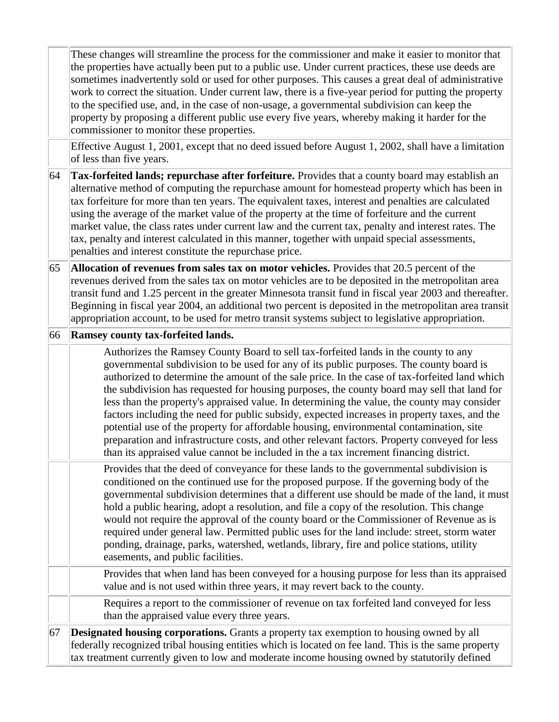These changes will streamline the process for the commissioner and make it easier to monitor that the properties have actually been put to a public use. Under current practices, these use deeds are sometimes inadvertently sold or used for other purposes. This causes a great deal of administrative work to correct the situation. Under current law, there is a five-year period for putting the property to the specified use, and, in the case of non-usage, a governmental subdivision can keep the property by proposing a different public use every five years, whereby making it harder for the commissioner to monitor these properties.

Effective August 1, 2001, except that no deed issued before August 1, 2002, shall have a limitation of less than five years.

64 **Tax-forfeited lands; repurchase after forfeiture.** Provides that a county board may establish an alternative method of computing the repurchase amount for homestead property which has been in tax forfeiture for more than ten years. The equivalent taxes, interest and penalties are calculated using the average of the market value of the property at the time of forfeiture and the current market value, the class rates under current law and the current tax, penalty and interest rates. The tax, penalty and interest calculated in this manner, together with unpaid special assessments, penalties and interest constitute the repurchase price.

65 **Allocation of revenues from sales tax on motor vehicles.** Provides that 20.5 percent of the revenues derived from the sales tax on motor vehicles are to be deposited in the metropolitan area transit fund and 1.25 percent in the greater Minnesota transit fund in fiscal year 2003 and thereafter. Beginning in fiscal year 2004, an additional two percent is deposited in the metropolitan area transit appropriation account, to be used for metro transit systems subject to legislative appropriation.

#### 66 **Ramsey county tax-forfeited lands.**

Authorizes the Ramsey County Board to sell tax-forfeited lands in the county to any governmental subdivision to be used for any of its public purposes. The county board is authorized to determine the amount of the sale price. In the case of tax-forfeited land which the subdivision has requested for housing purposes, the county board may sell that land for less than the property's appraised value. In determining the value, the county may consider factors including the need for public subsidy, expected increases in property taxes, and the potential use of the property for affordable housing, environmental contamination, site preparation and infrastructure costs, and other relevant factors. Property conveyed for less than its appraised value cannot be included in the a tax increment financing district.

Provides that the deed of conveyance for these lands to the governmental subdivision is conditioned on the continued use for the proposed purpose. If the governing body of the governmental subdivision determines that a different use should be made of the land, it must hold a public hearing, adopt a resolution, and file a copy of the resolution. This change would not require the approval of the county board or the Commissioner of Revenue as is required under general law. Permitted public uses for the land include: street, storm water ponding, drainage, parks, watershed, wetlands, library, fire and police stations, utility easements, and public facilities.

Provides that when land has been conveyed for a housing purpose for less than its appraised value and is not used within three years, it may revert back to the county.

Requires a report to the commissioner of revenue on tax forfeited land conveyed for less than the appraised value every three years.

67 **Designated housing corporations.** Grants a property tax exemption to housing owned by all federally recognized tribal housing entities which is located on fee land. This is the same property tax treatment currently given to low and moderate income housing owned by statutorily defined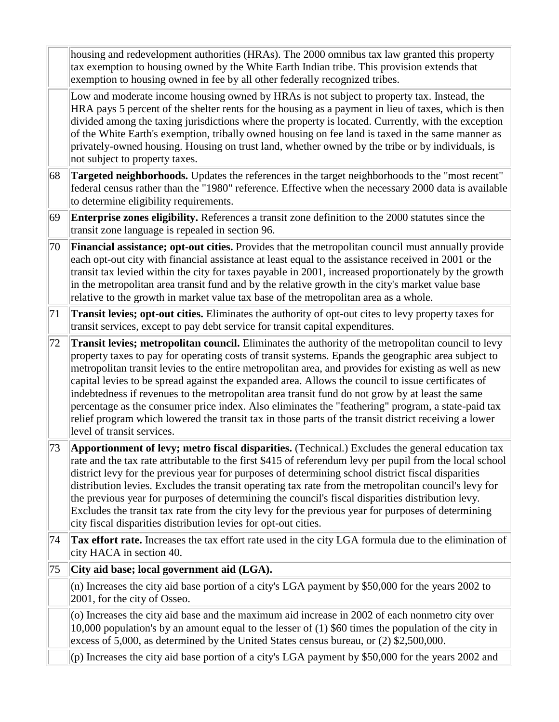housing and redevelopment authorities (HRAs). The 2000 omnibus tax law granted this property tax exemption to housing owned by the White Earth Indian tribe. This provision extends that exemption to housing owned in fee by all other federally recognized tribes.

Low and moderate income housing owned by HRAs is not subject to property tax. Instead, the HRA pays 5 percent of the shelter rents for the housing as a payment in lieu of taxes, which is then divided among the taxing jurisdictions where the property is located. Currently, with the exception of the White Earth's exemption, tribally owned housing on fee land is taxed in the same manner as privately-owned housing. Housing on trust land, whether owned by the tribe or by individuals, is not subject to property taxes.

- 68 **Targeted neighborhoods.** Updates the references in the target neighborhoods to the "most recent" federal census rather than the "1980" reference. Effective when the necessary 2000 data is available to determine eligibility requirements.
- 69 **Enterprise zones eligibility.** References a transit zone definition to the 2000 statutes since the transit zone language is repealed in section 96.
- 70 **Financial assistance; opt-out cities.** Provides that the metropolitan council must annually provide each opt-out city with financial assistance at least equal to the assistance received in 2001 or the transit tax levied within the city for taxes payable in 2001, increased proportionately by the growth in the metropolitan area transit fund and by the relative growth in the city's market value base relative to the growth in market value tax base of the metropolitan area as a whole.
- 71 **Transit levies; opt-out cities.** Eliminates the authority of opt-out cites to levy property taxes for transit services, except to pay debt service for transit capital expenditures.

72 **Transit levies; metropolitan council.** Eliminates the authority of the metropolitan council to levy property taxes to pay for operating costs of transit systems. Epands the geographic area subject to metropolitan transit levies to the entire metropolitan area, and provides for existing as well as new capital levies to be spread against the expanded area. Allows the council to issue certificates of indebtedness if revenues to the metropolitan area transit fund do not grow by at least the same percentage as the consumer price index. Also eliminates the "feathering" program, a state-paid tax relief program which lowered the transit tax in those parts of the transit district receiving a lower level of transit services.

73 **Apportionment of levy; metro fiscal disparities.** (Technical.) Excludes the general education tax rate and the tax rate attributable to the first \$415 of referendum levy per pupil from the local school district levy for the previous year for purposes of determining school district fiscal disparities distribution levies. Excludes the transit operating tax rate from the metropolitan council's levy for the previous year for purposes of determining the council's fiscal disparities distribution levy. Excludes the transit tax rate from the city levy for the previous year for purposes of determining city fiscal disparities distribution levies for opt-out cities.

- 74 **Tax effort rate.** Increases the tax effort rate used in the city LGA formula due to the elimination of city HACA in section 40.
- 75 **City aid base; local government aid (LGA).**

(n) Increases the city aid base portion of a city's LGA payment by \$50,000 for the years 2002 to 2001, for the city of Osseo.

(o) Increases the city aid base and the maximum aid increase in 2002 of each nonmetro city over 10,000 population's by an amount equal to the lesser of (1) \$60 times the population of the city in excess of 5,000, as determined by the United States census bureau, or (2) \$2,500,000.

(p) Increases the city aid base portion of a city's LGA payment by \$50,000 for the years 2002 and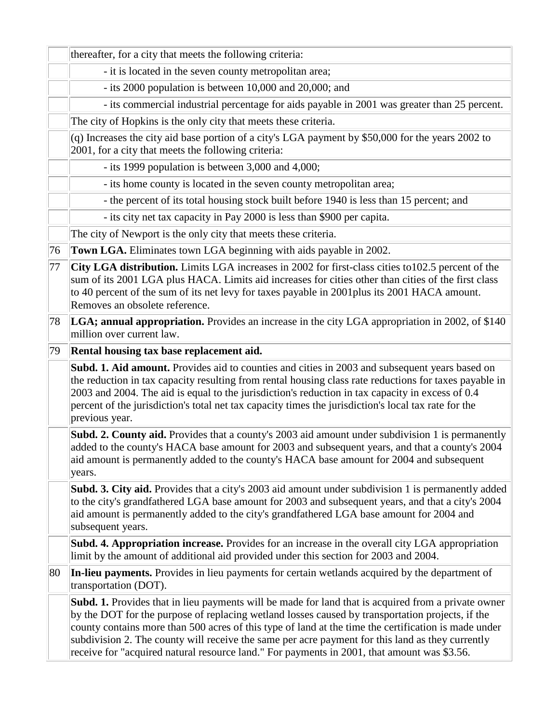|    | thereafter, for a city that meets the following criteria:                                                                                                                                                                                                                                                                                                                                                                                                                                                                 |  |  |
|----|---------------------------------------------------------------------------------------------------------------------------------------------------------------------------------------------------------------------------------------------------------------------------------------------------------------------------------------------------------------------------------------------------------------------------------------------------------------------------------------------------------------------------|--|--|
|    | - it is located in the seven county metropolitan area;                                                                                                                                                                                                                                                                                                                                                                                                                                                                    |  |  |
|    | - its 2000 population is between 10,000 and 20,000; and                                                                                                                                                                                                                                                                                                                                                                                                                                                                   |  |  |
|    | - its commercial industrial percentage for aids payable in 2001 was greater than 25 percent.                                                                                                                                                                                                                                                                                                                                                                                                                              |  |  |
|    | The city of Hopkins is the only city that meets these criteria.                                                                                                                                                                                                                                                                                                                                                                                                                                                           |  |  |
|    | (q) Increases the city aid base portion of a city's LGA payment by \$50,000 for the years 2002 to<br>2001, for a city that meets the following criteria:                                                                                                                                                                                                                                                                                                                                                                  |  |  |
|    | - its 1999 population is between 3,000 and 4,000;                                                                                                                                                                                                                                                                                                                                                                                                                                                                         |  |  |
|    | - its home county is located in the seven county metropolitan area;                                                                                                                                                                                                                                                                                                                                                                                                                                                       |  |  |
|    | - the percent of its total housing stock built before 1940 is less than 15 percent; and                                                                                                                                                                                                                                                                                                                                                                                                                                   |  |  |
|    | - its city net tax capacity in Pay 2000 is less than \$900 per capita.                                                                                                                                                                                                                                                                                                                                                                                                                                                    |  |  |
|    | The city of Newport is the only city that meets these criteria.                                                                                                                                                                                                                                                                                                                                                                                                                                                           |  |  |
| 76 | Town LGA. Eliminates town LGA beginning with aids payable in 2002.                                                                                                                                                                                                                                                                                                                                                                                                                                                        |  |  |
| 77 | City LGA distribution. Limits LGA increases in 2002 for first-class cities to 102.5 percent of the<br>sum of its 2001 LGA plus HACA. Limits aid increases for cities other than cities of the first class<br>to 40 percent of the sum of its net levy for taxes payable in 2001plus its 2001 HACA amount.<br>Removes an obsolete reference.                                                                                                                                                                               |  |  |
| 78 | LGA; annual appropriation. Provides an increase in the city LGA appropriation in 2002, of \$140<br>million over current law.                                                                                                                                                                                                                                                                                                                                                                                              |  |  |
| 79 | Rental housing tax base replacement aid.                                                                                                                                                                                                                                                                                                                                                                                                                                                                                  |  |  |
|    | Subd. 1. Aid amount. Provides aid to counties and cities in 2003 and subsequent years based on<br>the reduction in tax capacity resulting from rental housing class rate reductions for taxes payable in<br>2003 and 2004. The aid is equal to the jurisdiction's reduction in tax capacity in excess of 0.4<br>percent of the jurisdiction's total net tax capacity times the jurisdiction's local tax rate for the<br>previous year.                                                                                    |  |  |
|    | Subd. 2. County aid. Provides that a county's 2003 aid amount under subdivision 1 is permanently<br>added to the county's HACA base amount for 2003 and subsequent years, and that a county's 2004<br>aid amount is permanently added to the county's HACA base amount for 2004 and subsequent<br>years.                                                                                                                                                                                                                  |  |  |
|    | Subd. 3. City aid. Provides that a city's 2003 aid amount under subdivision 1 is permanently added<br>to the city's grandfathered LGA base amount for 2003 and subsequent years, and that a city's 2004<br>aid amount is permanently added to the city's grandfathered LGA base amount for 2004 and<br>subsequent years.                                                                                                                                                                                                  |  |  |
|    | Subd. 4. Appropriation increase. Provides for an increase in the overall city LGA appropriation<br>limit by the amount of additional aid provided under this section for 2003 and 2004.                                                                                                                                                                                                                                                                                                                                   |  |  |
| 80 | In-lieu payments. Provides in lieu payments for certain wetlands acquired by the department of<br>transportation (DOT).                                                                                                                                                                                                                                                                                                                                                                                                   |  |  |
|    | <b>Subd. 1.</b> Provides that in lieu payments will be made for land that is acquired from a private owner<br>by the DOT for the purpose of replacing wetland losses caused by transportation projects, if the<br>county contains more than 500 acres of this type of land at the time the certification is made under<br>subdivision 2. The county will receive the same per acre payment for this land as they currently<br>receive for "acquired natural resource land." For payments in 2001, that amount was \$3.56. |  |  |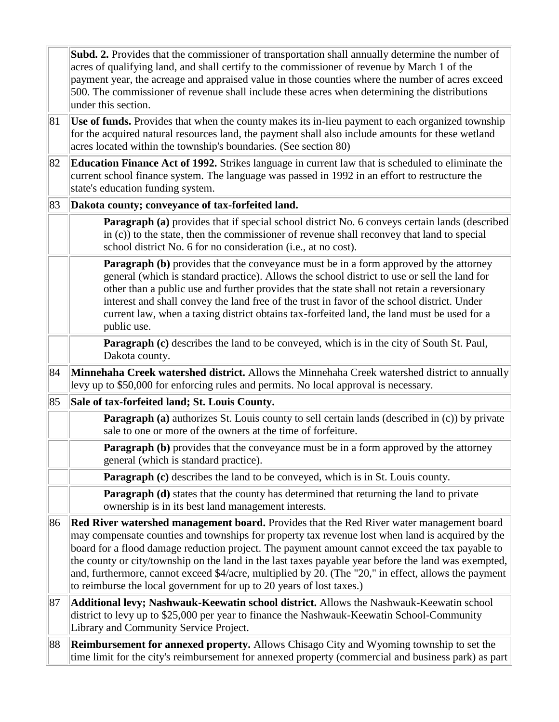|    | Subd. 2. Provides that the commissioner of transportation shall annually determine the number of<br>acres of qualifying land, and shall certify to the commissioner of revenue by March 1 of the<br>payment year, the acreage and appraised value in those counties where the number of acres exceed<br>500. The commissioner of revenue shall include these acres when determining the distributions<br>under this section.                                                                                                                                                            |
|----|-----------------------------------------------------------------------------------------------------------------------------------------------------------------------------------------------------------------------------------------------------------------------------------------------------------------------------------------------------------------------------------------------------------------------------------------------------------------------------------------------------------------------------------------------------------------------------------------|
| 81 | Use of funds. Provides that when the county makes its in-lieu payment to each organized township<br>for the acquired natural resources land, the payment shall also include amounts for these wetland<br>acres located within the township's boundaries. (See section 80)                                                                                                                                                                                                                                                                                                               |
| 82 | <b>Education Finance Act of 1992.</b> Strikes language in current law that is scheduled to eliminate the<br>current school finance system. The language was passed in 1992 in an effort to restructure the<br>state's education funding system.                                                                                                                                                                                                                                                                                                                                         |
| 83 | Dakota county; conveyance of tax-forfeited land.                                                                                                                                                                                                                                                                                                                                                                                                                                                                                                                                        |
|    | <b>Paragraph (a)</b> provides that if special school district No. 6 conveys certain lands (described<br>in (c)) to the state, then the commissioner of revenue shall reconvey that land to special<br>school district No. 6 for no consideration (i.e., at no cost).                                                                                                                                                                                                                                                                                                                    |
|    | <b>Paragraph (b)</b> provides that the conveyance must be in a form approved by the attorney<br>general (which is standard practice). Allows the school district to use or sell the land for<br>other than a public use and further provides that the state shall not retain a reversionary<br>interest and shall convey the land free of the trust in favor of the school district. Under<br>current law, when a taxing district obtains tax-forfeited land, the land must be used for a<br>public use.                                                                                |
|    | <b>Paragraph (c)</b> describes the land to be conveyed, which is in the city of South St. Paul,<br>Dakota county.                                                                                                                                                                                                                                                                                                                                                                                                                                                                       |
| 84 | Minnehaha Creek watershed district. Allows the Minnehaha Creek watershed district to annually<br>levy up to \$50,000 for enforcing rules and permits. No local approval is necessary.                                                                                                                                                                                                                                                                                                                                                                                                   |
| 85 | Sale of tax-forfeited land; St. Louis County.                                                                                                                                                                                                                                                                                                                                                                                                                                                                                                                                           |
|    | <b>Paragraph (a)</b> authorizes St. Louis county to sell certain lands (described in (c)) by private<br>sale to one or more of the owners at the time of forfeiture.                                                                                                                                                                                                                                                                                                                                                                                                                    |
|    | <b>Paragraph (b)</b> provides that the conveyance must be in a form approved by the attorney<br>general (which is standard practice).                                                                                                                                                                                                                                                                                                                                                                                                                                                   |
|    | <b>Paragraph (c)</b> describes the land to be conveyed, which is in St. Louis county.                                                                                                                                                                                                                                                                                                                                                                                                                                                                                                   |
|    | <b>Paragraph (d)</b> states that the county has determined that returning the land to private<br>ownership is in its best land management interests.                                                                                                                                                                                                                                                                                                                                                                                                                                    |
| 86 | Red River watershed management board. Provides that the Red River water management board<br>may compensate counties and townships for property tax revenue lost when land is acquired by the<br>board for a flood damage reduction project. The payment amount cannot exceed the tax payable to<br>the county or city/township on the land in the last taxes payable year before the land was exempted,<br>and, furthermore, cannot exceed \$4/acre, multiplied by 20. (The "20," in effect, allows the payment<br>to reimburse the local government for up to 20 years of lost taxes.) |
| 87 | Additional levy; Nashwauk-Keewatin school district. Allows the Nashwauk-Keewatin school<br>district to levy up to \$25,000 per year to finance the Nashwauk-Keewatin School-Community<br>Library and Community Service Project.                                                                                                                                                                                                                                                                                                                                                         |
| 88 | Reimbursement for annexed property. Allows Chisago City and Wyoming township to set the<br>time limit for the city's reimbursement for annexed property (commercial and business park) as part                                                                                                                                                                                                                                                                                                                                                                                          |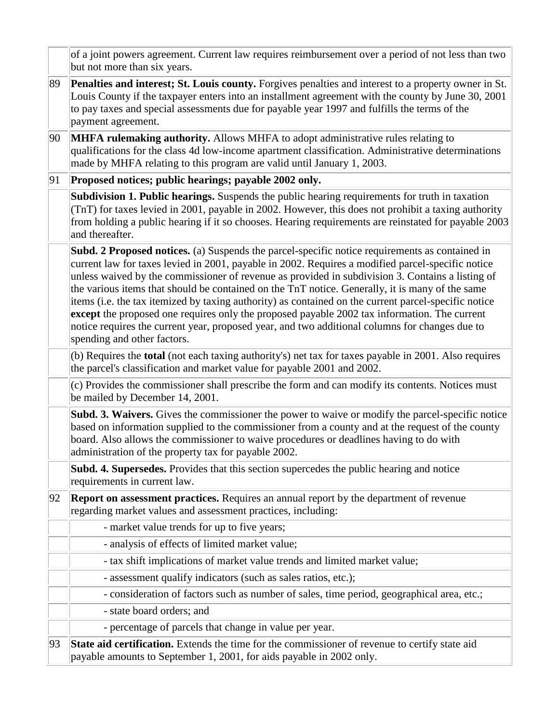|    | of a joint powers agreement. Current law requires reimbursement over a period of not less than two<br>but not more than six years.                                                                                                                                                                                                                                                                                                                                                                                                                                                                                                                                                                                                                  |
|----|-----------------------------------------------------------------------------------------------------------------------------------------------------------------------------------------------------------------------------------------------------------------------------------------------------------------------------------------------------------------------------------------------------------------------------------------------------------------------------------------------------------------------------------------------------------------------------------------------------------------------------------------------------------------------------------------------------------------------------------------------------|
| 89 | Penalties and interest; St. Louis county. Forgives penalties and interest to a property owner in St.<br>Louis County if the taxpayer enters into an installment agreement with the county by June 30, 2001<br>to pay taxes and special assessments due for payable year 1997 and fulfills the terms of the<br>payment agreement.                                                                                                                                                                                                                                                                                                                                                                                                                    |
| 90 | <b>MHFA rulemaking authority.</b> Allows MHFA to adopt administrative rules relating to<br>qualifications for the class 4d low-income apartment classification. Administrative determinations<br>made by MHFA relating to this program are valid until January 1, 2003.                                                                                                                                                                                                                                                                                                                                                                                                                                                                             |
| 91 | Proposed notices; public hearings; payable 2002 only.                                                                                                                                                                                                                                                                                                                                                                                                                                                                                                                                                                                                                                                                                               |
|    | Subdivision 1. Public hearings. Suspends the public hearing requirements for truth in taxation<br>(TnT) for taxes levied in 2001, payable in 2002. However, this does not prohibit a taxing authority<br>from holding a public hearing if it so chooses. Hearing requirements are reinstated for payable 2003<br>and thereafter.                                                                                                                                                                                                                                                                                                                                                                                                                    |
|    | Subd. 2 Proposed notices. (a) Suspends the parcel-specific notice requirements as contained in<br>current law for taxes levied in 2001, payable in 2002. Requires a modified parcel-specific notice<br>unless waived by the commissioner of revenue as provided in subdivision 3. Contains a listing of<br>the various items that should be contained on the TnT notice. Generally, it is many of the same<br>items (i.e. the tax itemized by taxing authority) as contained on the current parcel-specific notice<br>except the proposed one requires only the proposed payable 2002 tax information. The current<br>notice requires the current year, proposed year, and two additional columns for changes due to<br>spending and other factors. |
|    | (b) Requires the <b>total</b> (not each taxing authority's) net tax for taxes payable in 2001. Also requires<br>the parcel's classification and market value for payable 2001 and 2002.                                                                                                                                                                                                                                                                                                                                                                                                                                                                                                                                                             |
|    | (c) Provides the commissioner shall prescribe the form and can modify its contents. Notices must<br>be mailed by December 14, 2001.                                                                                                                                                                                                                                                                                                                                                                                                                                                                                                                                                                                                                 |
|    | Subd. 3. Waivers. Gives the commissioner the power to waive or modify the parcel-specific notice<br>based on information supplied to the commissioner from a county and at the request of the county<br>board. Also allows the commissioner to waive procedures or deadlines having to do with<br>administration of the property tax for payable 2002.                                                                                                                                                                                                                                                                                                                                                                                              |
|    | <b>Subd. 4. Supersedes.</b> Provides that this section supercedes the public hearing and notice<br>requirements in current law.                                                                                                                                                                                                                                                                                                                                                                                                                                                                                                                                                                                                                     |
| 92 | <b>Report on assessment practices.</b> Requires an annual report by the department of revenue<br>regarding market values and assessment practices, including:                                                                                                                                                                                                                                                                                                                                                                                                                                                                                                                                                                                       |
|    | - market value trends for up to five years;                                                                                                                                                                                                                                                                                                                                                                                                                                                                                                                                                                                                                                                                                                         |
|    | - analysis of effects of limited market value;                                                                                                                                                                                                                                                                                                                                                                                                                                                                                                                                                                                                                                                                                                      |
|    | - tax shift implications of market value trends and limited market value;                                                                                                                                                                                                                                                                                                                                                                                                                                                                                                                                                                                                                                                                           |
|    | - assessment qualify indicators (such as sales ratios, etc.);                                                                                                                                                                                                                                                                                                                                                                                                                                                                                                                                                                                                                                                                                       |
|    | - consideration of factors such as number of sales, time period, geographical area, etc.;                                                                                                                                                                                                                                                                                                                                                                                                                                                                                                                                                                                                                                                           |
|    | - state board orders; and                                                                                                                                                                                                                                                                                                                                                                                                                                                                                                                                                                                                                                                                                                                           |
|    | - percentage of parcels that change in value per year.                                                                                                                                                                                                                                                                                                                                                                                                                                                                                                                                                                                                                                                                                              |
| 93 | State aid certification. Extends the time for the commissioner of revenue to certify state aid<br>payable amounts to September 1, 2001, for aids payable in 2002 only.                                                                                                                                                                                                                                                                                                                                                                                                                                                                                                                                                                              |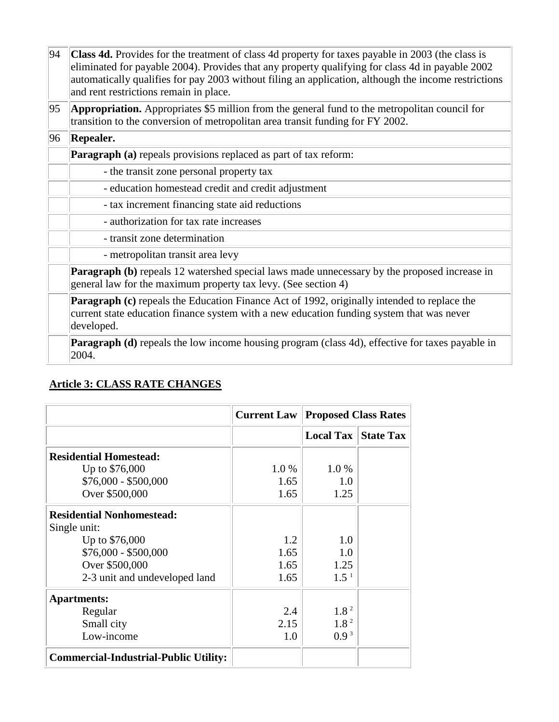| 94 | Class 4d. Provides for the treatment of class 4d property for taxes payable in 2003 (the class is<br>eliminated for payable 2004). Provides that any property qualifying for class 4d in payable 2002<br>automatically qualifies for pay 2003 without filing an application, although the income restrictions<br>and rent restrictions remain in place. |  |  |
|----|---------------------------------------------------------------------------------------------------------------------------------------------------------------------------------------------------------------------------------------------------------------------------------------------------------------------------------------------------------|--|--|
| 95 | <b>Appropriation.</b> Appropriates \$5 million from the general fund to the metropolitan council for<br>transition to the conversion of metropolitan area transit funding for FY 2002.                                                                                                                                                                  |  |  |
| 96 | <b>Repealer.</b>                                                                                                                                                                                                                                                                                                                                        |  |  |
|    | <b>Paragraph (a)</b> repeals provisions replaced as part of tax reform:                                                                                                                                                                                                                                                                                 |  |  |
|    | - the transit zone personal property tax                                                                                                                                                                                                                                                                                                                |  |  |
|    | - education homestead credit and credit adjustment                                                                                                                                                                                                                                                                                                      |  |  |
|    | - tax increment financing state aid reductions                                                                                                                                                                                                                                                                                                          |  |  |
|    | - authorization for tax rate increases                                                                                                                                                                                                                                                                                                                  |  |  |
|    | - transit zone determination                                                                                                                                                                                                                                                                                                                            |  |  |
|    | - metropolitan transit area levy                                                                                                                                                                                                                                                                                                                        |  |  |
|    | <b>Paragraph (b)</b> repeals 12 watershed special laws made unnecessary by the proposed increase in<br>general law for the maximum property tax levy. (See section 4)                                                                                                                                                                                   |  |  |
|    | <b>Paragraph (c)</b> repeals the Education Finance Act of 1992, originally intended to replace the<br>current state education finance system with a new education funding system that was never<br>developed.                                                                                                                                           |  |  |
|    | Paragraph (d) repeals the low income housing program (class 4d), effective for taxes payable in<br>2004.                                                                                                                                                                                                                                                |  |  |

## **Article 3: CLASS RATE CHANGES**

|                                              |       | <b>Current Law Proposed Class Rates</b> |                            |
|----------------------------------------------|-------|-----------------------------------------|----------------------------|
|                                              |       |                                         | <b>Local Tax State Tax</b> |
| <b>Residential Homestead:</b>                |       |                                         |                            |
| Up to \$76,000                               | 1.0 % | 1.0%                                    |                            |
| $$76,000 - $500,000$                         | 1.65  | 1.0                                     |                            |
| Over \$500,000                               | 1.65  | 1.25                                    |                            |
| <b>Residential Nonhomestead:</b>             |       |                                         |                            |
| Single unit:                                 |       |                                         |                            |
| Up to \$76,000                               | 1.2   | 1.0                                     |                            |
| $$76,000 - $500,000$                         | 1.65  | 1.0                                     |                            |
| Over \$500,000                               | 1.65  | 1.25                                    |                            |
| 2-3 unit and undeveloped land                | 1.65  | $1.5^{\mathrm{-1}}$                     |                            |
| <b>Apartments:</b>                           |       |                                         |                            |
| Regular                                      | 2.4   | 1.8 <sup>2</sup>                        |                            |
| Small city                                   | 2.15  | 1.8 <sup>2</sup>                        |                            |
| Low-income                                   | 1.0   | 0.9 <sup>3</sup>                        |                            |
| <b>Commercial-Industrial-Public Utility:</b> |       |                                         |                            |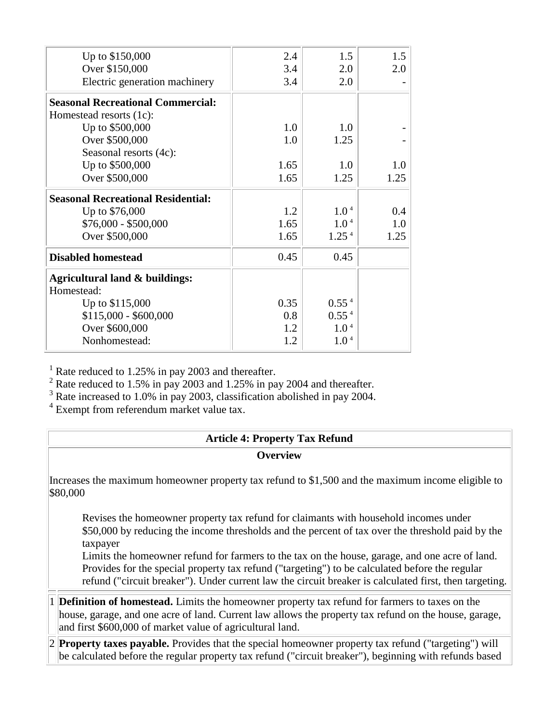| Up to \$150,000                           | 2.4  | 1.5               | 1.5  |
|-------------------------------------------|------|-------------------|------|
| Over \$150,000                            | 3.4  | 2.0               | 2.0  |
| Electric generation machinery             | 3.4  | 2.0               |      |
| <b>Seasonal Recreational Commercial:</b>  |      |                   |      |
| Homestead resorts (1c):                   |      |                   |      |
| Up to \$500,000                           | 1.0  | 1.0               |      |
| Over \$500,000                            | 1.0  | 1.25              |      |
| Seasonal resorts (4c):                    |      |                   |      |
| Up to \$500,000                           | 1.65 | 1.0               | 1.0  |
| Over \$500,000                            | 1.65 | 1.25              | 1.25 |
| <b>Seasonal Recreational Residential:</b> |      |                   |      |
| Up to \$76,000                            | 1.2  | 1.0 <sup>4</sup>  | 0.4  |
| $$76,000 - $500,000$                      | 1.65 | 1.0 <sup>4</sup>  | 1.0  |
| Over \$500,000                            | 1.65 | 1.25 <sup>4</sup> | 1.25 |
| <b>Disabled homestead</b>                 | 0.45 | 0.45              |      |
| Agricultural land & buildings:            |      |                   |      |
| Homestead:                                |      |                   |      |
| Up to \$115,000                           | 0.35 | 0.55 <sup>4</sup> |      |
| $$115,000 - $600,000$                     | 0.8  | 0.55 <sup>4</sup> |      |
| Over \$600,000                            | 1.2  | 1.0 <sup>4</sup>  |      |
| Nonhomestead:                             | 1.2  | 1.0 <sup>4</sup>  |      |
|                                           |      |                   |      |

 $<sup>1</sup>$  Rate reduced to 1.25% in pay 2003 and thereafter.</sup>

 $^{2}$  Rate reduced to 1.5% in pay 2003 and 1.25% in pay 2004 and thereafter.

<sup>3</sup> Rate increased to 1.0% in pay 2003, classification abolished in pay 2004.<br><sup>4</sup> Exempt from referendum market value tax.

|                                                                                                               | <b>Article 4: Property Tax Refund</b>                                                                                                                                                                                                                                                                                                                                                                                                                                                                              |  |  |
|---------------------------------------------------------------------------------------------------------------|--------------------------------------------------------------------------------------------------------------------------------------------------------------------------------------------------------------------------------------------------------------------------------------------------------------------------------------------------------------------------------------------------------------------------------------------------------------------------------------------------------------------|--|--|
|                                                                                                               | <b>Overview</b>                                                                                                                                                                                                                                                                                                                                                                                                                                                                                                    |  |  |
| Increases the maximum homeowner property tax refund to \$1,500 and the maximum income eligible to<br>\$80,000 |                                                                                                                                                                                                                                                                                                                                                                                                                                                                                                                    |  |  |
|                                                                                                               | Revises the homeowner property tax refund for claimants with household incomes under<br>\$50,000 by reducing the income thresholds and the percent of tax over the threshold paid by the<br>taxpayer<br>Limits the homeowner refund for farmers to the tax on the house, garage, and one acre of land.<br>Provides for the special property tax refund ("targeting") to be calculated before the regular<br>refund ("circuit breaker"). Under current law the circuit breaker is calculated first, then targeting. |  |  |
|                                                                                                               | 1 <b>Definition of homestead.</b> Limits the homeowner property tax refund for farmers to taxes on the<br>house, garage, and one acre of land. Current law allows the property tax refund on the house, garage,<br>and first \$600,000 of market value of agricultural land.                                                                                                                                                                                                                                       |  |  |
|                                                                                                               | $ 2 $ <b>Property taxes payable.</b> Provides that the special homeowner property tax refund ("targeting") will<br>be calculated before the regular property tax refund ("circuit breaker"), beginning with refunds based                                                                                                                                                                                                                                                                                          |  |  |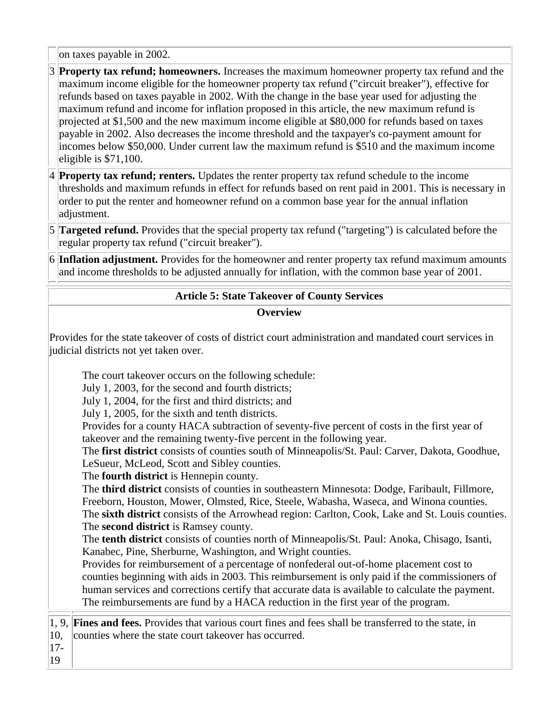on taxes payable in 2002.

- 3 **Property tax refund; homeowners.** Increases the maximum homeowner property tax refund and the maximum income eligible for the homeowner property tax refund ("circuit breaker"), effective for refunds based on taxes payable in 2002. With the change in the base year used for adjusting the maximum refund and income for inflation proposed in this article, the new maximum refund is projected at \$1,500 and the new maximum income eligible at \$80,000 for refunds based on taxes payable in 2002. Also decreases the income threshold and the taxpayer's co-payment amount for incomes below \$50,000. Under current law the maximum refund is \$510 and the maximum income eligible is \$71,100.
- 4 **Property tax refund; renters.** Updates the renter property tax refund schedule to the income thresholds and maximum refunds in effect for refunds based on rent paid in 2001. This is necessary in order to put the renter and homeowner refund on a common base year for the annual inflation adjustment.
- 5 **Targeted refund.** Provides that the special property tax refund ("targeting") is calculated before the regular property tax refund ("circuit breaker").
- 6 **Inflation adjustment.** Provides for the homeowner and renter property tax refund maximum amounts and income thresholds to be adjusted annually for inflation, with the common base year of 2001.

### **Article 5: State Takeover of County Services**

#### **Overview**

Provides for the state takeover of costs of district court administration and mandated court services in judicial districts not yet taken over.

The court takeover occurs on the following schedule:

July 1, 2003, for the second and fourth districts;

July 1, 2004, for the first and third districts; and

July 1, 2005, for the sixth and tenth districts.

Provides for a county HACA subtraction of seventy-five percent of costs in the first year of takeover and the remaining twenty-five percent in the following year.

The **first district** consists of counties south of Minneapolis/St. Paul: Carver, Dakota, Goodhue, LeSueur, McLeod, Scott and Sibley counties.

The **fourth district** is Hennepin county.

The **third district** consists of counties in southeastern Minnesota: Dodge, Faribault, Fillmore, Freeborn, Houston, Mower, Olmsted, Rice, Steele, Wabasha, Waseca, and Winona counties. The **sixth district** consists of the Arrowhead region: Carlton, Cook, Lake and St. Louis counties. The **second district** is Ramsey county.

The **tenth district** consists of counties north of Minneapolis/St. Paul: Anoka, Chisago, Isanti, Kanabec, Pine, Sherburne, Washington, and Wright counties.

Provides for reimbursement of a percentage of nonfederal out-of-home placement cost to counties beginning with aids in 2003. This reimbursement is only paid if the commissioners of human services and corrections certify that accurate data is available to calculate the payment. The reimbursements are fund by a HACA reduction in the first year of the program.

1, 9, **Fines and fees.** Provides that various court fines and fees shall be transferred to the state, in 10, counties where the state court takeover has occurred.

17- 19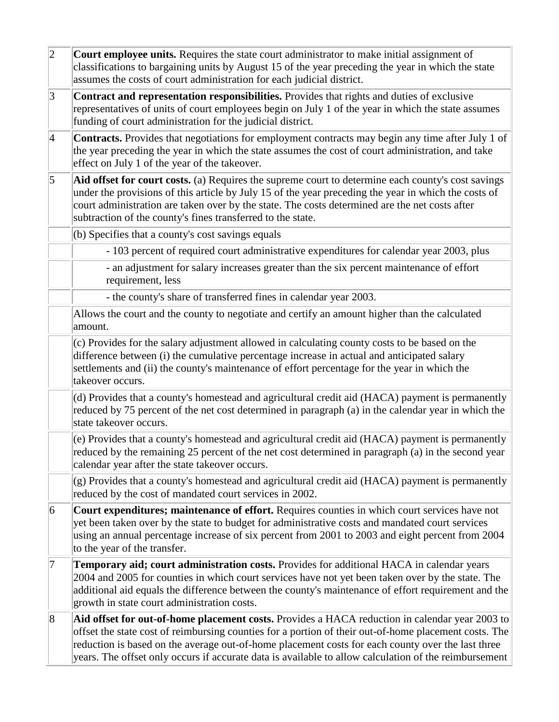| $ 2\rangle$ | Court employee units. Requires the state court administrator to make initial assignment of<br>classifications to bargaining units by August 15 of the year preceding the year in which the state<br>assumes the costs of court administration for each judicial district.                                                                                                                                             |
|-------------|-----------------------------------------------------------------------------------------------------------------------------------------------------------------------------------------------------------------------------------------------------------------------------------------------------------------------------------------------------------------------------------------------------------------------|
| $ 3\rangle$ | Contract and representation responsibilities. Provides that rights and duties of exclusive<br>representatives of units of court employees begin on July 1 of the year in which the state assumes<br>funding of court administration for the judicial district.                                                                                                                                                        |
| $\vert 4$   | Contracts. Provides that negotiations for employment contracts may begin any time after July 1 of<br>the year preceding the year in which the state assumes the cost of court administration, and take<br>effect on July 1 of the year of the takeover.                                                                                                                                                               |
| $\vert$ 5   | Aid offset for court costs. (a) Requires the supreme court to determine each county's cost savings<br>under the provisions of this article by July 15 of the year preceding the year in which the costs of<br>court administration are taken over by the state. The costs determined are the net costs after<br>subtraction of the county's fines transferred to the state.                                           |
|             | (b) Specifies that a county's cost savings equals                                                                                                                                                                                                                                                                                                                                                                     |
|             | - 103 percent of required court administrative expenditures for calendar year 2003, plus                                                                                                                                                                                                                                                                                                                              |
|             | - an adjustment for salary increases greater than the six percent maintenance of effort<br>requirement, less                                                                                                                                                                                                                                                                                                          |
|             | - the county's share of transferred fines in calendar year 2003.                                                                                                                                                                                                                                                                                                                                                      |
|             | Allows the court and the county to negotiate and certify an amount higher than the calculated<br>amount.                                                                                                                                                                                                                                                                                                              |
|             | (c) Provides for the salary adjustment allowed in calculating county costs to be based on the<br>difference between (i) the cumulative percentage increase in actual and anticipated salary<br>settlements and (ii) the county's maintenance of effort percentage for the year in which the<br>takeover occurs.                                                                                                       |
|             | (d) Provides that a county's homestead and agricultural credit aid (HACA) payment is permanently<br>reduced by 75 percent of the net cost determined in paragraph (a) in the calendar year in which the<br>state takeover occurs.                                                                                                                                                                                     |
|             | (e) Provides that a county's homestead and agricultural credit aid (HACA) payment is permanently<br>reduced by the remaining 25 percent of the net cost determined in paragraph (a) in the second year<br>calendar year after the state takeover occurs.                                                                                                                                                              |
|             | (g) Provides that a county's homestead and agricultural credit aid (HACA) payment is permanently<br>reduced by the cost of mandated court services in 2002.                                                                                                                                                                                                                                                           |
| 6           | Court expenditures; maintenance of effort. Requires counties in which court services have not<br>yet been taken over by the state to budget for administrative costs and mandated court services<br>using an annual percentage increase of six percent from 2001 to 2003 and eight percent from 2004<br>to the year of the transfer.                                                                                  |
| 7           | Temporary aid; court administration costs. Provides for additional HACA in calendar years<br>2004 and 2005 for counties in which court services have not yet been taken over by the state. The<br>additional aid equals the difference between the county's maintenance of effort requirement and the<br>growth in state court administration costs.                                                                  |
| 8           | Aid offset for out-of-home placement costs. Provides a HACA reduction in calendar year 2003 to<br>offset the state cost of reimbursing counties for a portion of their out-of-home placement costs. The<br>reduction is based on the average out-of-home placement costs for each county over the last three<br>years. The offset only occurs if accurate data is available to allow calculation of the reimbursement |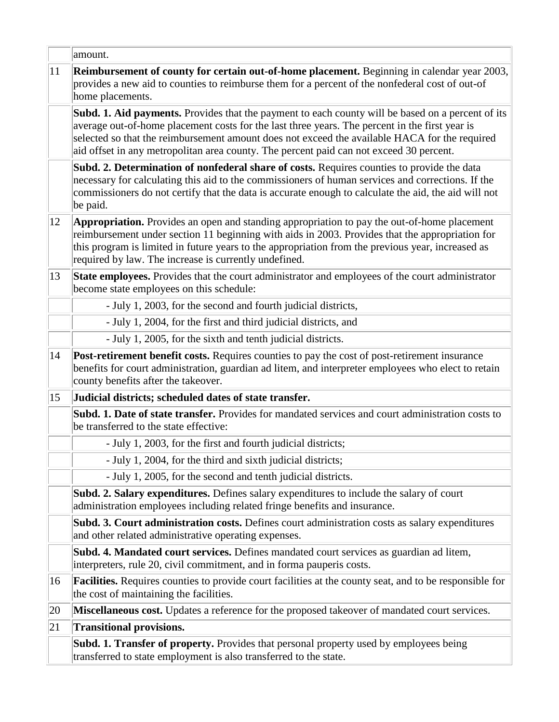|    | amount.                                                                                                                                                                                                                                                                                                                                                                                                |
|----|--------------------------------------------------------------------------------------------------------------------------------------------------------------------------------------------------------------------------------------------------------------------------------------------------------------------------------------------------------------------------------------------------------|
| 11 | Reimbursement of county for certain out-of-home placement. Beginning in calendar year 2003,<br>provides a new aid to counties to reimburse them for a percent of the nonfederal cost of out-of<br>home placements.                                                                                                                                                                                     |
|    | <b>Subd. 1. Aid payments.</b> Provides that the payment to each county will be based on a percent of its<br>average out-of-home placement costs for the last three years. The percent in the first year is<br>selected so that the reimbursement amount does not exceed the available HACA for the required<br>aid offset in any metropolitan area county. The percent paid can not exceed 30 percent. |
|    | Subd. 2. Determination of nonfederal share of costs. Requires counties to provide the data<br>necessary for calculating this aid to the commissioners of human services and corrections. If the<br>commissioners do not certify that the data is accurate enough to calculate the aid, the aid will not<br>be paid.                                                                                    |
| 12 | <b>Appropriation.</b> Provides an open and standing appropriation to pay the out-of-home placement<br>reimbursement under section 11 beginning with aids in 2003. Provides that the appropriation for<br>this program is limited in future years to the appropriation from the previous year, increased as<br>required by law. The increase is currently undefined.                                    |
| 13 | State employees. Provides that the court administrator and employees of the court administrator<br>become state employees on this schedule:                                                                                                                                                                                                                                                            |
|    | - July 1, 2003, for the second and fourth judicial districts,                                                                                                                                                                                                                                                                                                                                          |
|    | - July 1, 2004, for the first and third judicial districts, and                                                                                                                                                                                                                                                                                                                                        |
|    | - July 1, 2005, for the sixth and tenth judicial districts.                                                                                                                                                                                                                                                                                                                                            |
| 14 | Post-retirement benefit costs. Requires counties to pay the cost of post-retirement insurance<br>benefits for court administration, guardian ad litem, and interpreter employees who elect to retain<br>county benefits after the takeover.                                                                                                                                                            |
| 15 | Judicial districts; scheduled dates of state transfer.                                                                                                                                                                                                                                                                                                                                                 |
|    | Subd. 1. Date of state transfer. Provides for mandated services and court administration costs to<br>be transferred to the state effective:                                                                                                                                                                                                                                                            |
|    | - July 1, 2003, for the first and fourth judicial districts;                                                                                                                                                                                                                                                                                                                                           |
|    | - July 1, 2004, for the third and sixth judicial districts;                                                                                                                                                                                                                                                                                                                                            |
|    | - July 1, 2005, for the second and tenth judicial districts.                                                                                                                                                                                                                                                                                                                                           |
|    | <b>Subd. 2. Salary expenditures.</b> Defines salary expenditures to include the salary of court<br>administration employees including related fringe benefits and insurance.                                                                                                                                                                                                                           |
|    | Subd. 3. Court administration costs. Defines court administration costs as salary expenditures<br>and other related administrative operating expenses.                                                                                                                                                                                                                                                 |
|    | Subd. 4. Mandated court services. Defines mandated court services as guardian ad litem,<br>interpreters, rule 20, civil commitment, and in forma pauperis costs.                                                                                                                                                                                                                                       |
| 16 | <b>Facilities.</b> Requires counties to provide court facilities at the county seat, and to be responsible for<br>the cost of maintaining the facilities.                                                                                                                                                                                                                                              |
| 20 | Miscellaneous cost. Updates a reference for the proposed takeover of mandated court services.                                                                                                                                                                                                                                                                                                          |
| 21 | <b>Transitional provisions.</b>                                                                                                                                                                                                                                                                                                                                                                        |
|    | <b>Subd. 1. Transfer of property.</b> Provides that personal property used by employees being<br>transferred to state employment is also transferred to the state.                                                                                                                                                                                                                                     |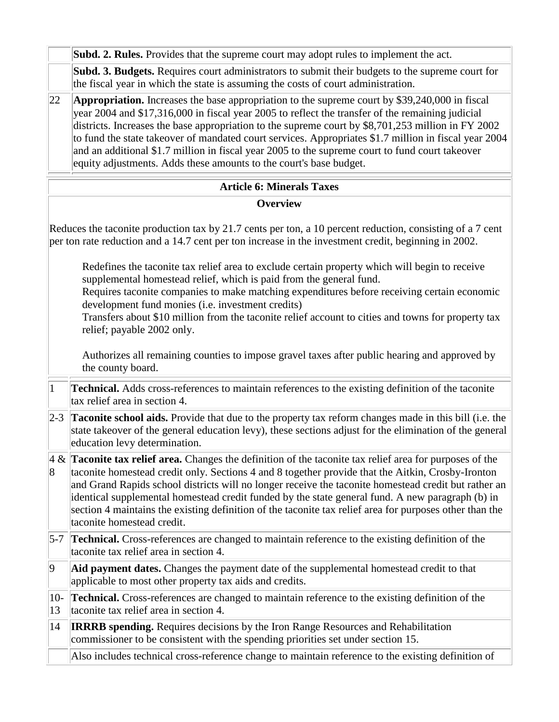|                | Subd. 2. Rules. Provides that the supreme court may adopt rules to implement the act.                                                                                                                                                                                                                                                                                                                                                                                                                                                                                                              |
|----------------|----------------------------------------------------------------------------------------------------------------------------------------------------------------------------------------------------------------------------------------------------------------------------------------------------------------------------------------------------------------------------------------------------------------------------------------------------------------------------------------------------------------------------------------------------------------------------------------------------|
|                | Subd. 3. Budgets. Requires court administrators to submit their budgets to the supreme court for<br>the fiscal year in which the state is assuming the costs of court administration.                                                                                                                                                                                                                                                                                                                                                                                                              |
| 22             | <b>Appropriation.</b> Increases the base appropriation to the supreme court by \$39,240,000 in fiscal<br>year 2004 and \$17,316,000 in fiscal year 2005 to reflect the transfer of the remaining judicial<br>districts. Increases the base appropriation to the supreme court by \$8,701,253 million in FY 2002<br>to fund the state takeover of mandated court services. Appropriates \$1.7 million in fiscal year 2004<br>and an additional \$1.7 million in fiscal year 2005 to the supreme court to fund court takeover<br>equity adjustments. Adds these amounts to the court's base budget.  |
|                | <b>Article 6: Minerals Taxes</b>                                                                                                                                                                                                                                                                                                                                                                                                                                                                                                                                                                   |
|                | Overview                                                                                                                                                                                                                                                                                                                                                                                                                                                                                                                                                                                           |
|                | Reduces the taconite production tax by 21.7 cents per ton, a 10 percent reduction, consisting of a 7 cent<br>per ton rate reduction and a 14.7 cent per ton increase in the investment credit, beginning in 2002.                                                                                                                                                                                                                                                                                                                                                                                  |
|                | Redefines the taconite tax relief area to exclude certain property which will begin to receive<br>supplemental homestead relief, which is paid from the general fund.<br>Requires taconite companies to make matching expenditures before receiving certain economic<br>development fund monies (i.e. investment credits)<br>Transfers about \$10 million from the taconite relief account to cities and towns for property tax<br>relief; payable 2002 only.                                                                                                                                      |
|                | Authorizes all remaining counties to impose gravel taxes after public hearing and approved by<br>the county board.                                                                                                                                                                                                                                                                                                                                                                                                                                                                                 |
| $\overline{1}$ | <b>Technical.</b> Adds cross-references to maintain references to the existing definition of the taconite<br>tax relief area in section 4.                                                                                                                                                                                                                                                                                                                                                                                                                                                         |
| $ 2-3 $        | Taconite school aids. Provide that due to the property tax reform changes made in this bill (i.e. the<br>state takeover of the general education levy), these sections adjust for the elimination of the general<br>education levy determination.                                                                                                                                                                                                                                                                                                                                                  |
| 8              | $\mathcal{A} \& \mathcal{A}$ <b>Taconite tax relief area.</b> Changes the definition of the taconite tax relief area for purposes of the<br>taconite homestead credit only. Sections 4 and 8 together provide that the Aitkin, Crosby-Ironton<br>and Grand Rapids school districts will no longer receive the taconite homestead credit but rather an<br>identical supplemental homestead credit funded by the state general fund. A new paragraph (b) in<br>section 4 maintains the existing definition of the taconite tax relief area for purposes other than the<br>taconite homestead credit. |
| $ 5-7 $        | <b>Technical.</b> Cross-references are changed to maintain reference to the existing definition of the<br>taconite tax relief area in section 4.                                                                                                                                                                                                                                                                                                                                                                                                                                                   |
| $ 9\rangle$    | Aid payment dates. Changes the payment date of the supplemental homestead credit to that<br>applicable to most other property tax aids and credits.                                                                                                                                                                                                                                                                                                                                                                                                                                                |
| $10-$<br>13    | Technical. Cross-references are changed to maintain reference to the existing definition of the<br>taconite tax relief area in section 4.                                                                                                                                                                                                                                                                                                                                                                                                                                                          |
| 14             | <b>IRRRB spending.</b> Requires decisions by the Iron Range Resources and Rehabilitation<br>commissioner to be consistent with the spending priorities set under section 15.                                                                                                                                                                                                                                                                                                                                                                                                                       |
|                | Also includes technical cross-reference change to maintain reference to the existing definition of                                                                                                                                                                                                                                                                                                                                                                                                                                                                                                 |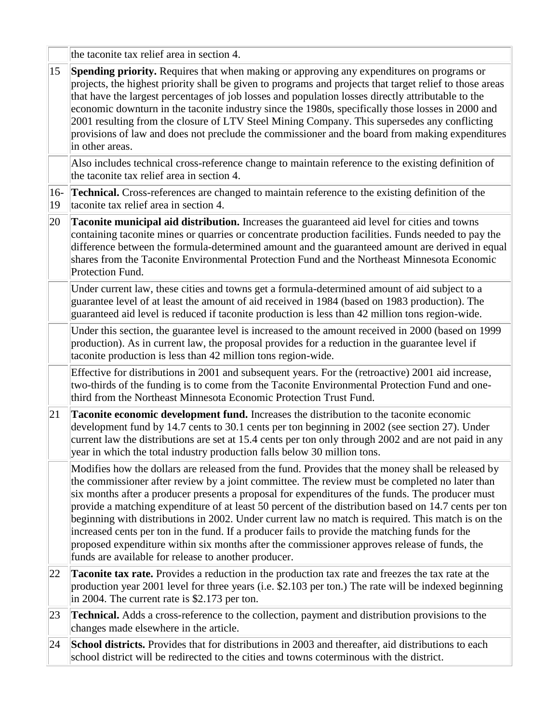|           | the taconite tax relief area in section 4.                                                                                                                                                                                                                                                                                                                                                                                                                                                                                                                                                                                                                                                                                                                                       |
|-----------|----------------------------------------------------------------------------------------------------------------------------------------------------------------------------------------------------------------------------------------------------------------------------------------------------------------------------------------------------------------------------------------------------------------------------------------------------------------------------------------------------------------------------------------------------------------------------------------------------------------------------------------------------------------------------------------------------------------------------------------------------------------------------------|
| 15        | Spending priority. Requires that when making or approving any expenditures on programs or<br>projects, the highest priority shall be given to programs and projects that target relief to those areas<br>that have the largest percentages of job losses and population losses directly attributable to the<br>economic downturn in the taconite industry since the 1980s, specifically those losses in 2000 and<br>2001 resulting from the closure of LTV Steel Mining Company. This supersedes any conflicting<br>provisions of law and does not preclude the commissioner and the board from making expenditures<br>in other areas.                                                                                                                                           |
|           | Also includes technical cross-reference change to maintain reference to the existing definition of<br>the taconite tax relief area in section 4.                                                                                                                                                                                                                                                                                                                                                                                                                                                                                                                                                                                                                                 |
| 16-<br>19 | Technical. Cross-references are changed to maintain reference to the existing definition of the<br>taconite tax relief area in section 4.                                                                                                                                                                                                                                                                                                                                                                                                                                                                                                                                                                                                                                        |
| 20        | <b>Taconite municipal aid distribution.</b> Increases the guaranteed aid level for cities and towns<br>containing taconite mines or quarries or concentrate production facilities. Funds needed to pay the<br>difference between the formula-determined amount and the guaranteed amount are derived in equal<br>shares from the Taconite Environmental Protection Fund and the Northeast Minnesota Economic<br>Protection Fund.                                                                                                                                                                                                                                                                                                                                                 |
|           | Under current law, these cities and towns get a formula-determined amount of aid subject to a<br>guarantee level of at least the amount of aid received in 1984 (based on 1983 production). The<br>guaranteed aid level is reduced if taconite production is less than 42 million tons region-wide.                                                                                                                                                                                                                                                                                                                                                                                                                                                                              |
|           | Under this section, the guarantee level is increased to the amount received in 2000 (based on 1999<br>production). As in current law, the proposal provides for a reduction in the guarantee level if<br>taconite production is less than 42 million tons region-wide.                                                                                                                                                                                                                                                                                                                                                                                                                                                                                                           |
|           | Effective for distributions in 2001 and subsequent years. For the (retroactive) 2001 aid increase,<br>two-thirds of the funding is to come from the Taconite Environmental Protection Fund and one-<br>third from the Northeast Minnesota Economic Protection Trust Fund.                                                                                                                                                                                                                                                                                                                                                                                                                                                                                                        |
| 21        | Taconite economic development fund. Increases the distribution to the taconite economic<br>development fund by 14.7 cents to 30.1 cents per ton beginning in 2002 (see section 27). Under<br>current law the distributions are set at 15.4 cents per ton only through 2002 and are not paid in any<br>year in which the total industry production falls below 30 million tons.                                                                                                                                                                                                                                                                                                                                                                                                   |
|           | Modifies how the dollars are released from the fund. Provides that the money shall be released by<br>the commissioner after review by a joint committee. The review must be completed no later than<br>six months after a producer presents a proposal for expenditures of the funds. The producer must<br>provide a matching expenditure of at least 50 percent of the distribution based on 14.7 cents per ton<br>beginning with distributions in 2002. Under current law no match is required. This match is on the<br>increased cents per ton in the fund. If a producer fails to provide the matching funds for the<br>proposed expenditure within six months after the commissioner approves release of funds, the<br>funds are available for release to another producer. |
| 22        | <b>Taconite tax rate.</b> Provides a reduction in the production tax rate and freezes the tax rate at the<br>production year 2001 level for three years (i.e. \$2.103 per ton.) The rate will be indexed beginning<br>in 2004. The current rate is \$2.173 per ton.                                                                                                                                                                                                                                                                                                                                                                                                                                                                                                              |
| 23        | Technical. Adds a cross-reference to the collection, payment and distribution provisions to the<br>changes made elsewhere in the article.                                                                                                                                                                                                                                                                                                                                                                                                                                                                                                                                                                                                                                        |
| 24        | School districts. Provides that for distributions in 2003 and thereafter, aid distributions to each<br>school district will be redirected to the cities and towns coterminous with the district.                                                                                                                                                                                                                                                                                                                                                                                                                                                                                                                                                                                 |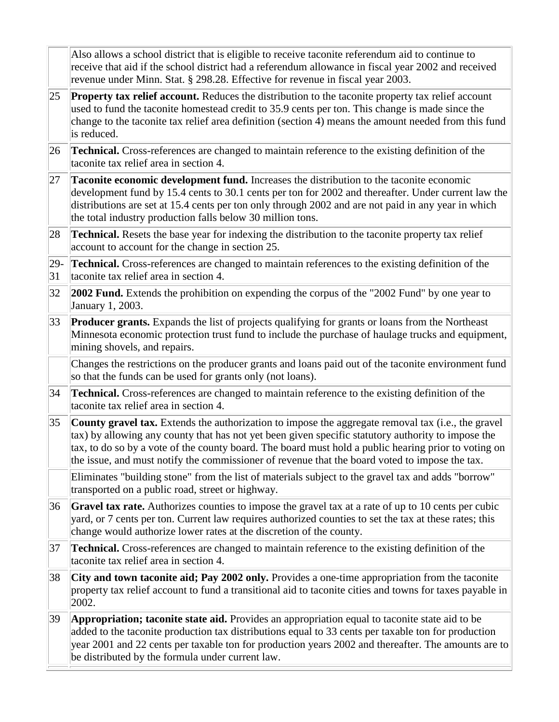|              | Also allows a school district that is eligible to receive taconite referendum aid to continue to<br>receive that aid if the school district had a referendum allowance in fiscal year 2002 and received<br>revenue under Minn. Stat. § 298.28. Effective for revenue in fiscal year 2003.                                                                                                                          |
|--------------|--------------------------------------------------------------------------------------------------------------------------------------------------------------------------------------------------------------------------------------------------------------------------------------------------------------------------------------------------------------------------------------------------------------------|
| 25           | <b>Property tax relief account.</b> Reduces the distribution to the taconite property tax relief account<br>used to fund the taconite homestead credit to 35.9 cents per ton. This change is made since the<br>change to the taconite tax relief area definition (section 4) means the amount needed from this fund<br>is reduced.                                                                                 |
| 26           | <b>Technical.</b> Cross-references are changed to maintain reference to the existing definition of the<br>taconite tax relief area in section 4.                                                                                                                                                                                                                                                                   |
| 27           | Taconite economic development fund. Increases the distribution to the taconite economic<br>development fund by 15.4 cents to 30.1 cents per ton for 2002 and thereafter. Under current law the<br>distributions are set at 15.4 cents per ton only through 2002 and are not paid in any year in which<br>the total industry production falls below 30 million tons.                                                |
| 28           | <b>Technical.</b> Resets the base year for indexing the distribution to the taconite property tax relief<br>account to account for the change in section 25.                                                                                                                                                                                                                                                       |
| $ 29-$<br>31 | <b>Technical.</b> Cross-references are changed to maintain references to the existing definition of the<br>taconite tax relief area in section 4.                                                                                                                                                                                                                                                                  |
| 32           | 2002 Fund. Extends the prohibition on expending the corpus of the "2002 Fund" by one year to<br>January 1, 2003.                                                                                                                                                                                                                                                                                                   |
| $ 33\rangle$ | <b>Producer grants.</b> Expands the list of projects qualifying for grants or loans from the Northeast<br>Minnesota economic protection trust fund to include the purchase of haulage trucks and equipment,<br>mining shovels, and repairs.                                                                                                                                                                        |
|              | Changes the restrictions on the producer grants and loans paid out of the taconite environment fund<br>so that the funds can be used for grants only (not loans).                                                                                                                                                                                                                                                  |
| 34           | Technical. Cross-references are changed to maintain reference to the existing definition of the<br>taconite tax relief area in section 4.                                                                                                                                                                                                                                                                          |
| 35           | County gravel tax. Extends the authorization to impose the aggregate removal tax (i.e., the gravel<br>tax) by allowing any county that has not yet been given specific statutory authority to impose the<br>tax, to do so by a vote of the county board. The board must hold a public hearing prior to voting on<br>the issue, and must notify the commissioner of revenue that the board voted to impose the tax. |
|              | Eliminates "building stone" from the list of materials subject to the gravel tax and adds "borrow"<br>transported on a public road, street or highway.                                                                                                                                                                                                                                                             |
| 36           | <b>Gravel tax rate.</b> Authorizes counties to impose the gravel tax at a rate of up to 10 cents per cubic<br>yard, or 7 cents per ton. Current law requires authorized counties to set the tax at these rates; this<br>change would authorize lower rates at the discretion of the county.                                                                                                                        |
| 37           | <b>Technical.</b> Cross-references are changed to maintain reference to the existing definition of the<br>taconite tax relief area in section 4.                                                                                                                                                                                                                                                                   |
| 38           | City and town taconite aid; Pay 2002 only. Provides a one-time appropriation from the taconite<br>property tax relief account to fund a transitional aid to taconite cities and towns for taxes payable in<br>2002.                                                                                                                                                                                                |
| 39           | Appropriation; taconite state aid. Provides an appropriation equal to taconite state aid to be<br>added to the taconite production tax distributions equal to 33 cents per taxable ton for production<br>year 2001 and 22 cents per taxable ton for production years 2002 and thereafter. The amounts are to<br>be distributed by the formula under current law.                                                   |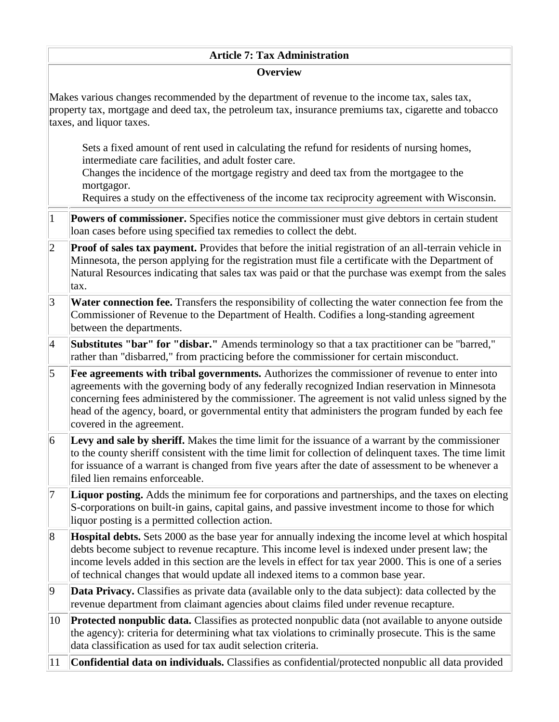#### **Article 7: Tax Administration**

#### **Overview**

Makes various changes recommended by the department of revenue to the income tax, sales tax, property tax, mortgage and deed tax, the petroleum tax, insurance premiums tax, cigarette and tobacco taxes, and liquor taxes.

Sets a fixed amount of rent used in calculating the refund for residents of nursing homes, intermediate care facilities, and adult foster care.

Changes the incidence of the mortgage registry and deed tax from the mortgagee to the mortgagor.

Requires a study on the effectiveness of the income tax reciprocity agreement with Wisconsin.

- 1 **Powers of commissioner.** Specifies notice the commissioner must give debtors in certain student loan cases before using specified tax remedies to collect the debt.
- 2 **Proof of sales tax payment.** Provides that before the initial registration of an all-terrain vehicle in Minnesota, the person applying for the registration must file a certificate with the Department of Natural Resources indicating that sales tax was paid or that the purchase was exempt from the sales tax.
- 3 **Water connection fee.** Transfers the responsibility of collecting the water connection fee from the Commissioner of Revenue to the Department of Health. Codifies a long-standing agreement between the departments.
- 4 **Substitutes "bar" for "disbar."** Amends terminology so that a tax practitioner can be "barred," rather than "disbarred," from practicing before the commissioner for certain misconduct.
- 5 **Fee agreements with tribal governments.** Authorizes the commissioner of revenue to enter into agreements with the governing body of any federally recognized Indian reservation in Minnesota concerning fees administered by the commissioner. The agreement is not valid unless signed by the head of the agency, board, or governmental entity that administers the program funded by each fee covered in the agreement.
- 6 **Levy and sale by sheriff.** Makes the time limit for the issuance of a warrant by the commissioner to the county sheriff consistent with the time limit for collection of delinquent taxes. The time limit for issuance of a warrant is changed from five years after the date of assessment to be whenever a filed lien remains enforceable.
- 7 **Liquor posting.** Adds the minimum fee for corporations and partnerships, and the taxes on electing S-corporations on built-in gains, capital gains, and passive investment income to those for which liquor posting is a permitted collection action.
- 8 **Hospital debts.** Sets 2000 as the base year for annually indexing the income level at which hospital debts become subject to revenue recapture. This income level is indexed under present law; the income levels added in this section are the levels in effect for tax year 2000. This is one of a series of technical changes that would update all indexed items to a common base year.
- 9 **Data Privacy.** Classifies as private data (available only to the data subject): data collected by the revenue department from claimant agencies about claims filed under revenue recapture.
- 10 **Protected nonpublic data.** Classifies as protected nonpublic data (not available to anyone outside the agency): criteria for determining what tax violations to criminally prosecute. This is the same data classification as used for tax audit selection criteria.
- 11 **Confidential data on individuals.** Classifies as confidential/protected nonpublic all data provided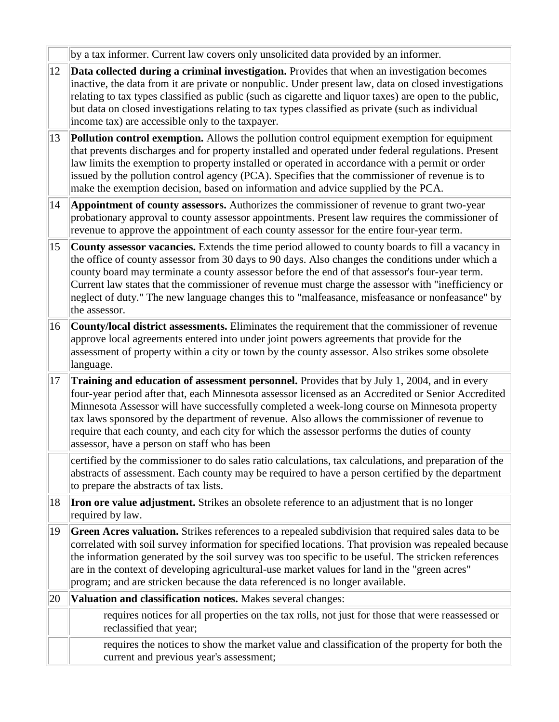by a tax informer. Current law covers only unsolicited data provided by an informer.

- 12 **Data collected during a criminal investigation.** Provides that when an investigation becomes inactive, the data from it are private or nonpublic. Under present law, data on closed investigations relating to tax types classified as public (such as cigarette and liquor taxes) are open to the public, but data on closed investigations relating to tax types classified as private (such as individual income tax) are accessible only to the taxpayer.
- 13 **Pollution control exemption.** Allows the pollution control equipment exemption for equipment that prevents discharges and for property installed and operated under federal regulations. Present law limits the exemption to property installed or operated in accordance with a permit or order issued by the pollution control agency (PCA). Specifies that the commissioner of revenue is to make the exemption decision, based on information and advice supplied by the PCA.
- 14 **Appointment of county assessors.** Authorizes the commissioner of revenue to grant two-year probationary approval to county assessor appointments. Present law requires the commissioner of revenue to approve the appointment of each county assessor for the entire four-year term.
- 15 **County assessor vacancies.** Extends the time period allowed to county boards to fill a vacancy in the office of county assessor from 30 days to 90 days. Also changes the conditions under which a county board may terminate a county assessor before the end of that assessor's four-year term. Current law states that the commissioner of revenue must charge the assessor with "inefficiency or neglect of duty." The new language changes this to "malfeasance, misfeasance or nonfeasance" by the assessor.
- 16 **County/local district assessments.** Eliminates the requirement that the commissioner of revenue approve local agreements entered into under joint powers agreements that provide for the assessment of property within a city or town by the county assessor. Also strikes some obsolete language.
- 17 **Training and education of assessment personnel.** Provides that by July 1, 2004, and in every four-year period after that, each Minnesota assessor licensed as an Accredited or Senior Accredited Minnesota Assessor will have successfully completed a week-long course on Minnesota property tax laws sponsored by the department of revenue. Also allows the commissioner of revenue to require that each county, and each city for which the assessor performs the duties of county assessor, have a person on staff who has been

certified by the commissioner to do sales ratio calculations, tax calculations, and preparation of the abstracts of assessment. Each county may be required to have a person certified by the department to prepare the abstracts of tax lists.

- 18 **Iron ore value adjustment.** Strikes an obsolete reference to an adjustment that is no longer required by law.
- 19 **Green Acres valuation.** Strikes references to a repealed subdivision that required sales data to be correlated with soil survey information for specified locations. That provision was repealed because the information generated by the soil survey was too specific to be useful. The stricken references are in the context of developing agricultural-use market values for land in the "green acres" program; and are stricken because the data referenced is no longer available.
- 20 **Valuation and classification notices.** Makes several changes: requires notices for all properties on the tax rolls, not just for those that were reassessed or reclassified that year; requires the notices to show the market value and classification of the property for both the current and previous year's assessment;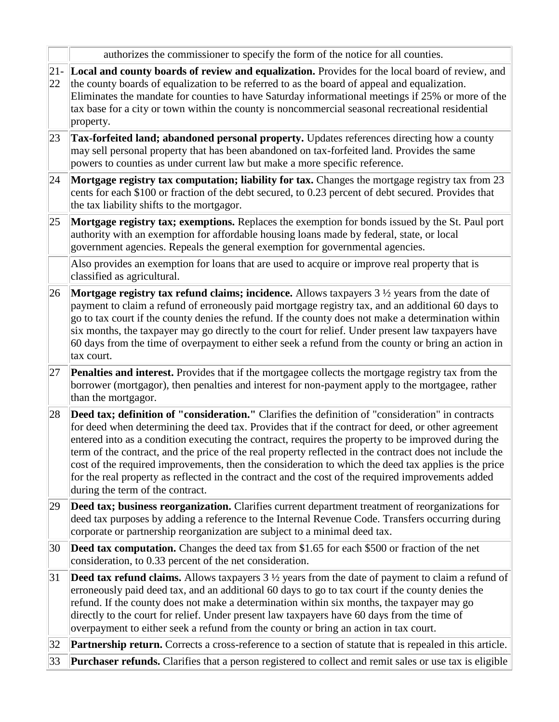|               | authorizes the commissioner to specify the form of the notice for all counties.                                                                                                                                                                                                                                                                                                                                                                                                                                                                                                                                                                                             |
|---------------|-----------------------------------------------------------------------------------------------------------------------------------------------------------------------------------------------------------------------------------------------------------------------------------------------------------------------------------------------------------------------------------------------------------------------------------------------------------------------------------------------------------------------------------------------------------------------------------------------------------------------------------------------------------------------------|
| $ 21 -$<br>22 | Local and county boards of review and equalization. Provides for the local board of review, and<br>the county boards of equalization to be referred to as the board of appeal and equalization.<br>Eliminates the mandate for counties to have Saturday informational meetings if 25% or more of the<br>tax base for a city or town within the county is noncommercial seasonal recreational residential<br>property.                                                                                                                                                                                                                                                       |
| 23            | Tax-forfeited land; abandoned personal property. Updates references directing how a county<br>may sell personal property that has been abandoned on tax-forfeited land. Provides the same<br>powers to counties as under current law but make a more specific reference.                                                                                                                                                                                                                                                                                                                                                                                                    |
| 24            | Mortgage registry tax computation; liability for tax. Changes the mortgage registry tax from 23<br>cents for each \$100 or fraction of the debt secured, to 0.23 percent of debt secured. Provides that<br>the tax liability shifts to the mortgagor.                                                                                                                                                                                                                                                                                                                                                                                                                       |
| 25            | Mortgage registry tax; exemptions. Replaces the exemption for bonds issued by the St. Paul port<br>authority with an exemption for affordable housing loans made by federal, state, or local<br>government agencies. Repeals the general exemption for governmental agencies.                                                                                                                                                                                                                                                                                                                                                                                               |
|               | Also provides an exemption for loans that are used to acquire or improve real property that is<br>classified as agricultural.                                                                                                                                                                                                                                                                                                                                                                                                                                                                                                                                               |
| 26            | <b>Mortgage registry tax refund claims; incidence.</b> Allows taxpayers $3\frac{1}{2}$ years from the date of<br>payment to claim a refund of erroneously paid mortgage registry tax, and an additional 60 days to<br>go to tax court if the county denies the refund. If the county does not make a determination within<br>six months, the taxpayer may go directly to the court for relief. Under present law taxpayers have<br>60 days from the time of overpayment to either seek a refund from the county or bring an action in<br>tax court.                                                                                                                         |
| 27            | Penalties and interest. Provides that if the mortgagee collects the mortgage registry tax from the<br>borrower (mortgagor), then penalties and interest for non-payment apply to the mortgagee, rather<br>than the mortgagor.                                                                                                                                                                                                                                                                                                                                                                                                                                               |
| 28            | Deed tax; definition of "consideration." Clarifies the definition of "consideration" in contracts<br>for deed when determining the deed tax. Provides that if the contract for deed, or other agreement<br>entered into as a condition executing the contract, requires the property to be improved during the<br>term of the contract, and the price of the real property reflected in the contract does not include the<br>cost of the required improvements, then the consideration to which the deed tax applies is the price<br>for the real property as reflected in the contract and the cost of the required improvements added<br>during the term of the contract. |
| 29            | Deed tax; business reorganization. Clarifies current department treatment of reorganizations for<br>deed tax purposes by adding a reference to the Internal Revenue Code. Transfers occurring during<br>corporate or partnership reorganization are subject to a minimal deed tax.                                                                                                                                                                                                                                                                                                                                                                                          |
| 30            | <b>Deed tax computation.</b> Changes the deed tax from \$1.65 for each \$500 or fraction of the net<br>consideration, to 0.33 percent of the net consideration.                                                                                                                                                                                                                                                                                                                                                                                                                                                                                                             |
| 31            | <b>Deed tax refund claims.</b> Allows taxpayers $3\frac{1}{2}$ years from the date of payment to claim a refund of<br>erroneously paid deed tax, and an additional 60 days to go to tax court if the county denies the<br>refund. If the county does not make a determination within six months, the taxpayer may go<br>directly to the court for relief. Under present law taxpayers have 60 days from the time of<br>overpayment to either seek a refund from the county or bring an action in tax court.                                                                                                                                                                 |
| 32            | <b>Partnership return.</b> Corrects a cross-reference to a section of statute that is repealed in this article.                                                                                                                                                                                                                                                                                                                                                                                                                                                                                                                                                             |
| 33            | Purchaser refunds. Clarifies that a person registered to collect and remit sales or use tax is eligible                                                                                                                                                                                                                                                                                                                                                                                                                                                                                                                                                                     |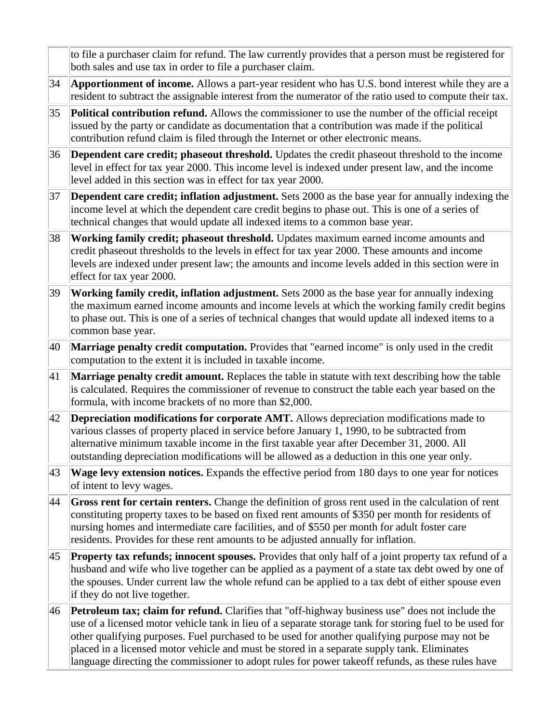|    | to file a purchaser claim for refund. The law currently provides that a person must be registered for<br>both sales and use tax in order to file a purchaser claim.                                                                                                                                                                                                                                                                                                                                                     |
|----|-------------------------------------------------------------------------------------------------------------------------------------------------------------------------------------------------------------------------------------------------------------------------------------------------------------------------------------------------------------------------------------------------------------------------------------------------------------------------------------------------------------------------|
| 34 | Apportionment of income. Allows a part-year resident who has U.S. bond interest while they are a<br>resident to subtract the assignable interest from the numerator of the ratio used to compute their tax.                                                                                                                                                                                                                                                                                                             |
| 35 | Political contribution refund. Allows the commissioner to use the number of the official receipt<br>issued by the party or candidate as documentation that a contribution was made if the political<br>contribution refund claim is filed through the Internet or other electronic means.                                                                                                                                                                                                                               |
| 36 | Dependent care credit; phaseout threshold. Updates the credit phaseout threshold to the income<br>level in effect for tax year 2000. This income level is indexed under present law, and the income<br>level added in this section was in effect for tax year 2000.                                                                                                                                                                                                                                                     |
| 37 | Dependent care credit; inflation adjustment. Sets 2000 as the base year for annually indexing the<br>income level at which the dependent care credit begins to phase out. This is one of a series of<br>technical changes that would update all indexed items to a common base year.                                                                                                                                                                                                                                    |
| 38 | Working family credit; phaseout threshold. Updates maximum earned income amounts and<br>credit phaseout thresholds to the levels in effect for tax year 2000. These amounts and income<br>levels are indexed under present law; the amounts and income levels added in this section were in<br>effect for tax year 2000.                                                                                                                                                                                                |
| 39 | Working family credit, inflation adjustment. Sets 2000 as the base year for annually indexing<br>the maximum earned income amounts and income levels at which the working family credit begins<br>to phase out. This is one of a series of technical changes that would update all indexed items to a<br>common base year.                                                                                                                                                                                              |
| 40 | Marriage penalty credit computation. Provides that "earned income" is only used in the credit<br>computation to the extent it is included in taxable income.                                                                                                                                                                                                                                                                                                                                                            |
| 41 | Marriage penalty credit amount. Replaces the table in statute with text describing how the table<br>is calculated. Requires the commissioner of revenue to construct the table each year based on the<br>formula, with income brackets of no more than \$2,000.                                                                                                                                                                                                                                                         |
| 42 | <b>Depreciation modifications for corporate AMT.</b> Allows depreciation modifications made to<br>various classes of property placed in service before January 1, 1990, to be subtracted from<br>alternative minimum taxable income in the first taxable year after December 31, 2000. All<br>outstanding depreciation modifications will be allowed as a deduction in this one year only.                                                                                                                              |
| 43 | Wage levy extension notices. Expands the effective period from 180 days to one year for notices<br>of intent to levy wages.                                                                                                                                                                                                                                                                                                                                                                                             |
| 44 | Gross rent for certain renters. Change the definition of gross rent used in the calculation of rent<br>constituting property taxes to be based on fixed rent amounts of \$350 per month for residents of<br>nursing homes and intermediate care facilities, and of \$550 per month for adult foster care<br>residents. Provides for these rent amounts to be adjusted annually for inflation.                                                                                                                           |
| 45 | <b>Property tax refunds; innocent spouses.</b> Provides that only half of a joint property tax refund of a<br>husband and wife who live together can be applied as a payment of a state tax debt owed by one of<br>the spouses. Under current law the whole refund can be applied to a tax debt of either spouse even<br>if they do not live together.                                                                                                                                                                  |
| 46 | <b>Petroleum tax; claim for refund.</b> Clarifies that "off-highway business use" does not include the<br>use of a licensed motor vehicle tank in lieu of a separate storage tank for storing fuel to be used for<br>other qualifying purposes. Fuel purchased to be used for another qualifying purpose may not be<br>placed in a licensed motor vehicle and must be stored in a separate supply tank. Eliminates<br>language directing the commissioner to adopt rules for power takeoff refunds, as these rules have |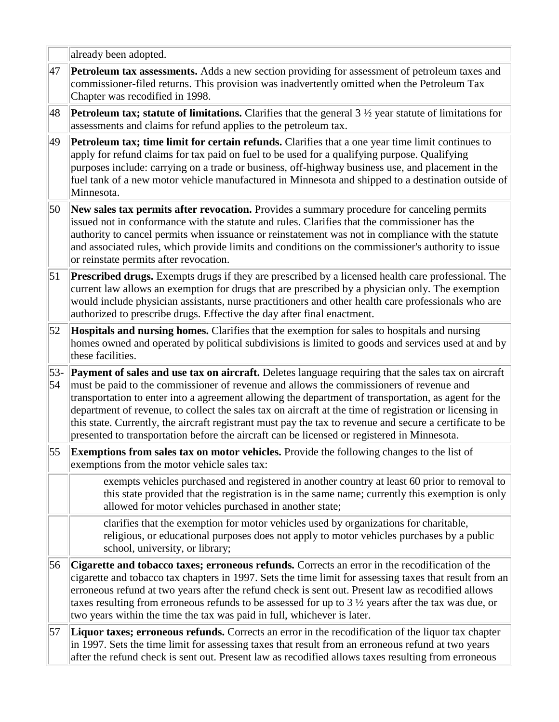|             | already been adopted.                                                                                                                                                                                                                                                                                                                                                                                                                                                                                                                                                                                                         |
|-------------|-------------------------------------------------------------------------------------------------------------------------------------------------------------------------------------------------------------------------------------------------------------------------------------------------------------------------------------------------------------------------------------------------------------------------------------------------------------------------------------------------------------------------------------------------------------------------------------------------------------------------------|
| 47          | <b>Petroleum tax assessments.</b> Adds a new section providing for assessment of petroleum taxes and<br>commissioner-filed returns. This provision was inadvertently omitted when the Petroleum Tax<br>Chapter was recodified in 1998.                                                                                                                                                                                                                                                                                                                                                                                        |
| 48          | <b>Petroleum tax; statute of limitations.</b> Clarifies that the general $3\frac{1}{2}$ year statute of limitations for<br>assessments and claims for refund applies to the petroleum tax.                                                                                                                                                                                                                                                                                                                                                                                                                                    |
| 49          | Petroleum tax; time limit for certain refunds. Clarifies that a one year time limit continues to<br>apply for refund claims for tax paid on fuel to be used for a qualifying purpose. Qualifying<br>purposes include: carrying on a trade or business, off-highway business use, and placement in the<br>fuel tank of a new motor vehicle manufactured in Minnesota and shipped to a destination outside of<br>Minnesota.                                                                                                                                                                                                     |
| 50          | New sales tax permits after revocation. Provides a summary procedure for canceling permits<br>issued not in conformance with the statute and rules. Clarifies that the commissioner has the<br>authority to cancel permits when issuance or reinstatement was not in compliance with the statute<br>and associated rules, which provide limits and conditions on the commissioner's authority to issue<br>or reinstate permits after revocation.                                                                                                                                                                              |
| 51          | <b>Prescribed drugs.</b> Exempts drugs if they are prescribed by a licensed health care professional. The<br>current law allows an exemption for drugs that are prescribed by a physician only. The exemption<br>would include physician assistants, nurse practitioners and other health care professionals who are<br>authorized to prescribe drugs. Effective the day after final enactment.                                                                                                                                                                                                                               |
| 52          | Hospitals and nursing homes. Clarifies that the exemption for sales to hospitals and nursing<br>homes owned and operated by political subdivisions is limited to goods and services used at and by<br>these facilities.                                                                                                                                                                                                                                                                                                                                                                                                       |
| $53-$<br>54 | Payment of sales and use tax on aircraft. Deletes language requiring that the sales tax on aircraft<br>must be paid to the commissioner of revenue and allows the commissioners of revenue and<br>transportation to enter into a agreement allowing the department of transportation, as agent for the<br>department of revenue, to collect the sales tax on aircraft at the time of registration or licensing in<br>this state. Currently, the aircraft registrant must pay the tax to revenue and secure a certificate to be<br>presented to transportation before the aircraft can be licensed or registered in Minnesota. |
| 55          | Exemptions from sales tax on motor vehicles. Provide the following changes to the list of<br>exemptions from the motor vehicle sales tax:                                                                                                                                                                                                                                                                                                                                                                                                                                                                                     |
|             | exempts vehicles purchased and registered in another country at least 60 prior to removal to<br>this state provided that the registration is in the same name; currently this exemption is only<br>allowed for motor vehicles purchased in another state;                                                                                                                                                                                                                                                                                                                                                                     |
|             | clarifies that the exemption for motor vehicles used by organizations for charitable,<br>religious, or educational purposes does not apply to motor vehicles purchases by a public<br>school, university, or library;                                                                                                                                                                                                                                                                                                                                                                                                         |
| 56          | Cigarette and tobacco taxes; erroneous refunds. Corrects an error in the recodification of the<br>cigarette and tobacco tax chapters in 1997. Sets the time limit for assessing taxes that result from an<br>erroneous refund at two years after the refund check is sent out. Present law as recodified allows<br>taxes resulting from erroneous refunds to be assessed for up to $3\frac{1}{2}$ years after the tax was due, or<br>two years within the time the tax was paid in full, whichever is later.                                                                                                                  |
| 57          | Liquor taxes; erroneous refunds. Corrects an error in the recodification of the liquor tax chapter<br>in 1997. Sets the time limit for assessing taxes that result from an erroneous refund at two years<br>after the refund check is sent out. Present law as recodified allows taxes resulting from erroneous                                                                                                                                                                                                                                                                                                               |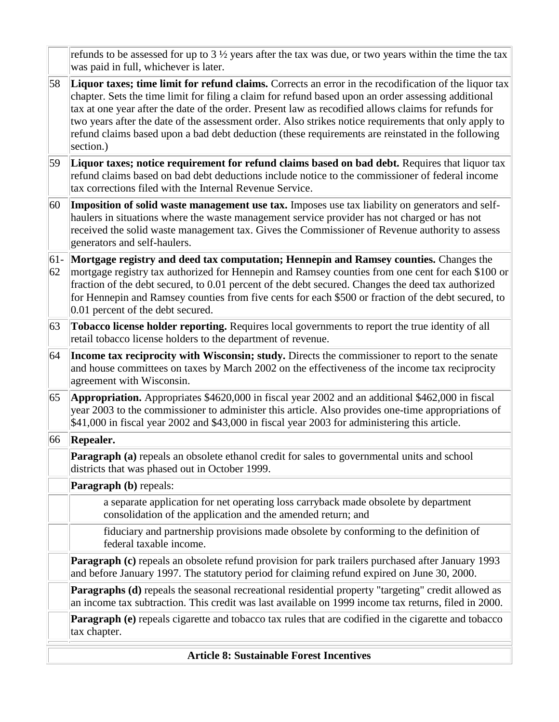|              | fiduciary and partnership provisions made obsolete by conforming to the definition of<br>federal taxable income.<br>Paragraph (c) repeals an obsolete refund provision for park trailers purchased after January 1993<br>and before January 1997. The statutory period for claiming refund expired on June 30, 2000.<br><b>Paragraphs (d)</b> repeals the seasonal recreational residential property "targeting" credit allowed as<br>an income tax subtraction. This credit was last available on 1999 income tax returns, filed in 2000.<br>Paragraph (e) repeals cigarette and tobacco tax rules that are codified in the cigarette and tobacco<br>tax chapter. |
|--------------|--------------------------------------------------------------------------------------------------------------------------------------------------------------------------------------------------------------------------------------------------------------------------------------------------------------------------------------------------------------------------------------------------------------------------------------------------------------------------------------------------------------------------------------------------------------------------------------------------------------------------------------------------------------------|
|              |                                                                                                                                                                                                                                                                                                                                                                                                                                                                                                                                                                                                                                                                    |
|              |                                                                                                                                                                                                                                                                                                                                                                                                                                                                                                                                                                                                                                                                    |
|              |                                                                                                                                                                                                                                                                                                                                                                                                                                                                                                                                                                                                                                                                    |
|              |                                                                                                                                                                                                                                                                                                                                                                                                                                                                                                                                                                                                                                                                    |
|              | a separate application for net operating loss carryback made obsolete by department<br>consolidation of the application and the amended return; and                                                                                                                                                                                                                                                                                                                                                                                                                                                                                                                |
|              | Paragraph (b) repeals:                                                                                                                                                                                                                                                                                                                                                                                                                                                                                                                                                                                                                                             |
|              | <b>Paragraph (a)</b> repeals an obsolete ethanol credit for sales to governmental units and school<br>districts that was phased out in October 1999.                                                                                                                                                                                                                                                                                                                                                                                                                                                                                                               |
| 66           | Repealer.                                                                                                                                                                                                                                                                                                                                                                                                                                                                                                                                                                                                                                                          |
| 65           | <b>Appropriation.</b> Appropriates \$4620,000 in fiscal year 2002 and an additional \$462,000 in fiscal<br>year 2003 to the commissioner to administer this article. Also provides one-time appropriations of<br>\$41,000 in fiscal year 2002 and \$43,000 in fiscal year 2003 for administering this article.                                                                                                                                                                                                                                                                                                                                                     |
| 64           | Income tax reciprocity with Wisconsin; study. Directs the commissioner to report to the senate<br>and house committees on taxes by March 2002 on the effectiveness of the income tax reciprocity<br>agreement with Wisconsin.                                                                                                                                                                                                                                                                                                                                                                                                                                      |
| 63           | Tobacco license holder reporting. Requires local governments to report the true identity of all<br>retail tobacco license holders to the department of revenue.                                                                                                                                                                                                                                                                                                                                                                                                                                                                                                    |
| $ 61-$<br>62 | Mortgage registry and deed tax computation; Hennepin and Ramsey counties. Changes the<br>mortgage registry tax authorized for Hennepin and Ramsey counties from one cent for each \$100 or<br>fraction of the debt secured, to 0.01 percent of the debt secured. Changes the deed tax authorized<br>for Hennepin and Ramsey counties from five cents for each \$500 or fraction of the debt secured, to<br>0.01 percent of the debt secured.                                                                                                                                                                                                                       |
| 60           | Imposition of solid waste management use tax. Imposes use tax liability on generators and self-<br>haulers in situations where the waste management service provider has not charged or has not<br>received the solid waste management tax. Gives the Commissioner of Revenue authority to assess<br>generators and self-haulers.                                                                                                                                                                                                                                                                                                                                  |
| 59           | Liquor taxes; notice requirement for refund claims based on bad debt. Requires that liquor tax<br>refund claims based on bad debt deductions include notice to the commissioner of federal income<br>tax corrections filed with the Internal Revenue Service.                                                                                                                                                                                                                                                                                                                                                                                                      |
| 58           | Liquor taxes; time limit for refund claims. Corrects an error in the recodification of the liquor tax<br>chapter. Sets the time limit for filing a claim for refund based upon an order assessing additional<br>tax at one year after the date of the order. Present law as recodified allows claims for refunds for<br>two years after the date of the assessment order. Also strikes notice requirements that only apply to<br>refund claims based upon a bad debt deduction (these requirements are reinstated in the following<br>section.)                                                                                                                    |
|              | refunds to be assessed for up to $3\frac{1}{2}$ years after the tax was due, or two years within the time the tax<br>was paid in full, whichever is later.                                                                                                                                                                                                                                                                                                                                                                                                                                                                                                         |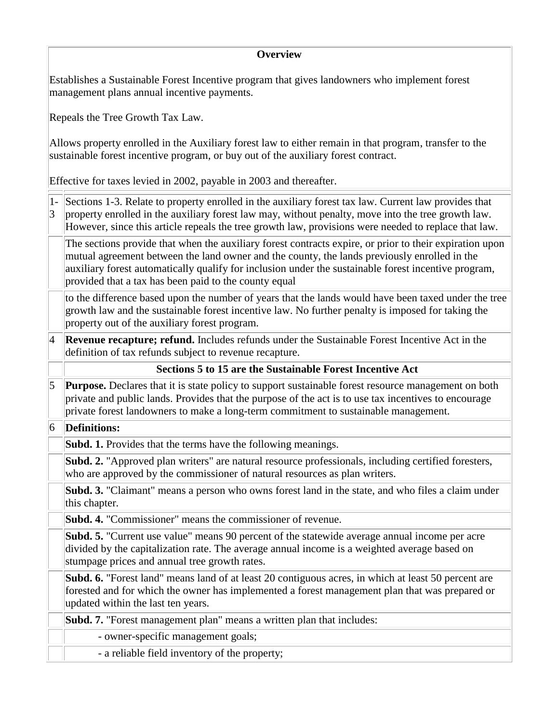#### **Overview**

Establishes a Sustainable Forest Incentive program that gives landowners who implement forest management plans annual incentive payments.

Repeals the Tree Growth Tax Law.

Allows property enrolled in the Auxiliary forest law to either remain in that program, transfer to the sustainable forest incentive program, or buy out of the auxiliary forest contract.

Effective for taxes levied in 2002, payable in 2003 and thereafter.

1- Sections 1-3. Relate to property enrolled in the auxiliary forest tax law. Current law provides that 3 property enrolled in the auxiliary forest law may, without penalty, move into the tree growth law. However, since this article repeals the tree growth law, provisions were needed to replace that law.

The sections provide that when the auxiliary forest contracts expire, or prior to their expiration upon mutual agreement between the land owner and the county, the lands previously enrolled in the auxiliary forest automatically qualify for inclusion under the sustainable forest incentive program, provided that a tax has been paid to the county equal

to the difference based upon the number of years that the lands would have been taxed under the tree growth law and the sustainable forest incentive law. No further penalty is imposed for taking the property out of the auxiliary forest program.

**Revenue recapture; refund.** Includes refunds under the Sustainable Forest Incentive Act in the definition of tax refunds subject to revenue recapture.

#### **Sections 5 to 15 are the Sustainable Forest Incentive Act**

5 **Purpose.** Declares that it is state policy to support sustainable forest resource management on both private and public lands. Provides that the purpose of the act is to use tax incentives to encourage private forest landowners to make a long-term commitment to sustainable management.

#### 6 **Definitions:**

**Subd. 1.** Provides that the terms have the following meanings.

**Subd. 2.** "Approved plan writers" are natural resource professionals, including certified foresters, who are approved by the commissioner of natural resources as plan writers.

**Subd. 3.** "Claimant" means a person who owns forest land in the state, and who files a claim under this chapter.

**Subd. 4.** "Commissioner" means the commissioner of revenue.

**Subd. 5.** "Current use value" means 90 percent of the statewide average annual income per acre divided by the capitalization rate. The average annual income is a weighted average based on stumpage prices and annual tree growth rates.

**Subd. 6.** "Forest land" means land of at least 20 contiguous acres, in which at least 50 percent are forested and for which the owner has implemented a forest management plan that was prepared or updated within the last ten years.

**Subd. 7.** "Forest management plan" means a written plan that includes:

- owner-specific management goals;

- a reliable field inventory of the property;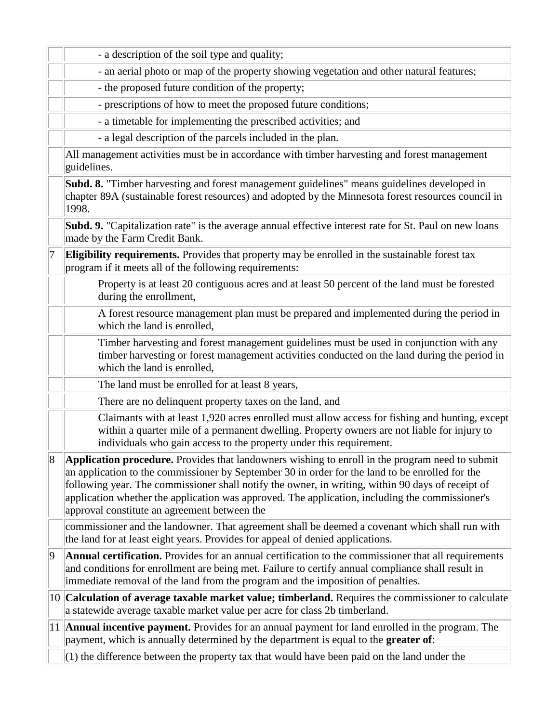|   | - a description of the soil type and quality;                                                                                                                                                                                                                                                                                                                                                                                                                     |
|---|-------------------------------------------------------------------------------------------------------------------------------------------------------------------------------------------------------------------------------------------------------------------------------------------------------------------------------------------------------------------------------------------------------------------------------------------------------------------|
|   | - an aerial photo or map of the property showing vegetation and other natural features;                                                                                                                                                                                                                                                                                                                                                                           |
|   | - the proposed future condition of the property;                                                                                                                                                                                                                                                                                                                                                                                                                  |
|   | - prescriptions of how to meet the proposed future conditions;                                                                                                                                                                                                                                                                                                                                                                                                    |
|   | - a timetable for implementing the prescribed activities; and                                                                                                                                                                                                                                                                                                                                                                                                     |
|   | - a legal description of the parcels included in the plan.                                                                                                                                                                                                                                                                                                                                                                                                        |
|   | All management activities must be in accordance with timber harvesting and forest management<br>guidelines.                                                                                                                                                                                                                                                                                                                                                       |
|   | Subd. 8. "Timber harvesting and forest management guidelines" means guidelines developed in<br>chapter 89A (sustainable forest resources) and adopted by the Minnesota forest resources council in<br>1998.                                                                                                                                                                                                                                                       |
|   | Subd. 9. "Capitalization rate" is the average annual effective interest rate for St. Paul on new loans<br>made by the Farm Credit Bank.                                                                                                                                                                                                                                                                                                                           |
| 7 | Eligibility requirements. Provides that property may be enrolled in the sustainable forest tax<br>program if it meets all of the following requirements:                                                                                                                                                                                                                                                                                                          |
|   | Property is at least 20 contiguous acres and at least 50 percent of the land must be forested<br>during the enrollment,                                                                                                                                                                                                                                                                                                                                           |
|   | A forest resource management plan must be prepared and implemented during the period in<br>which the land is enrolled,                                                                                                                                                                                                                                                                                                                                            |
|   | Timber harvesting and forest management guidelines must be used in conjunction with any<br>timber harvesting or forest management activities conducted on the land during the period in<br>which the land is enrolled,                                                                                                                                                                                                                                            |
|   | The land must be enrolled for at least 8 years,                                                                                                                                                                                                                                                                                                                                                                                                                   |
|   | There are no delinquent property taxes on the land, and                                                                                                                                                                                                                                                                                                                                                                                                           |
|   | Claimants with at least 1,920 acres enrolled must allow access for fishing and hunting, except<br>within a quarter mile of a permanent dwelling. Property owners are not liable for injury to<br>individuals who gain access to the property under this requirement.                                                                                                                                                                                              |
| 8 | <b>Application procedure.</b> Provides that landowners wishing to enroll in the program need to submit<br>an application to the commissioner by September 30 in order for the land to be enrolled for the<br>following year. The commissioner shall notify the owner, in writing, within 90 days of receipt of<br>application whether the application was approved. The application, including the commissioner's<br>approval constitute an agreement between the |
|   | commissioner and the landowner. That agreement shall be deemed a covenant which shall run with<br>the land for at least eight years. Provides for appeal of denied applications.                                                                                                                                                                                                                                                                                  |
| 9 | Annual certification. Provides for an annual certification to the commissioner that all requirements<br>and conditions for enrollment are being met. Failure to certify annual compliance shall result in<br>immediate removal of the land from the program and the imposition of penalties.                                                                                                                                                                      |
|   | 10 Calculation of average taxable market value; timberland. Requires the commissioner to calculate<br>a statewide average taxable market value per acre for class 2b timberland.                                                                                                                                                                                                                                                                                  |
|   | 11 <b>Annual incentive payment.</b> Provides for an annual payment for land enrolled in the program. The<br>payment, which is annually determined by the department is equal to the <b>greater of</b> :                                                                                                                                                                                                                                                           |
|   | $(1)$ the difference between the property tax that would have been paid on the land under the                                                                                                                                                                                                                                                                                                                                                                     |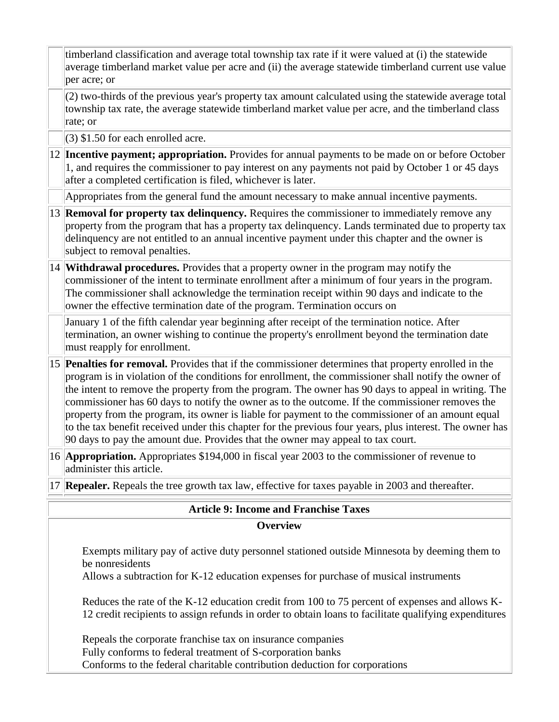|                                                                                                                                                                                                         | timberland classification and average total township tax rate if it were valued at (i) the statewide<br>average timberland market value per acre and (ii) the average statewide timberland current use value<br>per acre; or                                                                                                                                                                                                                                                                                                                                                                                                                                                                                                      |  |
|---------------------------------------------------------------------------------------------------------------------------------------------------------------------------------------------------------|-----------------------------------------------------------------------------------------------------------------------------------------------------------------------------------------------------------------------------------------------------------------------------------------------------------------------------------------------------------------------------------------------------------------------------------------------------------------------------------------------------------------------------------------------------------------------------------------------------------------------------------------------------------------------------------------------------------------------------------|--|
|                                                                                                                                                                                                         | (2) two-thirds of the previous year's property tax amount calculated using the statewide average total<br>township tax rate, the average statewide timberland market value per acre, and the timberland class<br>rate; or                                                                                                                                                                                                                                                                                                                                                                                                                                                                                                         |  |
|                                                                                                                                                                                                         | $(3)$ \$1.50 for each enrolled acre.                                                                                                                                                                                                                                                                                                                                                                                                                                                                                                                                                                                                                                                                                              |  |
|                                                                                                                                                                                                         | 12 <b>Incentive payment; appropriation.</b> Provides for annual payments to be made on or before October<br>1, and requires the commissioner to pay interest on any payments not paid by October 1 or 45 days<br>after a completed certification is filed, whichever is later.                                                                                                                                                                                                                                                                                                                                                                                                                                                    |  |
|                                                                                                                                                                                                         | Appropriates from the general fund the amount necessary to make annual incentive payments.                                                                                                                                                                                                                                                                                                                                                                                                                                                                                                                                                                                                                                        |  |
|                                                                                                                                                                                                         | 13 Removal for property tax delinquency. Requires the commissioner to immediately remove any<br>property from the program that has a property tax delinquency. Lands terminated due to property tax<br>delinquency are not entitled to an annual incentive payment under this chapter and the owner is<br>subject to removal penalties.                                                                                                                                                                                                                                                                                                                                                                                           |  |
|                                                                                                                                                                                                         | 14 <b>Withdrawal procedures.</b> Provides that a property owner in the program may notify the<br>commissioner of the intent to terminate enrollment after a minimum of four years in the program.<br>The commissioner shall acknowledge the termination receipt within 90 days and indicate to the<br>owner the effective termination date of the program. Termination occurs on                                                                                                                                                                                                                                                                                                                                                  |  |
|                                                                                                                                                                                                         | January 1 of the fifth calendar year beginning after receipt of the termination notice. After<br>termination, an owner wishing to continue the property's enrollment beyond the termination date<br>must reapply for enrollment.                                                                                                                                                                                                                                                                                                                                                                                                                                                                                                  |  |
|                                                                                                                                                                                                         | 15 <b>Penalties for removal.</b> Provides that if the commissioner determines that property enrolled in the<br>program is in violation of the conditions for enrollment, the commissioner shall notify the owner of<br>the intent to remove the property from the program. The owner has 90 days to appeal in writing. The<br>commissioner has 60 days to notify the owner as to the outcome. If the commissioner removes the<br>property from the program, its owner is liable for payment to the commissioner of an amount equal<br>to the tax benefit received under this chapter for the previous four years, plus interest. The owner has<br>90 days to pay the amount due. Provides that the owner may appeal to tax court. |  |
|                                                                                                                                                                                                         | 16 <b>Appropriation.</b> Appropriates \$194,000 in fiscal year 2003 to the commissioner of revenue to<br>administer this article.                                                                                                                                                                                                                                                                                                                                                                                                                                                                                                                                                                                                 |  |
|                                                                                                                                                                                                         | 17 <b>Repealer.</b> Repeals the tree growth tax law, effective for taxes payable in 2003 and thereafter.                                                                                                                                                                                                                                                                                                                                                                                                                                                                                                                                                                                                                          |  |
|                                                                                                                                                                                                         | <b>Article 9: Income and Franchise Taxes</b>                                                                                                                                                                                                                                                                                                                                                                                                                                                                                                                                                                                                                                                                                      |  |
| <b>Overview</b>                                                                                                                                                                                         |                                                                                                                                                                                                                                                                                                                                                                                                                                                                                                                                                                                                                                                                                                                                   |  |
| Exempts military pay of active duty personnel stationed outside Minnesota by deeming them to<br>be nonresidents<br>Allows a subtraction for K-12 education expenses for purchase of musical instruments |                                                                                                                                                                                                                                                                                                                                                                                                                                                                                                                                                                                                                                                                                                                                   |  |

Reduces the rate of the K-12 education credit from 100 to 75 percent of expenses and allows K-12 credit recipients to assign refunds in order to obtain loans to facilitate qualifying expenditures

Repeals the corporate franchise tax on insurance companies Fully conforms to federal treatment of S-corporation banks Conforms to the federal charitable contribution deduction for corporations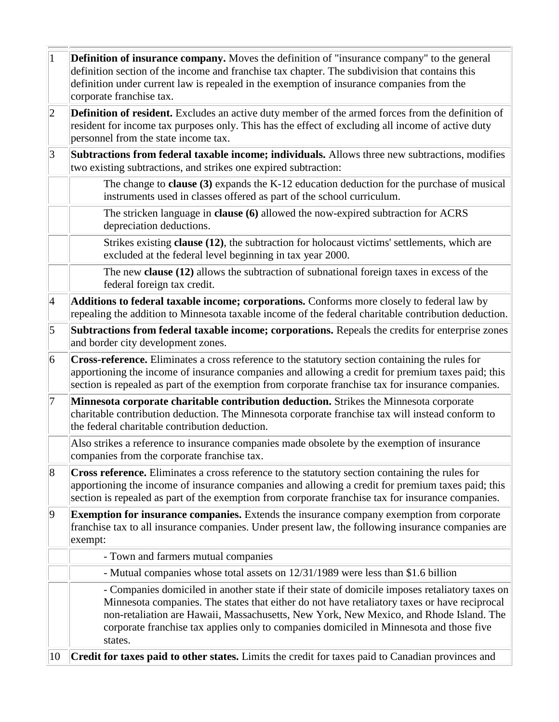| $\overline{1}$  | <b>Definition of insurance company.</b> Moves the definition of "insurance company" to the general<br>definition section of the income and franchise tax chapter. The subdivision that contains this<br>definition under current law is repealed in the exemption of insurance companies from the<br>corporate franchise tax.                                                                  |
|-----------------|------------------------------------------------------------------------------------------------------------------------------------------------------------------------------------------------------------------------------------------------------------------------------------------------------------------------------------------------------------------------------------------------|
| $ 2\rangle$     | <b>Definition of resident.</b> Excludes an active duty member of the armed forces from the definition of<br>resident for income tax purposes only. This has the effect of excluding all income of active duty<br>personnel from the state income tax.                                                                                                                                          |
| 3               | Subtractions from federal taxable income; individuals. Allows three new subtractions, modifies<br>two existing subtractions, and strikes one expired subtraction:                                                                                                                                                                                                                              |
|                 | The change to clause $(3)$ expands the K-12 education deduction for the purchase of musical<br>instruments used in classes offered as part of the school curriculum.                                                                                                                                                                                                                           |
|                 | The stricken language in clause (6) allowed the now-expired subtraction for ACRS<br>depreciation deductions.                                                                                                                                                                                                                                                                                   |
|                 | Strikes existing <b>clause</b> (12), the subtraction for holocaust victims' settlements, which are<br>excluded at the federal level beginning in tax year 2000.                                                                                                                                                                                                                                |
|                 | The new clause (12) allows the subtraction of subnational foreign taxes in excess of the<br>federal foreign tax credit.                                                                                                                                                                                                                                                                        |
| $\vert 4$       | Additions to federal taxable income; corporations. Conforms more closely to federal law by<br>repealing the addition to Minnesota taxable income of the federal charitable contribution deduction.                                                                                                                                                                                             |
| $\vert 5 \vert$ | Subtractions from federal taxable income; corporations. Repeals the credits for enterprise zones<br>and border city development zones.                                                                                                                                                                                                                                                         |
| $\overline{6}$  | Cross-reference. Eliminates a cross reference to the statutory section containing the rules for<br>apportioning the income of insurance companies and allowing a credit for premium taxes paid; this<br>section is repealed as part of the exemption from corporate franchise tax for insurance companies.                                                                                     |
| 7               | Minnesota corporate charitable contribution deduction. Strikes the Minnesota corporate<br>charitable contribution deduction. The Minnesota corporate franchise tax will instead conform to<br>the federal charitable contribution deduction.                                                                                                                                                   |
|                 | Also strikes a reference to insurance companies made obsolete by the exemption of insurance<br>companies from the corporate franchise tax.                                                                                                                                                                                                                                                     |
| 8               | Cross reference. Eliminates a cross reference to the statutory section containing the rules for<br>apportioning the income of insurance companies and allowing a credit for premium taxes paid; this<br>section is repealed as part of the exemption from corporate franchise tax for insurance companies.                                                                                     |
| $ 9\rangle$     | <b>Exemption for insurance companies.</b> Extends the insurance company exemption from corporate<br>franchise tax to all insurance companies. Under present law, the following insurance companies are<br>exempt:                                                                                                                                                                              |
|                 | - Town and farmers mutual companies                                                                                                                                                                                                                                                                                                                                                            |
|                 | - Mutual companies whose total assets on 12/31/1989 were less than \$1.6 billion                                                                                                                                                                                                                                                                                                               |
|                 | - Companies domiciled in another state if their state of domicile imposes retaliatory taxes on<br>Minnesota companies. The states that either do not have retaliatory taxes or have reciprocal<br>non-retaliation are Hawaii, Massachusetts, New York, New Mexico, and Rhode Island. The<br>corporate franchise tax applies only to companies domiciled in Minnesota and those five<br>states. |
| 10              | Credit for taxes paid to other states. Limits the credit for taxes paid to Canadian provinces and                                                                                                                                                                                                                                                                                              |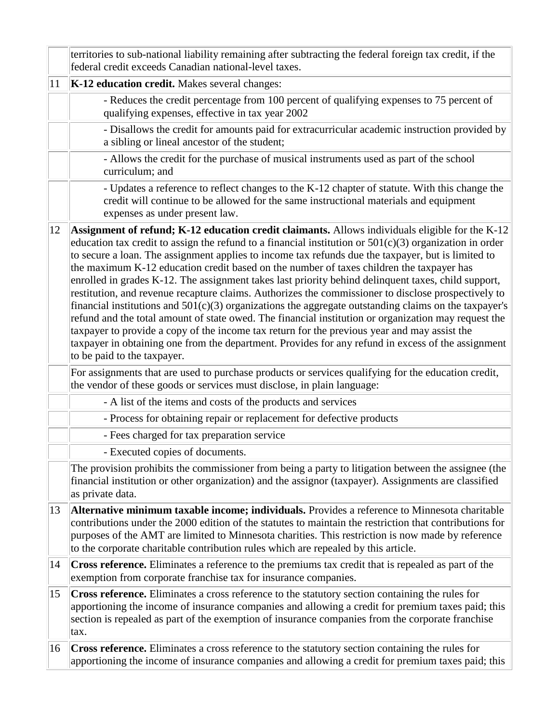|    | territories to sub-national liability remaining after subtracting the federal foreign tax credit, if the<br>federal credit exceeds Canadian national-level taxes.                                                                                                                                                                                                                                                                                                                                                                                                                                                                                                                                                                                                                                                                                                                                                                                                                                                                                                                           |
|----|---------------------------------------------------------------------------------------------------------------------------------------------------------------------------------------------------------------------------------------------------------------------------------------------------------------------------------------------------------------------------------------------------------------------------------------------------------------------------------------------------------------------------------------------------------------------------------------------------------------------------------------------------------------------------------------------------------------------------------------------------------------------------------------------------------------------------------------------------------------------------------------------------------------------------------------------------------------------------------------------------------------------------------------------------------------------------------------------|
| 11 | K-12 education credit. Makes several changes:                                                                                                                                                                                                                                                                                                                                                                                                                                                                                                                                                                                                                                                                                                                                                                                                                                                                                                                                                                                                                                               |
|    | - Reduces the credit percentage from 100 percent of qualifying expenses to 75 percent of<br>qualifying expenses, effective in tax year 2002                                                                                                                                                                                                                                                                                                                                                                                                                                                                                                                                                                                                                                                                                                                                                                                                                                                                                                                                                 |
|    | - Disallows the credit for amounts paid for extracurricular academic instruction provided by<br>a sibling or lineal ancestor of the student;                                                                                                                                                                                                                                                                                                                                                                                                                                                                                                                                                                                                                                                                                                                                                                                                                                                                                                                                                |
|    | - Allows the credit for the purchase of musical instruments used as part of the school<br>curriculum; and                                                                                                                                                                                                                                                                                                                                                                                                                                                                                                                                                                                                                                                                                                                                                                                                                                                                                                                                                                                   |
|    | - Updates a reference to reflect changes to the K-12 chapter of statute. With this change the<br>credit will continue to be allowed for the same instructional materials and equipment<br>expenses as under present law.                                                                                                                                                                                                                                                                                                                                                                                                                                                                                                                                                                                                                                                                                                                                                                                                                                                                    |
| 12 | <b>Assignment of refund; K-12 education credit claimants.</b> Allows individuals eligible for the K-12<br>education tax credit to assign the refund to a financial institution or $501(c)(3)$ organization in order<br>to secure a loan. The assignment applies to income tax refunds due the taxpayer, but is limited to<br>the maximum K-12 education credit based on the number of taxes children the taxpayer has<br>enrolled in grades K-12. The assignment takes last priority behind delinquent taxes, child support,<br>restitution, and revenue recapture claims. Authorizes the commissioner to disclose prospectively to<br>financial institutions and $501(c)(3)$ organizations the aggregate outstanding claims on the taxpayer's<br>refund and the total amount of state owed. The financial institution or organization may request the<br>taxpayer to provide a copy of the income tax return for the previous year and may assist the<br>taxpayer in obtaining one from the department. Provides for any refund in excess of the assignment<br>to be paid to the taxpayer. |
|    | For assignments that are used to purchase products or services qualifying for the education credit,<br>the vendor of these goods or services must disclose, in plain language:                                                                                                                                                                                                                                                                                                                                                                                                                                                                                                                                                                                                                                                                                                                                                                                                                                                                                                              |
|    | - A list of the items and costs of the products and services                                                                                                                                                                                                                                                                                                                                                                                                                                                                                                                                                                                                                                                                                                                                                                                                                                                                                                                                                                                                                                |
|    | - Process for obtaining repair or replacement for defective products                                                                                                                                                                                                                                                                                                                                                                                                                                                                                                                                                                                                                                                                                                                                                                                                                                                                                                                                                                                                                        |
|    | - Fees charged for tax preparation service                                                                                                                                                                                                                                                                                                                                                                                                                                                                                                                                                                                                                                                                                                                                                                                                                                                                                                                                                                                                                                                  |
|    | - Executed copies of documents.                                                                                                                                                                                                                                                                                                                                                                                                                                                                                                                                                                                                                                                                                                                                                                                                                                                                                                                                                                                                                                                             |
|    | The provision prohibits the commissioner from being a party to litigation between the assignee (the<br>financial institution or other organization) and the assignor (taxpayer). Assignments are classified<br>as private data.                                                                                                                                                                                                                                                                                                                                                                                                                                                                                                                                                                                                                                                                                                                                                                                                                                                             |
| 13 | Alternative minimum taxable income; individuals. Provides a reference to Minnesota charitable<br>contributions under the 2000 edition of the statutes to maintain the restriction that contributions for<br>purposes of the AMT are limited to Minnesota charities. This restriction is now made by reference<br>to the corporate charitable contribution rules which are repealed by this article.                                                                                                                                                                                                                                                                                                                                                                                                                                                                                                                                                                                                                                                                                         |
| 14 | Cross reference. Eliminates a reference to the premiums tax credit that is repealed as part of the<br>exemption from corporate franchise tax for insurance companies.                                                                                                                                                                                                                                                                                                                                                                                                                                                                                                                                                                                                                                                                                                                                                                                                                                                                                                                       |
| 15 | Cross reference. Eliminates a cross reference to the statutory section containing the rules for<br>apportioning the income of insurance companies and allowing a credit for premium taxes paid; this<br>section is repealed as part of the exemption of insurance companies from the corporate franchise<br>tax.                                                                                                                                                                                                                                                                                                                                                                                                                                                                                                                                                                                                                                                                                                                                                                            |
| 16 | Cross reference. Eliminates a cross reference to the statutory section containing the rules for<br>apportioning the income of insurance companies and allowing a credit for premium taxes paid; this                                                                                                                                                                                                                                                                                                                                                                                                                                                                                                                                                                                                                                                                                                                                                                                                                                                                                        |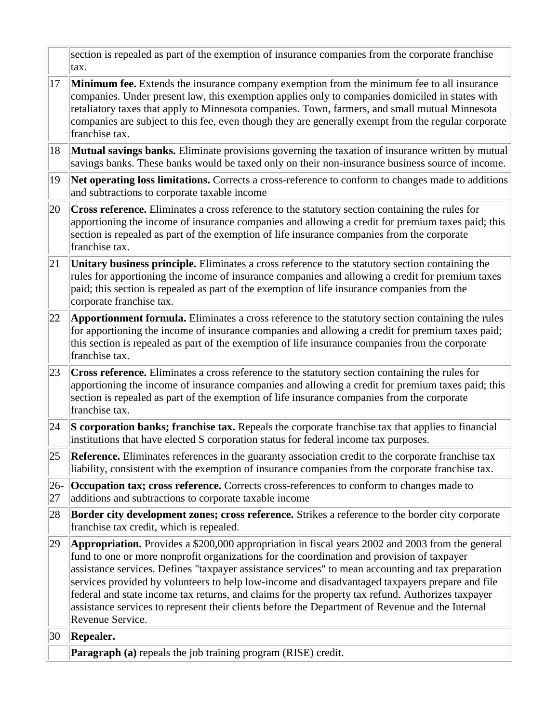section is repealed as part of the exemption of insurance companies from the corporate franchise tax.

- 17 **Minimum fee.** Extends the insurance company exemption from the minimum fee to all insurance companies. Under present law, this exemption applies only to companies domiciled in states with retaliatory taxes that apply to Minnesota companies. Town, farmers, and small mutual Minnesota companies are subject to this fee, even though they are generally exempt from the regular corporate franchise tax.
- 18 **Mutual savings banks.** Eliminate provisions governing the taxation of insurance written by mutual savings banks. These banks would be taxed only on their non-insurance business source of income.
- 19 **Net operating loss limitations.** Corrects a cross-reference to conform to changes made to additions and subtractions to corporate taxable income
- 20 **Cross reference.** Eliminates a cross reference to the statutory section containing the rules for apportioning the income of insurance companies and allowing a credit for premium taxes paid; this section is repealed as part of the exemption of life insurance companies from the corporate franchise tax.
- 21 **Unitary business principle.** Eliminates a cross reference to the statutory section containing the rules for apportioning the income of insurance companies and allowing a credit for premium taxes paid; this section is repealed as part of the exemption of life insurance companies from the corporate franchise tax.
- 22 **Apportionment formula.** Eliminates a cross reference to the statutory section containing the rules for apportioning the income of insurance companies and allowing a credit for premium taxes paid; this section is repealed as part of the exemption of life insurance companies from the corporate franchise tax.
- 23 **Cross reference.** Eliminates a cross reference to the statutory section containing the rules for apportioning the income of insurance companies and allowing a credit for premium taxes paid; this section is repealed as part of the exemption of life insurance companies from the corporate franchise tax.
- 24 **S corporation banks; franchise tax.** Repeals the corporate franchise tax that applies to financial institutions that have elected S corporation status for federal income tax purposes.
- 25 **Reference.** Eliminates references in the guaranty association credit to the corporate franchise tax liability, consistent with the exemption of insurance companies from the corporate franchise tax.
- $|26-$ **Occupation tax; cross reference.** Corrects cross-references to conform to changes made to
- 27 additions and subtractions to corporate taxable income
- 28 **Border city development zones; cross reference.** Strikes a reference to the border city corporate franchise tax credit, which is repealed.
- 29 **Appropriation.** Provides a \$200,000 appropriation in fiscal years 2002 and 2003 from the general fund to one or more nonprofit organizations for the coordination and provision of taxpayer assistance services. Defines "taxpayer assistance services" to mean accounting and tax preparation services provided by volunteers to help low-income and disadvantaged taxpayers prepare and file federal and state income tax returns, and claims for the property tax refund. Authorizes taxpayer assistance services to represent their clients before the Department of Revenue and the Internal Revenue Service.

30 **Repealer.**

**Paragraph (a)** repeals the job training program (RISE) credit.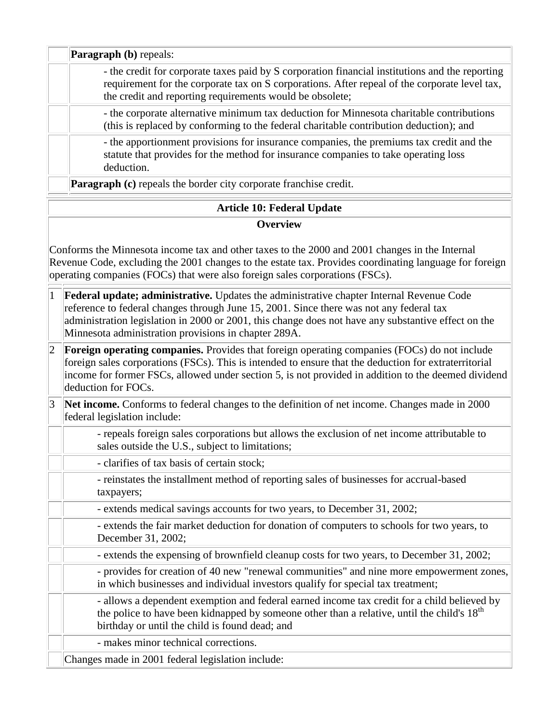**Paragraph (b)** repeals: - the credit for corporate taxes paid by S corporation financial institutions and the reporting requirement for the corporate tax on S corporations. After repeal of the corporate level tax, the credit and reporting requirements would be obsolete; - the corporate alternative minimum tax deduction for Minnesota charitable contributions (this is replaced by conforming to the federal charitable contribution deduction); and - the apportionment provisions for insurance companies, the premiums tax credit and the statute that provides for the method for insurance companies to take operating loss deduction. **Paragraph (c)** repeals the border city corporate franchise credit.

## **Article 10: Federal Update**

#### **Overview**

Conforms the Minnesota income tax and other taxes to the 2000 and 2001 changes in the Internal Revenue Code, excluding the 2001 changes to the estate tax. Provides coordinating language for foreign operating companies (FOCs) that were also foreign sales corporations (FSCs).

- 1 **Federal update; administrative.** Updates the administrative chapter Internal Revenue Code reference to federal changes through June 15, 2001. Since there was not any federal tax administration legislation in 2000 or 2001, this change does not have any substantive effect on the Minnesota administration provisions in chapter 289A.
- 2 **Foreign operating companies.** Provides that foreign operating companies (FOCs) do not include foreign sales corporations (FSCs). This is intended to ensure that the deduction for extraterritorial income for former FSCs, allowed under section 5, is not provided in addition to the deemed dividend deduction for FOCs.
- 3 **Net income.** Conforms to federal changes to the definition of net income. Changes made in 2000 federal legislation include:
	- repeals foreign sales corporations but allows the exclusion of net income attributable to sales outside the U.S., subject to limitations;
	- clarifies of tax basis of certain stock;
	- reinstates the installment method of reporting sales of businesses for accrual-based taxpayers;
	- extends medical savings accounts for two years, to December 31, 2002;
	- extends the fair market deduction for donation of computers to schools for two years, to December 31, 2002;
	- extends the expensing of brownfield cleanup costs for two years, to December 31, 2002;
	- provides for creation of 40 new "renewal communities" and nine more empowerment zones, in which businesses and individual investors qualify for special tax treatment;

- allows a dependent exemption and federal earned income tax credit for a child believed by the police to have been kidnapped by someone other than a relative, until the child's  $18<sup>th</sup>$ birthday or until the child is found dead; and

- makes minor technical corrections.

Changes made in 2001 federal legislation include: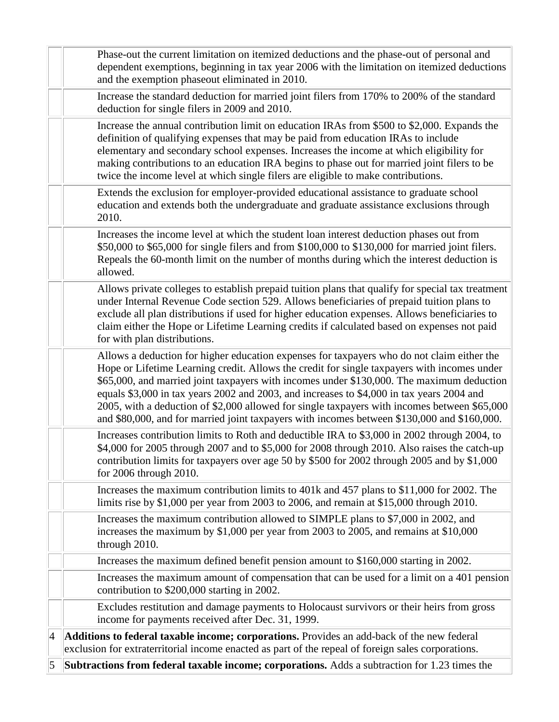|           | Phase-out the current limitation on itemized deductions and the phase-out of personal and<br>dependent exemptions, beginning in tax year 2006 with the limitation on itemized deductions<br>and the exemption phaseout eliminated in 2010.                                                                                                                                                                                                                                                                                                                                         |
|-----------|------------------------------------------------------------------------------------------------------------------------------------------------------------------------------------------------------------------------------------------------------------------------------------------------------------------------------------------------------------------------------------------------------------------------------------------------------------------------------------------------------------------------------------------------------------------------------------|
|           | Increase the standard deduction for married joint filers from 170% to 200% of the standard<br>deduction for single filers in 2009 and 2010.                                                                                                                                                                                                                                                                                                                                                                                                                                        |
|           | Increase the annual contribution limit on education IRAs from \$500 to \$2,000. Expands the<br>definition of qualifying expenses that may be paid from education IRAs to include<br>elementary and secondary school expenses. Increases the income at which eligibility for<br>making contributions to an education IRA begins to phase out for married joint filers to be<br>twice the income level at which single filers are eligible to make contributions.                                                                                                                    |
|           | Extends the exclusion for employer-provided educational assistance to graduate school<br>education and extends both the undergraduate and graduate assistance exclusions through<br>2010.                                                                                                                                                                                                                                                                                                                                                                                          |
|           | Increases the income level at which the student loan interest deduction phases out from<br>\$50,000 to \$65,000 for single filers and from \$100,000 to \$130,000 for married joint filers.<br>Repeals the 60-month limit on the number of months during which the interest deduction is<br>allowed.                                                                                                                                                                                                                                                                               |
|           | Allows private colleges to establish prepaid tuition plans that qualify for special tax treatment<br>under Internal Revenue Code section 529. Allows beneficiaries of prepaid tuition plans to<br>exclude all plan distributions if used for higher education expenses. Allows beneficiaries to<br>claim either the Hope or Lifetime Learning credits if calculated based on expenses not paid<br>for with plan distributions.                                                                                                                                                     |
|           | Allows a deduction for higher education expenses for taxpayers who do not claim either the<br>Hope or Lifetime Learning credit. Allows the credit for single taxpayers with incomes under<br>\$65,000, and married joint taxpayers with incomes under \$130,000. The maximum deduction<br>equals \$3,000 in tax years 2002 and 2003, and increases to \$4,000 in tax years 2004 and<br>2005, with a deduction of \$2,000 allowed for single taxpayers with incomes between \$65,000<br>and \$80,000, and for married joint taxpayers with incomes between \$130,000 and \$160,000. |
|           | Increases contribution limits to Roth and deductible IRA to \$3,000 in 2002 through 2004, to<br>\$4,000 for 2005 through 2007 and to \$5,000 for 2008 through 2010. Also raises the catch-up<br>contribution limits for taxpayers over age 50 by \$500 for 2002 through 2005 and by \$1,000<br>for 2006 through 2010.                                                                                                                                                                                                                                                              |
|           | Increases the maximum contribution limits to 401k and 457 plans to \$11,000 for 2002. The<br>limits rise by \$1,000 per year from 2003 to 2006, and remain at \$15,000 through 2010.                                                                                                                                                                                                                                                                                                                                                                                               |
|           | Increases the maximum contribution allowed to SIMPLE plans to \$7,000 in 2002, and<br>increases the maximum by \$1,000 per year from 2003 to 2005, and remains at \$10,000<br>through 2010.                                                                                                                                                                                                                                                                                                                                                                                        |
|           | Increases the maximum defined benefit pension amount to \$160,000 starting in 2002.                                                                                                                                                                                                                                                                                                                                                                                                                                                                                                |
|           | Increases the maximum amount of compensation that can be used for a limit on a 401 pension<br>contribution to \$200,000 starting in 2002.                                                                                                                                                                                                                                                                                                                                                                                                                                          |
|           | Excludes restitution and damage payments to Holocaust survivors or their heirs from gross<br>income for payments received after Dec. 31, 1999.                                                                                                                                                                                                                                                                                                                                                                                                                                     |
| $\vert 4$ | Additions to federal taxable income; corporations. Provides an add-back of the new federal<br>exclusion for extraterritorial income enacted as part of the repeal of foreign sales corporations.                                                                                                                                                                                                                                                                                                                                                                                   |
| 5         | Subtractions from federal taxable income; corporations. Adds a subtraction for 1.23 times the                                                                                                                                                                                                                                                                                                                                                                                                                                                                                      |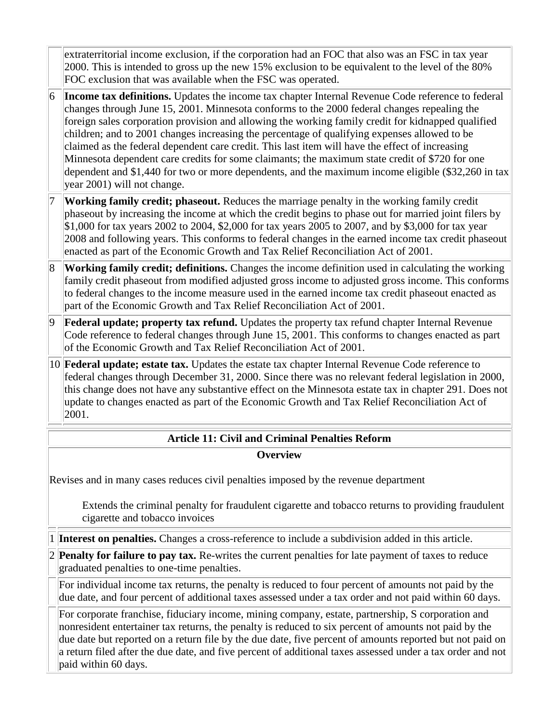extraterritorial income exclusion, if the corporation had an FOC that also was an FSC in tax year 2000. This is intended to gross up the new 15% exclusion to be equivalent to the level of the 80% FOC exclusion that was available when the FSC was operated.

- 6 **Income tax definitions.** Updates the income tax chapter Internal Revenue Code reference to federal changes through June 15, 2001. Minnesota conforms to the 2000 federal changes repealing the foreign sales corporation provision and allowing the working family credit for kidnapped qualified children; and to 2001 changes increasing the percentage of qualifying expenses allowed to be claimed as the federal dependent care credit. This last item will have the effect of increasing Minnesota dependent care credits for some claimants; the maximum state credit of \$720 for one dependent and \$1,440 for two or more dependents, and the maximum income eligible (\$32,260 in tax year 2001) will not change.
- **Working family credit; phaseout.** Reduces the marriage penalty in the working family credit phaseout by increasing the income at which the credit begins to phase out for married joint filers by \$1,000 for tax years 2002 to 2004, \$2,000 for tax years 2005 to 2007, and by \$3,000 for tax year 2008 and following years. This conforms to federal changes in the earned income tax credit phaseout enacted as part of the Economic Growth and Tax Relief Reconciliation Act of 2001.
- 8 **Working family credit; definitions.** Changes the income definition used in calculating the working family credit phaseout from modified adjusted gross income to adjusted gross income. This conforms to federal changes to the income measure used in the earned income tax credit phaseout enacted as part of the Economic Growth and Tax Relief Reconciliation Act of 2001.
- 9 **Federal update; property tax refund.** Updates the property tax refund chapter Internal Revenue Code reference to federal changes through June 15, 2001. This conforms to changes enacted as part of the Economic Growth and Tax Relief Reconciliation Act of 2001.
- 10 **Federal update; estate tax.** Updates the estate tax chapter Internal Revenue Code reference to federal changes through December 31, 2000. Since there was no relevant federal legislation in 2000, this change does not have any substantive effect on the Minnesota estate tax in chapter 291. Does not update to changes enacted as part of the Economic Growth and Tax Relief Reconciliation Act of 2001.

## **Article 11: Civil and Criminal Penalties Reform Overview**

Revises and in many cases reduces civil penalties imposed by the revenue department

Extends the criminal penalty for fraudulent cigarette and tobacco returns to providing fraudulent cigarette and tobacco invoices

1 **Interest on penalties.** Changes a cross-reference to include a subdivision added in this article.

2 **Penalty for failure to pay tax.** Re-writes the current penalties for late payment of taxes to reduce graduated penalties to one-time penalties.

For individual income tax returns, the penalty is reduced to four percent of amounts not paid by the due date, and four percent of additional taxes assessed under a tax order and not paid within 60 days.

For corporate franchise, fiduciary income, mining company, estate, partnership, S corporation and nonresident entertainer tax returns, the penalty is reduced to six percent of amounts not paid by the due date but reported on a return file by the due date, five percent of amounts reported but not paid on a return filed after the due date, and five percent of additional taxes assessed under a tax order and not paid within 60 days.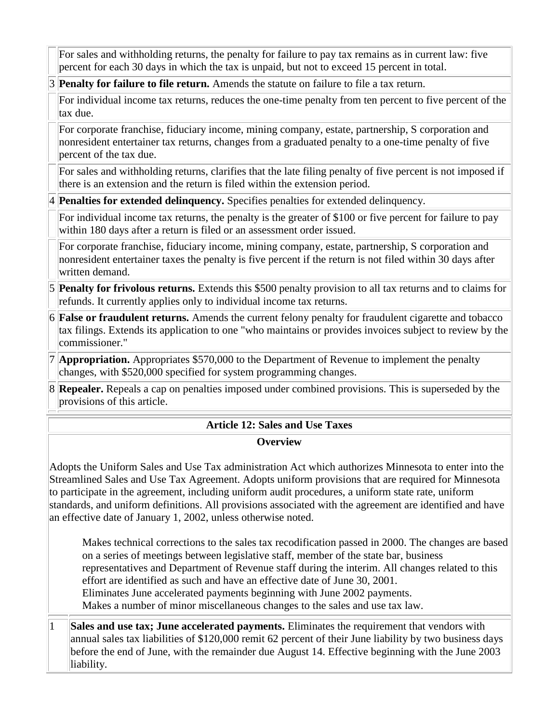For sales and withholding returns, the penalty for failure to pay tax remains as in current law: five percent for each 30 days in which the tax is unpaid, but not to exceed 15 percent in total.

3 **Penalty for failure to file return.** Amends the statute on failure to file a tax return.

For individual income tax returns, reduces the one-time penalty from ten percent to five percent of the tax due.

For corporate franchise, fiduciary income, mining company, estate, partnership, S corporation and nonresident entertainer tax returns, changes from a graduated penalty to a one-time penalty of five percent of the tax due.

For sales and withholding returns, clarifies that the late filing penalty of five percent is not imposed if there is an extension and the return is filed within the extension period.

4 **Penalties for extended delinquency.** Specifies penalties for extended delinquency.

For individual income tax returns, the penalty is the greater of \$100 or five percent for failure to pay within 180 days after a return is filed or an assessment order issued.

For corporate franchise, fiduciary income, mining company, estate, partnership, S corporation and nonresident entertainer taxes the penalty is five percent if the return is not filed within 30 days after written demand.

- 5 **Penalty for frivolous returns.** Extends this \$500 penalty provision to all tax returns and to claims for refunds. It currently applies only to individual income tax returns.
- 6 **False or fraudulent returns.** Amends the current felony penalty for fraudulent cigarette and tobacco tax filings. Extends its application to one "who maintains or provides invoices subject to review by the commissioner."
- 7 **Appropriation.** Appropriates \$570,000 to the Department of Revenue to implement the penalty changes, with \$520,000 specified for system programming changes.
- 8 **Repealer.** Repeals a cap on penalties imposed under combined provisions. This is superseded by the provisions of this article.

# **Article 12: Sales and Use Taxes**

#### **Overview**

Adopts the Uniform Sales and Use Tax administration Act which authorizes Minnesota to enter into the Streamlined Sales and Use Tax Agreement. Adopts uniform provisions that are required for Minnesota to participate in the agreement, including uniform audit procedures, a uniform state rate, uniform standards, and uniform definitions. All provisions associated with the agreement are identified and have an effective date of January 1, 2002, unless otherwise noted.

Makes technical corrections to the sales tax recodification passed in 2000. The changes are based on a series of meetings between legislative staff, member of the state bar, business representatives and Department of Revenue staff during the interim. All changes related to this effort are identified as such and have an effective date of June 30, 2001. Eliminates June accelerated payments beginning with June 2002 payments. Makes a number of minor miscellaneous changes to the sales and use tax law.

1 **Sales and use tax; June accelerated payments.** Eliminates the requirement that vendors with annual sales tax liabilities of \$120,000 remit 62 percent of their June liability by two business days before the end of June, with the remainder due August 14. Effective beginning with the June 2003 liability.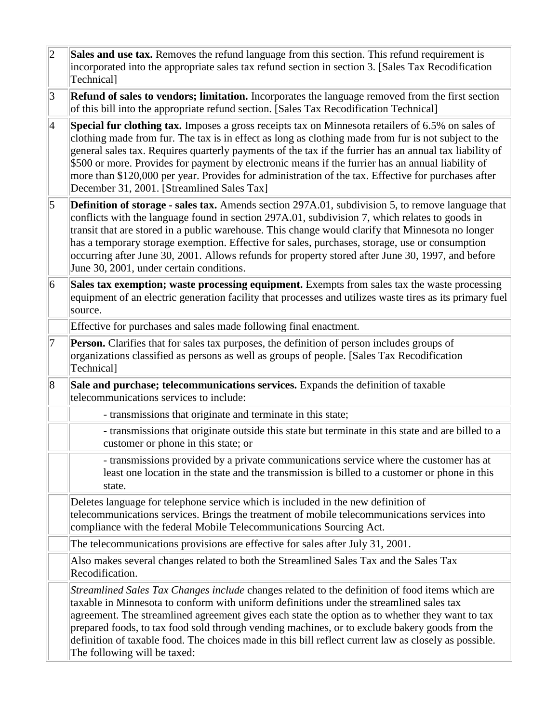| $ 2\rangle$     | Sales and use tax. Removes the refund language from this section. This refund requirement is<br>incorporated into the appropriate sales tax refund section in section 3. [Sales Tax Recodification<br>Technical]                                                                                                                                                                                                                                                                                                                                                               |
|-----------------|--------------------------------------------------------------------------------------------------------------------------------------------------------------------------------------------------------------------------------------------------------------------------------------------------------------------------------------------------------------------------------------------------------------------------------------------------------------------------------------------------------------------------------------------------------------------------------|
| 3               | <b>Refund of sales to vendors; limitation.</b> Incorporates the language removed from the first section<br>of this bill into the appropriate refund section. [Sales Tax Recodification Technical]                                                                                                                                                                                                                                                                                                                                                                              |
| $\vert 4 \vert$ | Special fur clothing tax. Imposes a gross receipts tax on Minnesota retailers of 6.5% on sales of<br>clothing made from fur. The tax is in effect as long as clothing made from fur is not subject to the<br>general sales tax. Requires quarterly payments of the tax if the furrier has an annual tax liability of<br>\$500 or more. Provides for payment by electronic means if the furrier has an annual liability of<br>more than \$120,000 per year. Provides for administration of the tax. Effective for purchases after<br>December 31, 2001. [Streamlined Sales Tax] |
| $\vert$ 5       | <b>Definition of storage - sales tax.</b> Amends section 297A.01, subdivision 5, to remove language that<br>conflicts with the language found in section 297A.01, subdivision 7, which relates to goods in<br>transit that are stored in a public warehouse. This change would clarify that Minnesota no longer<br>has a temporary storage exemption. Effective for sales, purchases, storage, use or consumption<br>occurring after June 30, 2001. Allows refunds for property stored after June 30, 1997, and before<br>June 30, 2001, under certain conditions.             |
| 6               | Sales tax exemption; waste processing equipment. Exempts from sales tax the waste processing<br>equipment of an electric generation facility that processes and utilizes waste tires as its primary fuel<br>source.                                                                                                                                                                                                                                                                                                                                                            |
|                 | Effective for purchases and sales made following final enactment.                                                                                                                                                                                                                                                                                                                                                                                                                                                                                                              |
| 7               | <b>Person.</b> Clarifies that for sales tax purposes, the definition of person includes groups of<br>organizations classified as persons as well as groups of people. [Sales Tax Recodification<br>Technical]                                                                                                                                                                                                                                                                                                                                                                  |
| 8               | Sale and purchase; telecommunications services. Expands the definition of taxable<br>telecommunications services to include:                                                                                                                                                                                                                                                                                                                                                                                                                                                   |
|                 | - transmissions that originate and terminate in this state;                                                                                                                                                                                                                                                                                                                                                                                                                                                                                                                    |
|                 | - transmissions that originate outside this state but terminate in this state and are billed to a<br>customer or phone in this state; or                                                                                                                                                                                                                                                                                                                                                                                                                                       |
|                 | - transmissions provided by a private communications service where the customer has at<br>least one location in the state and the transmission is billed to a customer or phone in this<br>state.                                                                                                                                                                                                                                                                                                                                                                              |
|                 | Deletes language for telephone service which is included in the new definition of<br>telecommunications services. Brings the treatment of mobile telecommunications services into<br>compliance with the federal Mobile Telecommunications Sourcing Act.                                                                                                                                                                                                                                                                                                                       |
|                 | The telecommunications provisions are effective for sales after July 31, 2001.                                                                                                                                                                                                                                                                                                                                                                                                                                                                                                 |
|                 | Also makes several changes related to both the Streamlined Sales Tax and the Sales Tax<br>Recodification.                                                                                                                                                                                                                                                                                                                                                                                                                                                                      |
|                 | Streamlined Sales Tax Changes include changes related to the definition of food items which are<br>taxable in Minnesota to conform with uniform definitions under the streamlined sales tax<br>agreement. The streamlined agreement gives each state the option as to whether they want to tax<br>prepared foods, to tax food sold through vending machines, or to exclude bakery goods from the<br>definition of taxable food. The choices made in this bill reflect current law as closely as possible.<br>The following will be taxed:                                      |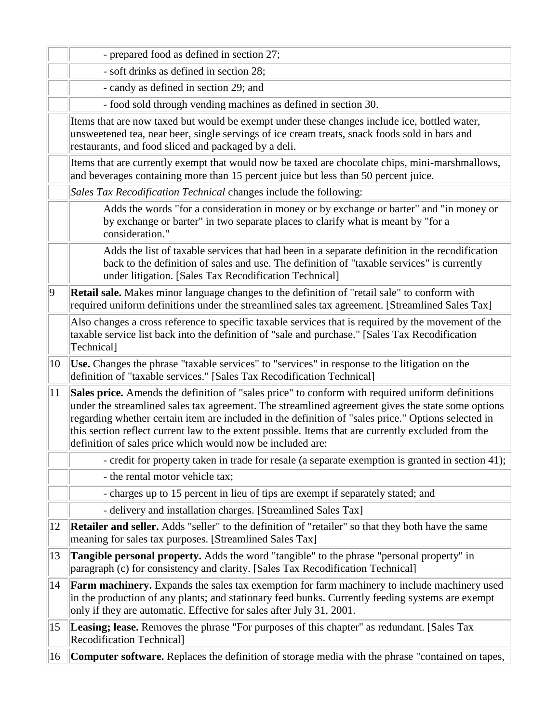|             | - prepared food as defined in section 27;                                                                                                                                                                                                                                                                                                                                                                                                                                         |
|-------------|-----------------------------------------------------------------------------------------------------------------------------------------------------------------------------------------------------------------------------------------------------------------------------------------------------------------------------------------------------------------------------------------------------------------------------------------------------------------------------------|
|             | - soft drinks as defined in section 28;                                                                                                                                                                                                                                                                                                                                                                                                                                           |
|             | - candy as defined in section 29; and                                                                                                                                                                                                                                                                                                                                                                                                                                             |
|             | - food sold through vending machines as defined in section 30.                                                                                                                                                                                                                                                                                                                                                                                                                    |
|             | Items that are now taxed but would be exempt under these changes include ice, bottled water,<br>unsweetened tea, near beer, single servings of ice cream treats, snack foods sold in bars and<br>restaurants, and food sliced and packaged by a deli.                                                                                                                                                                                                                             |
|             | Items that are currently exempt that would now be taxed are chocolate chips, mini-marshmallows,<br>and beverages containing more than 15 percent juice but less than 50 percent juice.                                                                                                                                                                                                                                                                                            |
|             | Sales Tax Recodification Technical changes include the following:                                                                                                                                                                                                                                                                                                                                                                                                                 |
|             | Adds the words "for a consideration in money or by exchange or barter" and "in money or<br>by exchange or barter" in two separate places to clarify what is meant by "for a<br>consideration."                                                                                                                                                                                                                                                                                    |
|             | Adds the list of taxable services that had been in a separate definition in the recodification<br>back to the definition of sales and use. The definition of "taxable services" is currently<br>under litigation. [Sales Tax Recodification Technical]                                                                                                                                                                                                                            |
| $ 9\rangle$ | <b>Retail sale.</b> Makes minor language changes to the definition of "retail sale" to conform with<br>required uniform definitions under the streamlined sales tax agreement. [Streamlined Sales Tax]                                                                                                                                                                                                                                                                            |
|             | Also changes a cross reference to specific taxable services that is required by the movement of the<br>taxable service list back into the definition of "sale and purchase." [Sales Tax Recodification<br>Technical]                                                                                                                                                                                                                                                              |
| 10          | Use. Changes the phrase "taxable services" to "services" in response to the litigation on the<br>definition of "taxable services." [Sales Tax Recodification Technical]                                                                                                                                                                                                                                                                                                           |
| 11          | Sales price. Amends the definition of "sales price" to conform with required uniform definitions<br>under the streamlined sales tax agreement. The streamlined agreement gives the state some options<br>regarding whether certain item are included in the definition of "sales price." Options selected in<br>this section reflect current law to the extent possible. Items that are currently excluded from the<br>definition of sales price which would now be included are: |
|             | - credit for property taken in trade for resale (a separate exemption is granted in section 41);                                                                                                                                                                                                                                                                                                                                                                                  |
|             | - the rental motor vehicle tax;                                                                                                                                                                                                                                                                                                                                                                                                                                                   |
|             | - charges up to 15 percent in lieu of tips are exempt if separately stated; and                                                                                                                                                                                                                                                                                                                                                                                                   |
|             | - delivery and installation charges. [Streamlined Sales Tax]                                                                                                                                                                                                                                                                                                                                                                                                                      |
| 12          | <b>Retailer and seller.</b> Adds "seller" to the definition of "retailer" so that they both have the same<br>meaning for sales tax purposes. [Streamlined Sales Tax]                                                                                                                                                                                                                                                                                                              |
| 13          | <b>Tangible personal property.</b> Adds the word "tangible" to the phrase "personal property" in<br>paragraph (c) for consistency and clarity. [Sales Tax Recodification Technical]                                                                                                                                                                                                                                                                                               |
| 14          | <b>Farm machinery.</b> Expands the sales tax exemption for farm machinery to include machinery used<br>in the production of any plants; and stationary feed bunks. Currently feeding systems are exempt<br>only if they are automatic. Effective for sales after July 31, 2001.                                                                                                                                                                                                   |
| 15          | Leasing; lease. Removes the phrase "For purposes of this chapter" as redundant. [Sales Tax<br><b>Recodification Technical]</b>                                                                                                                                                                                                                                                                                                                                                    |
| 16          | <b>Computer software.</b> Replaces the definition of storage media with the phrase "contained on tapes,                                                                                                                                                                                                                                                                                                                                                                           |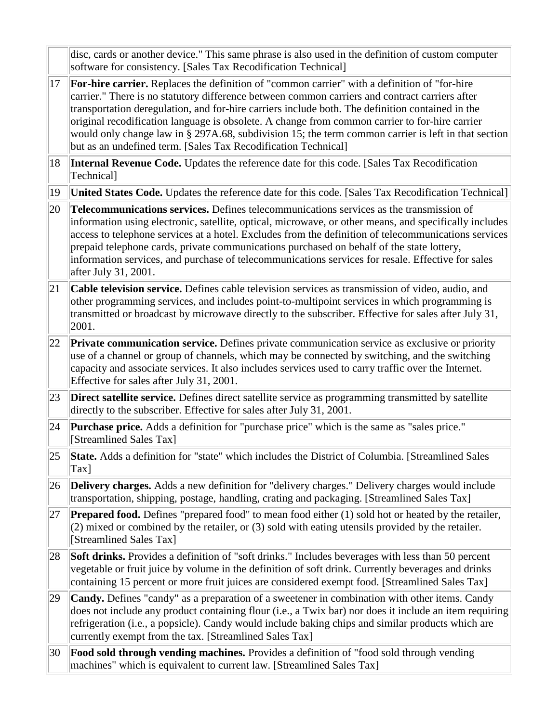|              | disc, cards or another device." This same phrase is also used in the definition of custom computer<br>software for consistency. [Sales Tax Recodification Technical]                                                                                                                                                                                                                                                                                                                                                                                                           |
|--------------|--------------------------------------------------------------------------------------------------------------------------------------------------------------------------------------------------------------------------------------------------------------------------------------------------------------------------------------------------------------------------------------------------------------------------------------------------------------------------------------------------------------------------------------------------------------------------------|
| 17           | For-hire carrier. Replaces the definition of "common carrier" with a definition of "for-hire"<br>carrier." There is no statutory difference between common carriers and contract carriers after<br>transportation deregulation, and for-hire carriers include both. The definition contained in the<br>original recodification language is obsolete. A change from common carrier to for-hire carrier<br>would only change law in § 297A.68, subdivision 15; the term common carrier is left in that section<br>but as an undefined term. [Sales Tax Recodification Technical] |
| 18           | Internal Revenue Code. Updates the reference date for this code. [Sales Tax Recodification]<br>Technical]                                                                                                                                                                                                                                                                                                                                                                                                                                                                      |
| $ 19\rangle$ | United States Code. Updates the reference date for this code. [Sales Tax Recodification Technical]                                                                                                                                                                                                                                                                                                                                                                                                                                                                             |
| 20           | Telecommunications services. Defines telecommunications services as the transmission of<br>information using electronic, satellite, optical, microwave, or other means, and specifically includes<br>access to telephone services at a hotel. Excludes from the definition of telecommunications services<br>prepaid telephone cards, private communications purchased on behalf of the state lottery,<br>information services, and purchase of telecommunications services for resale. Effective for sales<br>after July 31, 2001.                                            |
| 21           | <b>Cable television service.</b> Defines cable television services as transmission of video, audio, and<br>other programming services, and includes point-to-multipoint services in which programming is<br>transmitted or broadcast by microwave directly to the subscriber. Effective for sales after July 31,<br>2001.                                                                                                                                                                                                                                                      |
| 22           | <b>Private communication service.</b> Defines private communication service as exclusive or priority<br>use of a channel or group of channels, which may be connected by switching, and the switching<br>capacity and associate services. It also includes services used to carry traffic over the Internet.<br>Effective for sales after July 31, 2001.                                                                                                                                                                                                                       |
| 23           | <b>Direct satellite service.</b> Defines direct satellite service as programming transmitted by satellite<br>directly to the subscriber. Effective for sales after July 31, 2001.                                                                                                                                                                                                                                                                                                                                                                                              |
| 24           | <b>Purchase price.</b> Adds a definition for "purchase price" which is the same as "sales price."<br>[Streamlined Sales Tax]                                                                                                                                                                                                                                                                                                                                                                                                                                                   |
|              | 25 State. Adds a definition for "state" which includes the District of Columbia. [Streamlined Sales<br>$\text{Tax}$ ]                                                                                                                                                                                                                                                                                                                                                                                                                                                          |
| 26           | <b>Delivery charges.</b> Adds a new definition for "delivery charges." Delivery charges would include<br>transportation, shipping, postage, handling, crating and packaging. [Streamlined Sales Tax]                                                                                                                                                                                                                                                                                                                                                                           |
| 27           | <b>Prepared food.</b> Defines "prepared food" to mean food either (1) sold hot or heated by the retailer,<br>(2) mixed or combined by the retailer, or (3) sold with eating utensils provided by the retailer.<br>[Streamlined Sales Tax]                                                                                                                                                                                                                                                                                                                                      |
| 28           | <b>Soft drinks.</b> Provides a definition of "soft drinks." Includes beverages with less than 50 percent<br>vegetable or fruit juice by volume in the definition of soft drink. Currently beverages and drinks<br>containing 15 percent or more fruit juices are considered exempt food. [Streamlined Sales Tax]                                                                                                                                                                                                                                                               |
| 29           | <b>Candy.</b> Defines "candy" as a preparation of a sweetener in combination with other items. Candy<br>does not include any product containing flour (i.e., a Twix bar) nor does it include an item requiring<br>refrigeration (i.e., a popsicle). Candy would include baking chips and similar products which are<br>currently exempt from the tax. [Streamlined Sales Tax]                                                                                                                                                                                                  |
| 30           | <b>Food sold through vending machines.</b> Provides a definition of "food sold through vending"<br>machines" which is equivalent to current law. [Streamlined Sales Tax]                                                                                                                                                                                                                                                                                                                                                                                                       |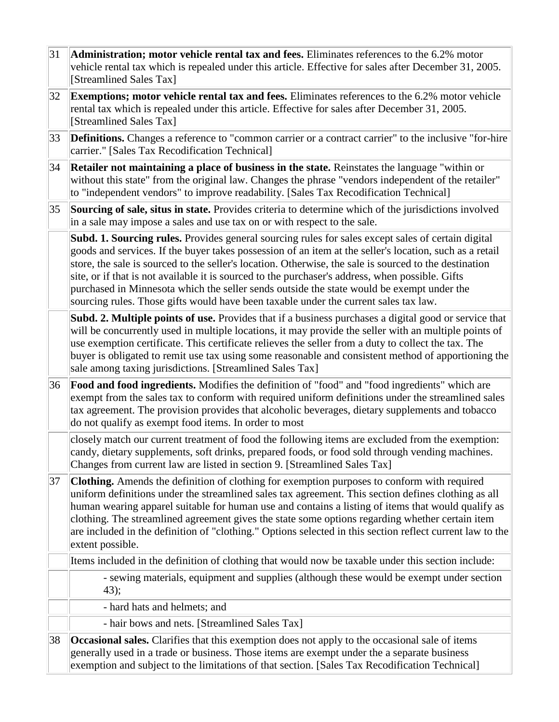| 31 | Administration; motor vehicle rental tax and fees. Eliminates references to the 6.2% motor<br>vehicle rental tax which is repealed under this article. Effective for sales after December 31, 2005.<br>[Streamlined Sales Tax]                                                                                                                                                                                                                                                                                                                                                                                   |
|----|------------------------------------------------------------------------------------------------------------------------------------------------------------------------------------------------------------------------------------------------------------------------------------------------------------------------------------------------------------------------------------------------------------------------------------------------------------------------------------------------------------------------------------------------------------------------------------------------------------------|
| 32 | <b>Exemptions; motor vehicle rental tax and fees.</b> Eliminates references to the 6.2% motor vehicle<br>rental tax which is repealed under this article. Effective for sales after December 31, 2005.<br>[Streamlined Sales Tax]                                                                                                                                                                                                                                                                                                                                                                                |
| 33 | <b>Definitions.</b> Changes a reference to "common carrier or a contract carrier" to the inclusive "for-hire"<br>carrier." [Sales Tax Recodification Technical]                                                                                                                                                                                                                                                                                                                                                                                                                                                  |
| 34 | Retailer not maintaining a place of business in the state. Reinstates the language "within or<br>without this state" from the original law. Changes the phrase "vendors independent of the retailer"<br>to "independent vendors" to improve readability. [Sales Tax Recodification Technical]                                                                                                                                                                                                                                                                                                                    |
| 35 | Sourcing of sale, situs in state. Provides criteria to determine which of the jurisdictions involved<br>in a sale may impose a sales and use tax on or with respect to the sale.                                                                                                                                                                                                                                                                                                                                                                                                                                 |
|    | Subd. 1. Sourcing rules. Provides general sourcing rules for sales except sales of certain digital<br>goods and services. If the buyer takes possession of an item at the seller's location, such as a retail<br>store, the sale is sourced to the seller's location. Otherwise, the sale is sourced to the destination<br>site, or if that is not available it is sourced to the purchaser's address, when possible. Gifts<br>purchased in Minnesota which the seller sends outside the state would be exempt under the<br>sourcing rules. Those gifts would have been taxable under the current sales tax law. |
|    | Subd. 2. Multiple points of use. Provides that if a business purchases a digital good or service that<br>will be concurrently used in multiple locations, it may provide the seller with an multiple points of<br>use exemption certificate. This certificate relieves the seller from a duty to collect the tax. The<br>buyer is obligated to remit use tax using some reasonable and consistent method of apportioning the<br>sale among taxing jurisdictions. [Streamlined Sales Tax]                                                                                                                         |
| 36 | <b>Food and food ingredients.</b> Modifies the definition of "food" and "food ingredients" which are<br>exempt from the sales tax to conform with required uniform definitions under the streamlined sales<br>tax agreement. The provision provides that alcoholic beverages, dietary supplements and tobacco<br>do not qualify as exempt food items. In order to most                                                                                                                                                                                                                                           |
|    | closely match our current treatment of food the following items are excluded from the exemption:<br>candy, dietary supplements, soft drinks, prepared foods, or food sold through vending machines.<br>Changes from current law are listed in section 9. [Streamlined Sales Tax]                                                                                                                                                                                                                                                                                                                                 |
| 37 | Clothing. Amends the definition of clothing for exemption purposes to conform with required<br>uniform definitions under the streamlined sales tax agreement. This section defines clothing as all<br>human wearing apparel suitable for human use and contains a listing of items that would qualify as<br>clothing. The streamlined agreement gives the state some options regarding whether certain item<br>are included in the definition of "clothing." Options selected in this section reflect current law to the<br>extent possible.                                                                     |
|    | Items included in the definition of clothing that would now be taxable under this section include:                                                                                                                                                                                                                                                                                                                                                                                                                                                                                                               |
|    | - sewing materials, equipment and supplies (although these would be exempt under section<br>43);                                                                                                                                                                                                                                                                                                                                                                                                                                                                                                                 |
|    | - hard hats and helmets; and                                                                                                                                                                                                                                                                                                                                                                                                                                                                                                                                                                                     |
|    | - hair bows and nets. [Streamlined Sales Tax]                                                                                                                                                                                                                                                                                                                                                                                                                                                                                                                                                                    |
| 38 | <b>Occasional sales.</b> Clarifies that this exemption does not apply to the occasional sale of items<br>generally used in a trade or business. Those items are exempt under the a separate business<br>exemption and subject to the limitations of that section. [Sales Tax Recodification Technical]                                                                                                                                                                                                                                                                                                           |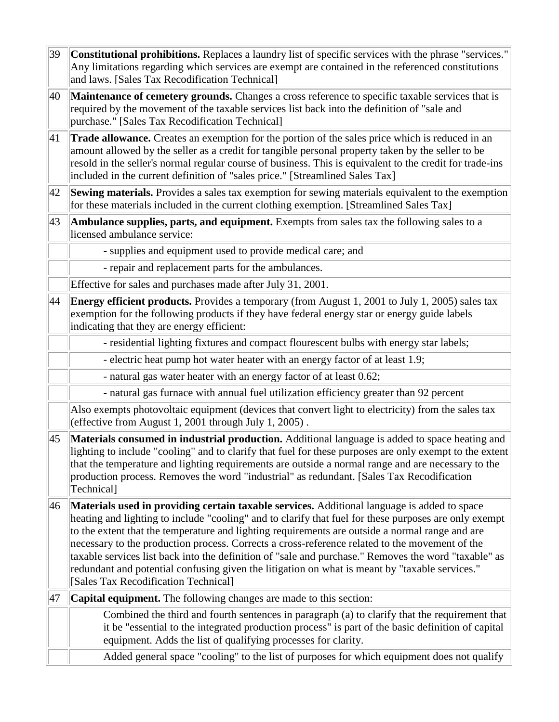39 **Constitutional prohibitions.** Replaces a laundry list of specific services with the phrase "services." Any limitations regarding which services are exempt are contained in the referenced constitutions and laws. [Sales Tax Recodification Technical] 40 **Maintenance of cemetery grounds.** Changes a cross reference to specific taxable services that is required by the movement of the taxable services list back into the definition of "sale and purchase." [Sales Tax Recodification Technical] 41 **Trade allowance.** Creates an exemption for the portion of the sales price which is reduced in an amount allowed by the seller as a credit for tangible personal property taken by the seller to be resold in the seller's normal regular course of business. This is equivalent to the credit for trade-ins included in the current definition of "sales price." [Streamlined Sales Tax] 42 **Sewing materials.** Provides a sales tax exemption for sewing materials equivalent to the exemption for these materials included in the current clothing exemption. [Streamlined Sales Tax] 43 **Ambulance supplies, parts, and equipment.** Exempts from sales tax the following sales to a licensed ambulance service: - supplies and equipment used to provide medical care; and - repair and replacement parts for the ambulances. Effective for sales and purchases made after July 31, 2001. 44 **Energy efficient products.** Provides a temporary (from August 1, 2001 to July 1, 2005) sales tax exemption for the following products if they have federal energy star or energy guide labels indicating that they are energy efficient: - residential lighting fixtures and compact flourescent bulbs with energy star labels; - electric heat pump hot water heater with an energy factor of at least 1.9; - natural gas water heater with an energy factor of at least 0.62; - natural gas furnace with annual fuel utilization efficiency greater than 92 percent Also exempts photovoltaic equipment (devices that convert light to electricity) from the sales tax (effective from August 1, 2001 through July 1, 2005) . 45 **Materials consumed in industrial production.** Additional language is added to space heating and lighting to include "cooling" and to clarify that fuel for these purposes are only exempt to the extent that the temperature and lighting requirements are outside a normal range and are necessary to the production process. Removes the word "industrial" as redundant. [Sales Tax Recodification Technical] 46 **Materials used in providing certain taxable services.** Additional language is added to space heating and lighting to include "cooling" and to clarify that fuel for these purposes are only exempt to the extent that the temperature and lighting requirements are outside a normal range and are necessary to the production process. Corrects a cross-reference related to the movement of the taxable services list back into the definition of "sale and purchase." Removes the word "taxable" as redundant and potential confusing given the litigation on what is meant by "taxable services." [Sales Tax Recodification Technical] 47 **Capital equipment.** The following changes are made to this section: Combined the third and fourth sentences in paragraph (a) to clarify that the requirement that it be "essential to the integrated production process" is part of the basic definition of capital equipment. Adds the list of qualifying processes for clarity. Added general space "cooling" to the list of purposes for which equipment does not qualify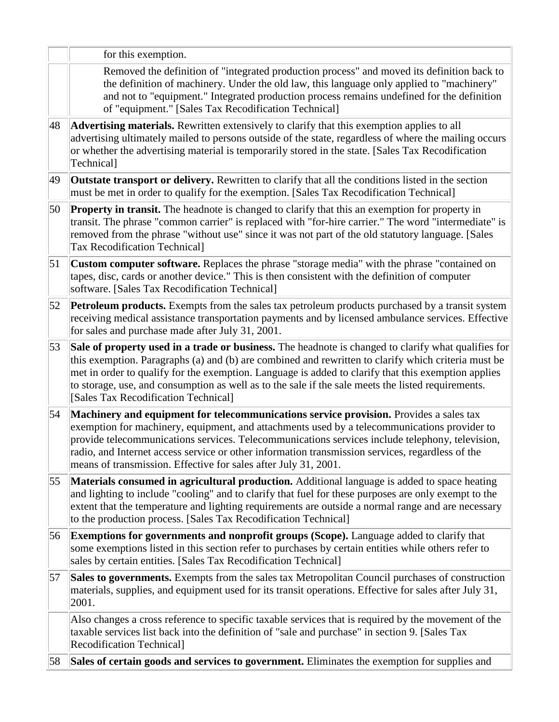|    | for this exemption.                                                                                                                                                                                                                                                                                                                                                                                                                                              |
|----|------------------------------------------------------------------------------------------------------------------------------------------------------------------------------------------------------------------------------------------------------------------------------------------------------------------------------------------------------------------------------------------------------------------------------------------------------------------|
|    | Removed the definition of "integrated production process" and moved its definition back to<br>the definition of machinery. Under the old law, this language only applied to "machinery"<br>and not to "equipment." Integrated production process remains undefined for the definition<br>of "equipment." [Sales Tax Recodification Technical]                                                                                                                    |
| 48 | Advertising materials. Rewritten extensively to clarify that this exemption applies to all<br>advertising ultimately mailed to persons outside of the state, regardless of where the mailing occurs<br>or whether the advertising material is temporarily stored in the state. [Sales Tax Recodification<br>Technical]                                                                                                                                           |
| 49 | <b>Outstate transport or delivery.</b> Rewritten to clarify that all the conditions listed in the section<br>must be met in order to qualify for the exemption. [Sales Tax Recodification Technical]                                                                                                                                                                                                                                                             |
| 50 | <b>Property in transit.</b> The headnote is changed to clarify that this an exemption for property in<br>transit. The phrase "common carrier" is replaced with "for-hire carrier." The word "intermediate" is<br>removed from the phrase "without use" since it was not part of the old statutory language. [Sales<br><b>Tax Recodification Technical]</b>                                                                                                       |
| 51 | Custom computer software. Replaces the phrase "storage media" with the phrase "contained on<br>tapes, disc, cards or another device." This is then consistent with the definition of computer<br>software. [Sales Tax Recodification Technical]                                                                                                                                                                                                                  |
| 52 | <b>Petroleum products.</b> Exempts from the sales tax petroleum products purchased by a transit system<br>receiving medical assistance transportation payments and by licensed ambulance services. Effective<br>for sales and purchase made after July 31, 2001.                                                                                                                                                                                                 |
| 53 | Sale of property used in a trade or business. The headnote is changed to clarify what qualifies for<br>this exemption. Paragraphs (a) and (b) are combined and rewritten to clarify which criteria must be<br>met in order to qualify for the exemption. Language is added to clarify that this exemption applies<br>to storage, use, and consumption as well as to the sale if the sale meets the listed requirements.<br>[Sales Tax Recodification Technical]  |
| 54 | Machinery and equipment for telecommunications service provision. Provides a sales tax<br>exemption for machinery, equipment, and attachments used by a telecommunications provider to<br>provide telecommunications services. Telecommunications services include telephony, television,<br>radio, and Internet access service or other information transmission services, regardless of the<br>means of transmission. Effective for sales after July 31, 2001. |
| 55 | Materials consumed in agricultural production. Additional language is added to space heating<br>and lighting to include "cooling" and to clarify that fuel for these purposes are only exempt to the<br>extent that the temperature and lighting requirements are outside a normal range and are necessary<br>to the production process. [Sales Tax Recodification Technical]                                                                                    |
| 56 | <b>Exemptions for governments and nonprofit groups (Scope).</b> Language added to clarify that<br>some exemptions listed in this section refer to purchases by certain entities while others refer to<br>sales by certain entities. [Sales Tax Recodification Technical]                                                                                                                                                                                         |
| 57 | Sales to governments. Exempts from the sales tax Metropolitan Council purchases of construction<br>materials, supplies, and equipment used for its transit operations. Effective for sales after July 31,<br>2001.                                                                                                                                                                                                                                               |
|    | Also changes a cross reference to specific taxable services that is required by the movement of the<br>taxable services list back into the definition of "sale and purchase" in section 9. [Sales Tax<br><b>Recodification Technical]</b>                                                                                                                                                                                                                        |
| 58 | Sales of certain goods and services to government. Eliminates the exemption for supplies and                                                                                                                                                                                                                                                                                                                                                                     |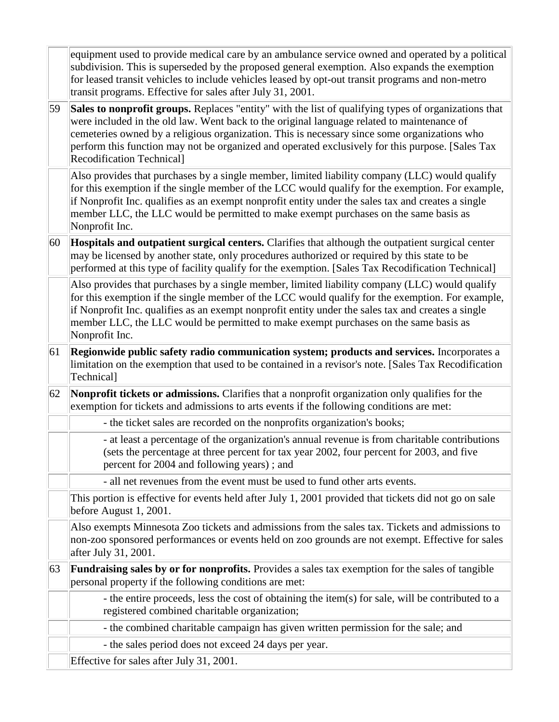|    | equipment used to provide medical care by an ambulance service owned and operated by a political<br>subdivision. This is superseded by the proposed general exemption. Also expands the exemption<br>for leased transit vehicles to include vehicles leased by opt-out transit programs and non-metro<br>transit programs. Effective for sales after July 31, 2001.                                                                        |
|----|--------------------------------------------------------------------------------------------------------------------------------------------------------------------------------------------------------------------------------------------------------------------------------------------------------------------------------------------------------------------------------------------------------------------------------------------|
| 59 | Sales to nonprofit groups. Replaces "entity" with the list of qualifying types of organizations that<br>were included in the old law. Went back to the original language related to maintenance of<br>cemeteries owned by a religious organization. This is necessary since some organizations who<br>perform this function may not be organized and operated exclusively for this purpose. [Sales Tax<br><b>Recodification Technical]</b> |
|    | Also provides that purchases by a single member, limited liability company (LLC) would qualify<br>for this exemption if the single member of the LCC would qualify for the exemption. For example,<br>if Nonprofit Inc. qualifies as an exempt nonprofit entity under the sales tax and creates a single<br>member LLC, the LLC would be permitted to make exempt purchases on the same basis as<br>Nonprofit Inc.                         |
| 60 | Hospitals and outpatient surgical centers. Clarifies that although the outpatient surgical center<br>may be licensed by another state, only procedures authorized or required by this state to be<br>performed at this type of facility qualify for the exemption. [Sales Tax Recodification Technical]                                                                                                                                    |
|    | Also provides that purchases by a single member, limited liability company (LLC) would qualify<br>for this exemption if the single member of the LCC would qualify for the exemption. For example,<br>if Nonprofit Inc. qualifies as an exempt nonprofit entity under the sales tax and creates a single<br>member LLC, the LLC would be permitted to make exempt purchases on the same basis as<br>Nonprofit Inc.                         |
| 61 | Regionwide public safety radio communication system; products and services. Incorporates a<br>limitation on the exemption that used to be contained in a revisor's note. [Sales Tax Recodification<br>Technical]                                                                                                                                                                                                                           |
| 62 | Nonprofit tickets or admissions. Clarifies that a nonprofit organization only qualifies for the<br>exemption for tickets and admissions to arts events if the following conditions are met:                                                                                                                                                                                                                                                |
|    | - the ticket sales are recorded on the nonprofits organization's books;                                                                                                                                                                                                                                                                                                                                                                    |
|    | - at least a percentage of the organization's annual revenue is from charitable contributions<br>(sets the percentage at three percent for tax year 2002, four percent for 2003, and five<br>percent for 2004 and following years); and                                                                                                                                                                                                    |
|    | - all net revenues from the event must be used to fund other arts events.                                                                                                                                                                                                                                                                                                                                                                  |
|    | This portion is effective for events held after July 1, 2001 provided that tickets did not go on sale<br>before August 1, 2001.                                                                                                                                                                                                                                                                                                            |
|    | Also exempts Minnesota Zoo tickets and admissions from the sales tax. Tickets and admissions to<br>non-zoo sponsored performances or events held on zoo grounds are not exempt. Effective for sales<br>after July 31, 2001.                                                                                                                                                                                                                |
| 63 | Fundraising sales by or for nonprofits. Provides a sales tax exemption for the sales of tangible<br>personal property if the following conditions are met:                                                                                                                                                                                                                                                                                 |
|    | - the entire proceeds, less the cost of obtaining the item(s) for sale, will be contributed to a<br>registered combined charitable organization;                                                                                                                                                                                                                                                                                           |
|    | - the combined charitable campaign has given written permission for the sale; and                                                                                                                                                                                                                                                                                                                                                          |
|    | - the sales period does not exceed 24 days per year.                                                                                                                                                                                                                                                                                                                                                                                       |
|    | Effective for sales after July 31, 2001.                                                                                                                                                                                                                                                                                                                                                                                                   |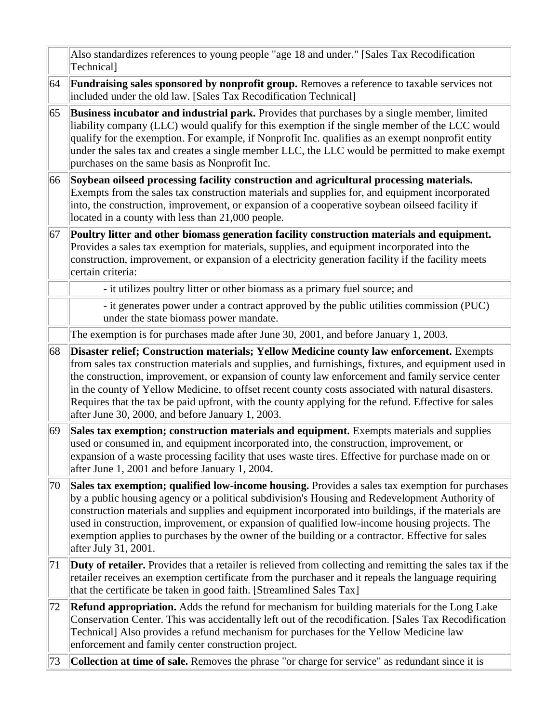|    | Also standardizes references to young people "age 18 and under." [Sales Tax Recodification<br>Technical]                                                                                                                                                                                                                                                                                                                                                                                                                                                             |
|----|----------------------------------------------------------------------------------------------------------------------------------------------------------------------------------------------------------------------------------------------------------------------------------------------------------------------------------------------------------------------------------------------------------------------------------------------------------------------------------------------------------------------------------------------------------------------|
| 64 | Fundraising sales sponsored by nonprofit group. Removes a reference to taxable services not<br>included under the old law. [Sales Tax Recodification Technical]                                                                                                                                                                                                                                                                                                                                                                                                      |
| 65 | Business incubator and industrial park. Provides that purchases by a single member, limited<br>liability company (LLC) would qualify for this exemption if the single member of the LCC would<br>qualify for the exemption. For example, if Nonprofit Inc. qualifies as an exempt nonprofit entity<br>under the sales tax and creates a single member LLC, the LLC would be permitted to make exempt<br>purchases on the same basis as Nonprofit Inc.                                                                                                                |
| 66 | Soybean oilseed processing facility construction and agricultural processing materials.<br>Exempts from the sales tax construction materials and supplies for, and equipment incorporated<br>into, the construction, improvement, or expansion of a cooperative soybean oilseed facility if<br>located in a county with less than 21,000 people.                                                                                                                                                                                                                     |
| 67 | Poultry litter and other biomass generation facility construction materials and equipment.<br>Provides a sales tax exemption for materials, supplies, and equipment incorporated into the<br>construction, improvement, or expansion of a electricity generation facility if the facility meets<br>certain criteria:                                                                                                                                                                                                                                                 |
|    | - it utilizes poultry litter or other biomass as a primary fuel source; and                                                                                                                                                                                                                                                                                                                                                                                                                                                                                          |
|    | - it generates power under a contract approved by the public utilities commission (PUC)<br>under the state biomass power mandate.                                                                                                                                                                                                                                                                                                                                                                                                                                    |
|    | The exemption is for purchases made after June 30, 2001, and before January 1, 2003.                                                                                                                                                                                                                                                                                                                                                                                                                                                                                 |
| 68 | Disaster relief; Construction materials; Yellow Medicine county law enforcement. Exempts<br>from sales tax construction materials and supplies, and furnishings, fixtures, and equipment used in<br>the construction, improvement, or expansion of county law enforcement and family service center<br>in the county of Yellow Medicine, to offset recent county costs associated with natural disasters.<br>Requires that the tax be paid upfront, with the county applying for the refund. Effective for sales<br>after June 30, 2000, and before January 1, 2003. |
| 69 | Sales tax exemption; construction materials and equipment. Exempts materials and supplies<br>used or consumed in, and equipment incorporated into, the construction, improvement, or<br>expansion of a waste processing facility that uses waste tires. Effective for purchase made on or<br>after June 1, 2001 and before January 1, 2004.                                                                                                                                                                                                                          |
| 70 | Sales tax exemption; qualified low-income housing. Provides a sales tax exemption for purchases<br>by a public housing agency or a political subdivision's Housing and Redevelopment Authority of<br>construction materials and supplies and equipment incorporated into buildings, if the materials are<br>used in construction, improvement, or expansion of qualified low-income housing projects. The<br>exemption applies to purchases by the owner of the building or a contractor. Effective for sales<br>after July 31, 2001.                                |
| 71 | Duty of retailer. Provides that a retailer is relieved from collecting and remitting the sales tax if the<br>retailer receives an exemption certificate from the purchaser and it repeals the language requiring<br>that the certificate be taken in good faith. [Streamlined Sales Tax]                                                                                                                                                                                                                                                                             |
| 72 | <b>Refund appropriation.</b> Adds the refund for mechanism for building materials for the Long Lake<br>Conservation Center. This was accidentally left out of the recodification. [Sales Tax Recodification<br>Technical] Also provides a refund mechanism for purchases for the Yellow Medicine law<br>enforcement and family center construction project.                                                                                                                                                                                                          |
| 73 | <b>Collection at time of sale.</b> Removes the phrase "or charge for service" as redundant since it is                                                                                                                                                                                                                                                                                                                                                                                                                                                               |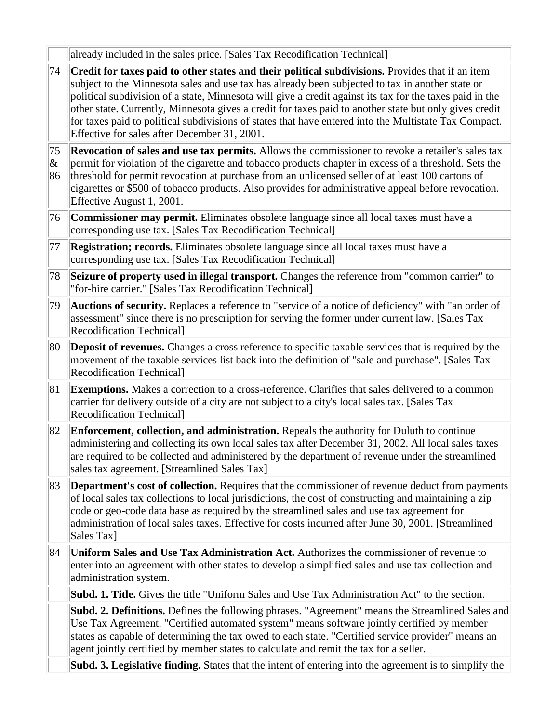|                         | already included in the sales price. [Sales Tax Recodification Technical]                                                                                                                                                                                                                                                                                                                                                                                                                                                                                                           |
|-------------------------|-------------------------------------------------------------------------------------------------------------------------------------------------------------------------------------------------------------------------------------------------------------------------------------------------------------------------------------------------------------------------------------------------------------------------------------------------------------------------------------------------------------------------------------------------------------------------------------|
| 74                      | Credit for taxes paid to other states and their political subdivisions. Provides that if an item<br>subject to the Minnesota sales and use tax has already been subjected to tax in another state or<br>political subdivision of a state, Minnesota will give a credit against its tax for the taxes paid in the<br>other state. Currently, Minnesota gives a credit for taxes paid to another state but only gives credit<br>for taxes paid to political subdivisions of states that have entered into the Multistate Tax Compact.<br>Effective for sales after December 31, 2001. |
| 75<br>$ \pmb{\&}$<br>86 | Revocation of sales and use tax permits. Allows the commissioner to revoke a retailer's sales tax<br>permit for violation of the cigarette and tobacco products chapter in excess of a threshold. Sets the<br>threshold for permit revocation at purchase from an unlicensed seller of at least 100 cartons of<br>cigarettes or \$500 of tobacco products. Also provides for administrative appeal before revocation.<br>Effective August 1, 2001.                                                                                                                                  |
| 76                      | <b>Commissioner may permit.</b> Eliminates obsolete language since all local taxes must have a<br>corresponding use tax. [Sales Tax Recodification Technical]                                                                                                                                                                                                                                                                                                                                                                                                                       |
| 77                      | <b>Registration; records.</b> Eliminates obsolete language since all local taxes must have a<br>corresponding use tax. [Sales Tax Recodification Technical]                                                                                                                                                                                                                                                                                                                                                                                                                         |
| 78                      | Seizure of property used in illegal transport. Changes the reference from "common carrier" to<br>"for-hire carrier." [Sales Tax Recodification Technical]                                                                                                                                                                                                                                                                                                                                                                                                                           |
| 79                      | <b>Auctions of security.</b> Replaces a reference to "service of a notice of deficiency" with "an order of<br>assessment" since there is no prescription for serving the former under current law. [Sales Tax<br>Recodification Technical]                                                                                                                                                                                                                                                                                                                                          |
| 80                      | Deposit of revenues. Changes a cross reference to specific taxable services that is required by the<br>movement of the taxable services list back into the definition of "sale and purchase". [Sales Tax<br>Recodification Technical]                                                                                                                                                                                                                                                                                                                                               |
| 81                      | Exemptions. Makes a correction to a cross-reference. Clarifies that sales delivered to a common<br>carrier for delivery outside of a city are not subject to a city's local sales tax. [Sales Tax<br><b>Recodification Technical]</b>                                                                                                                                                                                                                                                                                                                                               |
| 82                      | Enforcement, collection, and administration. Repeals the authority for Duluth to continue<br>administering and collecting its own local sales tax after December 31, 2002. All local sales taxes<br>are required to be collected and administered by the department of revenue under the streamlined<br>sales tax agreement. [Streamlined Sales Tax]                                                                                                                                                                                                                                |
| 83                      | <b>Department's cost of collection.</b> Requires that the commissioner of revenue deduct from payments<br>of local sales tax collections to local jurisdictions, the cost of constructing and maintaining a zip<br>code or geo-code data base as required by the streamlined sales and use tax agreement for<br>administration of local sales taxes. Effective for costs incurred after June 30, 2001. [Streamlined<br>Sales Tax]                                                                                                                                                   |
| 84                      | Uniform Sales and Use Tax Administration Act. Authorizes the commissioner of revenue to<br>enter into an agreement with other states to develop a simplified sales and use tax collection and<br>administration system.                                                                                                                                                                                                                                                                                                                                                             |
|                         | <b>Subd. 1. Title.</b> Gives the title "Uniform Sales and Use Tax Administration Act" to the section.                                                                                                                                                                                                                                                                                                                                                                                                                                                                               |
|                         | Subd. 2. Definitions. Defines the following phrases. "Agreement" means the Streamlined Sales and<br>Use Tax Agreement. "Certified automated system" means software jointly certified by member<br>states as capable of determining the tax owed to each state. "Certified service provider" means an<br>agent jointly certified by member states to calculate and remit the tax for a seller.                                                                                                                                                                                       |
|                         | Subd. 3. Legislative finding. States that the intent of entering into the agreement is to simplify the                                                                                                                                                                                                                                                                                                                                                                                                                                                                              |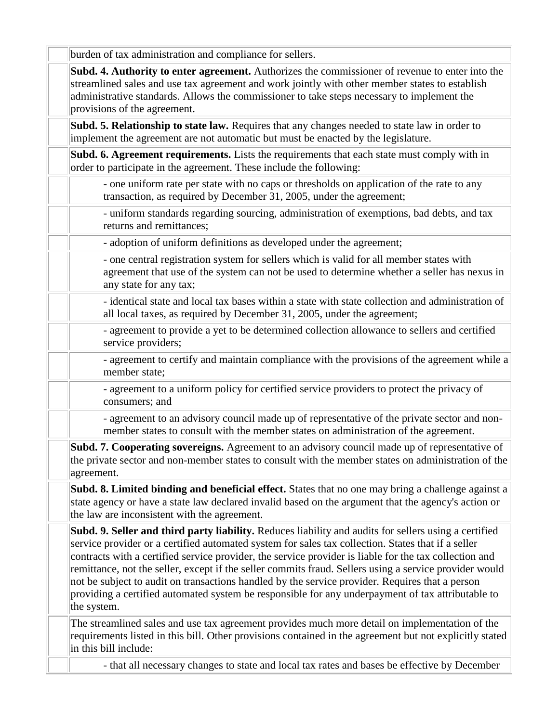burden of tax administration and compliance for sellers.

**Subd. 4. Authority to enter agreement.** Authorizes the commissioner of revenue to enter into the streamlined sales and use tax agreement and work jointly with other member states to establish administrative standards. Allows the commissioner to take steps necessary to implement the provisions of the agreement.

**Subd. 5. Relationship to state law.** Requires that any changes needed to state law in order to implement the agreement are not automatic but must be enacted by the legislature.

**Subd. 6. Agreement requirements.** Lists the requirements that each state must comply with in order to participate in the agreement. These include the following:

- one uniform rate per state with no caps or thresholds on application of the rate to any transaction, as required by December 31, 2005, under the agreement;

- uniform standards regarding sourcing, administration of exemptions, bad debts, and tax returns and remittances;

- adoption of uniform definitions as developed under the agreement;

- one central registration system for sellers which is valid for all member states with agreement that use of the system can not be used to determine whether a seller has nexus in any state for any tax;

- identical state and local tax bases within a state with state collection and administration of all local taxes, as required by December 31, 2005, under the agreement;

- agreement to provide a yet to be determined collection allowance to sellers and certified service providers;

- agreement to certify and maintain compliance with the provisions of the agreement while a member state;

- agreement to a uniform policy for certified service providers to protect the privacy of consumers; and

- agreement to an advisory council made up of representative of the private sector and nonmember states to consult with the member states on administration of the agreement.

**Subd. 7. Cooperating sovereigns.** Agreement to an advisory council made up of representative of the private sector and non-member states to consult with the member states on administration of the agreement.

**Subd. 8. Limited binding and beneficial effect.** States that no one may bring a challenge against a state agency or have a state law declared invalid based on the argument that the agency's action or the law are inconsistent with the agreement.

**Subd. 9. Seller and third party liability.** Reduces liability and audits for sellers using a certified service provider or a certified automated system for sales tax collection. States that if a seller contracts with a certified service provider, the service provider is liable for the tax collection and remittance, not the seller, except if the seller commits fraud. Sellers using a service provider would not be subject to audit on transactions handled by the service provider. Requires that a person providing a certified automated system be responsible for any underpayment of tax attributable to the system.

The streamlined sales and use tax agreement provides much more detail on implementation of the requirements listed in this bill. Other provisions contained in the agreement but not explicitly stated in this bill include:

- that all necessary changes to state and local tax rates and bases be effective by December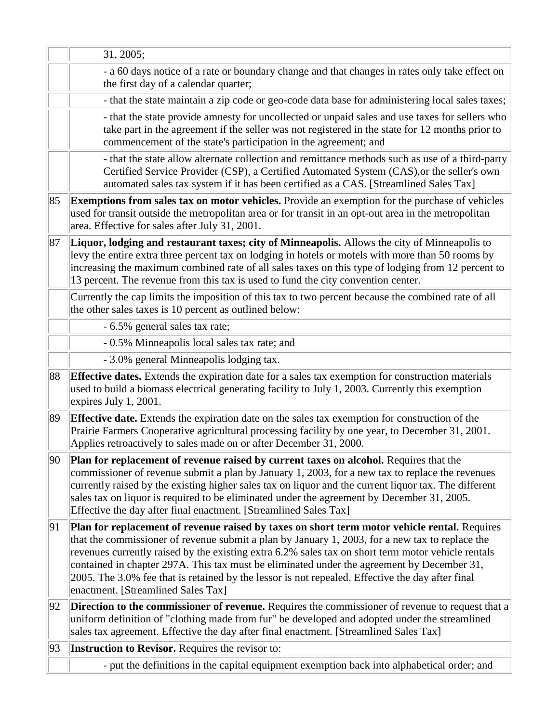|    | 31, 2005;                                                                                                                                                                                                                                                                                                                                                                                                                                                                                                                                     |
|----|-----------------------------------------------------------------------------------------------------------------------------------------------------------------------------------------------------------------------------------------------------------------------------------------------------------------------------------------------------------------------------------------------------------------------------------------------------------------------------------------------------------------------------------------------|
|    | - a 60 days notice of a rate or boundary change and that changes in rates only take effect on<br>the first day of a calendar quarter;                                                                                                                                                                                                                                                                                                                                                                                                         |
|    | - that the state maintain a zip code or geo-code data base for administering local sales taxes;                                                                                                                                                                                                                                                                                                                                                                                                                                               |
|    | - that the state provide amnesty for uncollected or unpaid sales and use taxes for sellers who<br>take part in the agreement if the seller was not registered in the state for 12 months prior to<br>commencement of the state's participation in the agreement; and                                                                                                                                                                                                                                                                          |
|    | - that the state allow alternate collection and remittance methods such as use of a third-party<br>Certified Service Provider (CSP), a Certified Automated System (CAS), or the seller's own<br>automated sales tax system if it has been certified as a CAS. [Streamlined Sales Tax]                                                                                                                                                                                                                                                         |
| 85 | <b>Exemptions from sales tax on motor vehicles.</b> Provide an exemption for the purchase of vehicles<br>used for transit outside the metropolitan area or for transit in an opt-out area in the metropolitan<br>area. Effective for sales after July 31, 2001.                                                                                                                                                                                                                                                                               |
| 87 | Liquor, lodging and restaurant taxes; city of Minneapolis. Allows the city of Minneapolis to<br>levy the entire extra three percent tax on lodging in hotels or motels with more than 50 rooms by<br>increasing the maximum combined rate of all sales taxes on this type of lodging from 12 percent to<br>13 percent. The revenue from this tax is used to fund the city convention center.                                                                                                                                                  |
|    | Currently the cap limits the imposition of this tax to two percent because the combined rate of all<br>the other sales taxes is 10 percent as outlined below:                                                                                                                                                                                                                                                                                                                                                                                 |
|    | - 6.5% general sales tax rate;                                                                                                                                                                                                                                                                                                                                                                                                                                                                                                                |
|    | - 0.5% Minneapolis local sales tax rate; and                                                                                                                                                                                                                                                                                                                                                                                                                                                                                                  |
|    | - 3.0% general Minneapolis lodging tax.                                                                                                                                                                                                                                                                                                                                                                                                                                                                                                       |
| 88 | <b>Effective dates.</b> Extends the expiration date for a sales tax exemption for construction materials<br>used to build a biomass electrical generating facility to July 1, 2003. Currently this exemption<br>expires July 1, 2001.                                                                                                                                                                                                                                                                                                         |
| 89 | <b>Effective date.</b> Extends the expiration date on the sales tax exemption for construction of the<br>Prairie Farmers Cooperative agricultural processing facility by one year, to December 31, 2001.<br>Applies retroactively to sales made on or after December 31, 2000.                                                                                                                                                                                                                                                                |
| 90 | Plan for replacement of revenue raised by current taxes on alcohol. Requires that the<br>commissioner of revenue submit a plan by January 1, 2003, for a new tax to replace the revenues<br>currently raised by the existing higher sales tax on liquor and the current liquor tax. The different<br>sales tax on liquor is required to be eliminated under the agreement by December 31, 2005.<br>Effective the day after final enactment. [Streamlined Sales Tax]                                                                           |
| 91 | Plan for replacement of revenue raised by taxes on short term motor vehicle rental. Requires<br>that the commissioner of revenue submit a plan by January 1, 2003, for a new tax to replace the<br>revenues currently raised by the existing extra 6.2% sales tax on short term motor vehicle rentals<br>contained in chapter 297A. This tax must be eliminated under the agreement by December 31,<br>2005. The 3.0% fee that is retained by the lessor is not repealed. Effective the day after final<br>enactment. [Streamlined Sales Tax] |
| 92 | <b>Direction to the commissioner of revenue.</b> Requires the commissioner of revenue to request that a<br>uniform definition of "clothing made from fur" be developed and adopted under the streamlined<br>sales tax agreement. Effective the day after final enactment. [Streamlined Sales Tax]                                                                                                                                                                                                                                             |
| 93 | Instruction to Revisor. Requires the revisor to:                                                                                                                                                                                                                                                                                                                                                                                                                                                                                              |
|    | - put the definitions in the capital equipment exemption back into alphabetical order; and                                                                                                                                                                                                                                                                                                                                                                                                                                                    |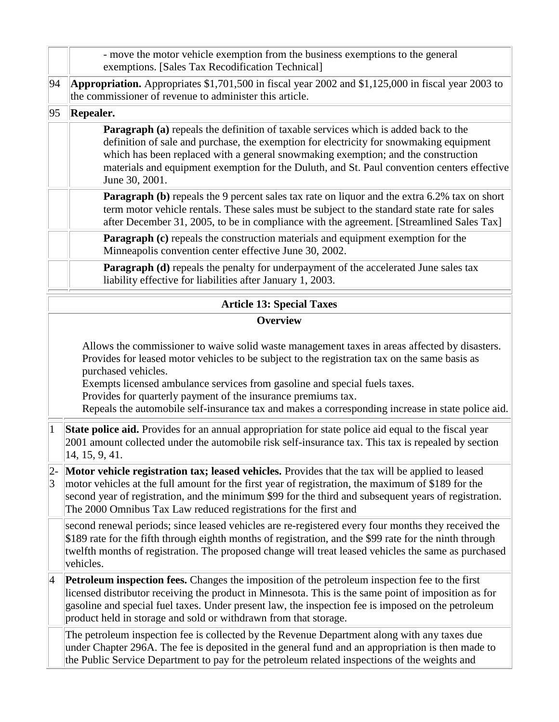|                 | - move the motor vehicle exemption from the business exemptions to the general<br>exemptions. [Sales Tax Recodification Technical]                                                                                                                                                                                                                                                                                                                                        |  |  |
|-----------------|---------------------------------------------------------------------------------------------------------------------------------------------------------------------------------------------------------------------------------------------------------------------------------------------------------------------------------------------------------------------------------------------------------------------------------------------------------------------------|--|--|
| 94              | Appropriation. Appropriates \$1,701,500 in fiscal year 2002 and \$1,125,000 in fiscal year 2003 to<br>the commissioner of revenue to administer this article.                                                                                                                                                                                                                                                                                                             |  |  |
| 95              | <b>Repealer.</b>                                                                                                                                                                                                                                                                                                                                                                                                                                                          |  |  |
|                 | <b>Paragraph</b> (a) repeals the definition of taxable services which is added back to the<br>definition of sale and purchase, the exemption for electricity for snowmaking equipment<br>which has been replaced with a general snowmaking exemption; and the construction<br>materials and equipment exemption for the Duluth, and St. Paul convention centers effective<br>June 30, 2001.                                                                               |  |  |
|                 | <b>Paragraph (b)</b> repeals the 9 percent sales tax rate on liquor and the extra 6.2% tax on short<br>term motor vehicle rentals. These sales must be subject to the standard state rate for sales<br>after December 31, 2005, to be in compliance with the agreement. [Streamlined Sales Tax]                                                                                                                                                                           |  |  |
|                 | Paragraph (c) repeals the construction materials and equipment exemption for the<br>Minneapolis convention center effective June 30, 2002.                                                                                                                                                                                                                                                                                                                                |  |  |
|                 | <b>Paragraph (d)</b> repeals the penalty for underpayment of the accelerated June sales tax<br>liability effective for liabilities after January 1, 2003.                                                                                                                                                                                                                                                                                                                 |  |  |
|                 | <b>Article 13: Special Taxes</b>                                                                                                                                                                                                                                                                                                                                                                                                                                          |  |  |
|                 | <b>Overview</b>                                                                                                                                                                                                                                                                                                                                                                                                                                                           |  |  |
|                 | Allows the commissioner to waive solid waste management taxes in areas affected by disasters.<br>Provides for leased motor vehicles to be subject to the registration tax on the same basis as<br>purchased vehicles.<br>Exempts licensed ambulance services from gasoline and special fuels taxes.<br>Provides for quarterly payment of the insurance premiums tax.<br>Repeals the automobile self-insurance tax and makes a corresponding increase in state police aid. |  |  |
| $\mathbf{1}$    | State police aid. Provides for an annual appropriation for state police aid equal to the fiscal year<br>2001 amount collected under the automobile risk self-insurance tax. This tax is repealed by section<br>14, 15, 9, 41.                                                                                                                                                                                                                                             |  |  |
| 2-<br>3         | Motor vehicle registration tax; leased vehicles. Provides that the tax will be applied to leased<br>motor vehicles at the full amount for the first year of registration, the maximum of \$189 for the<br>second year of registration, and the minimum \$99 for the third and subsequent years of registration.<br>The 2000 Omnibus Tax Law reduced registrations for the first and                                                                                       |  |  |
|                 | second renewal periods; since leased vehicles are re-registered every four months they received the<br>\$189 rate for the fifth through eighth months of registration, and the \$99 rate for the ninth through<br>twelfth months of registration. The proposed change will treat leased vehicles the same as purchased<br>vehicles.                                                                                                                                       |  |  |
| $\vert 4 \vert$ | <b>Petroleum inspection fees.</b> Changes the imposition of the petroleum inspection fee to the first<br>licensed distributor receiving the product in Minnesota. This is the same point of imposition as for<br>gasoline and special fuel taxes. Under present law, the inspection fee is imposed on the petroleum<br>product held in storage and sold or withdrawn from that storage.                                                                                   |  |  |
|                 | The petroleum inspection fee is collected by the Revenue Department along with any taxes due<br>under Chapter 296A. The fee is deposited in the general fund and an appropriation is then made to<br>the Public Service Department to pay for the petroleum related inspections of the weights and                                                                                                                                                                        |  |  |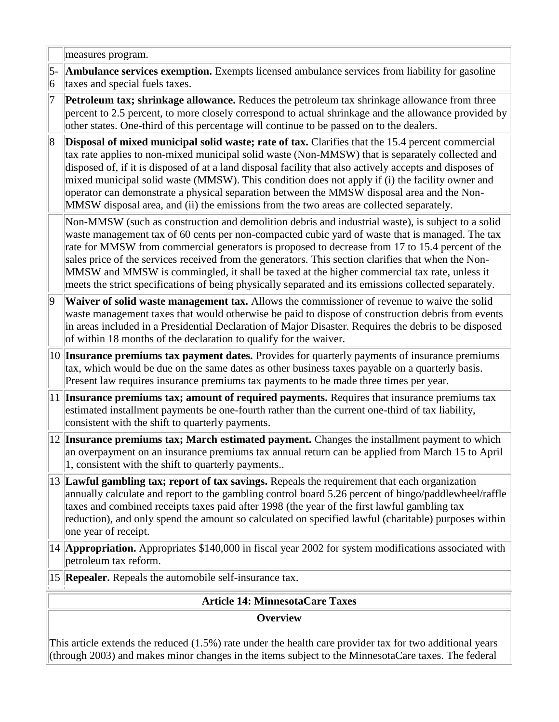|                | measures program.                                                                                                                                                                                                                                                                                                                                                                                                                                                                                                                                                                                                      |  |  |
|----------------|------------------------------------------------------------------------------------------------------------------------------------------------------------------------------------------------------------------------------------------------------------------------------------------------------------------------------------------------------------------------------------------------------------------------------------------------------------------------------------------------------------------------------------------------------------------------------------------------------------------------|--|--|
| $5-$<br> 6     | <b>Ambulance services exemption.</b> Exempts licensed ambulance services from liability for gasoline<br>taxes and special fuels taxes.                                                                                                                                                                                                                                                                                                                                                                                                                                                                                 |  |  |
| 7              | <b>Petroleum tax; shrinkage allowance.</b> Reduces the petroleum tax shrinkage allowance from three<br>percent to 2.5 percent, to more closely correspond to actual shrinkage and the allowance provided by<br>other states. One-third of this percentage will continue to be passed on to the dealers.                                                                                                                                                                                                                                                                                                                |  |  |
| $\overline{8}$ | <b>Disposal of mixed municipal solid waste; rate of tax.</b> Clarifies that the 15.4 percent commercial<br>tax rate applies to non-mixed municipal solid waste (Non-MMSW) that is separately collected and<br>disposed of, if it is disposed of at a land disposal facility that also actively accepts and disposes of<br>mixed municipal solid waste (MMSW). This condition does not apply if (i) the facility owner and<br>operator can demonstrate a physical separation between the MMSW disposal area and the Non-<br>MMSW disposal area, and (ii) the emissions from the two areas are collected separately.     |  |  |
|                | Non-MMSW (such as construction and demolition debris and industrial waste), is subject to a solid<br>waste management tax of 60 cents per non-compacted cubic yard of waste that is managed. The tax<br>rate for MMSW from commercial generators is proposed to decrease from 17 to 15.4 percent of the<br>sales price of the services received from the generators. This section clarifies that when the Non-<br>MMSW and MMSW is commingled, it shall be taxed at the higher commercial tax rate, unless it<br>meets the strict specifications of being physically separated and its emissions collected separately. |  |  |
| 9              | Waiver of solid waste management tax. Allows the commissioner of revenue to waive the solid<br>waste management taxes that would otherwise be paid to dispose of construction debris from events<br>in areas included in a Presidential Declaration of Major Disaster. Requires the debris to be disposed<br>of within 18 months of the declaration to qualify for the waiver.                                                                                                                                                                                                                                         |  |  |
|                | 10 Insurance premiums tax payment dates. Provides for quarterly payments of insurance premiums<br>tax, which would be due on the same dates as other business taxes payable on a quarterly basis.<br>Present law requires insurance premiums tax payments to be made three times per year.                                                                                                                                                                                                                                                                                                                             |  |  |
|                | 11 Insurance premiums tax; amount of required payments. Requires that insurance premiums tax<br>estimated installment payments be one-fourth rather than the current one-third of tax liability,<br>consistent with the shift to quarterly payments.                                                                                                                                                                                                                                                                                                                                                                   |  |  |
|                | 12 Insurance premiums tax; March estimated payment. Changes the installment payment to which<br>an overpayment on an insurance premiums tax annual return can be applied from March 15 to April<br>1, consistent with the shift to quarterly payments                                                                                                                                                                                                                                                                                                                                                                  |  |  |
|                | 13 Lawful gambling tax; report of tax savings. Repeals the requirement that each organization<br>annually calculate and report to the gambling control board 5.26 percent of bingo/paddlewheel/raffle<br>taxes and combined receipts taxes paid after 1998 (the year of the first lawful gambling tax<br>reduction), and only spend the amount so calculated on specified lawful (charitable) purposes within<br>one year of receipt.                                                                                                                                                                                  |  |  |
|                | 14 <b>Appropriation.</b> Appropriates \$140,000 in fiscal year 2002 for system modifications associated with<br>petroleum tax reform.                                                                                                                                                                                                                                                                                                                                                                                                                                                                                  |  |  |
|                | 15 <b>Repealer.</b> Repeals the automobile self-insurance tax.                                                                                                                                                                                                                                                                                                                                                                                                                                                                                                                                                         |  |  |
|                | <b>Article 14: MinnesotaCare Taxes</b>                                                                                                                                                                                                                                                                                                                                                                                                                                                                                                                                                                                 |  |  |
|                |                                                                                                                                                                                                                                                                                                                                                                                                                                                                                                                                                                                                                        |  |  |

**Overview**

This article extends the reduced (1.5%) rate under the health care provider tax for two additional years (through 2003) and makes minor changes in the items subject to the MinnesotaCare taxes. The federal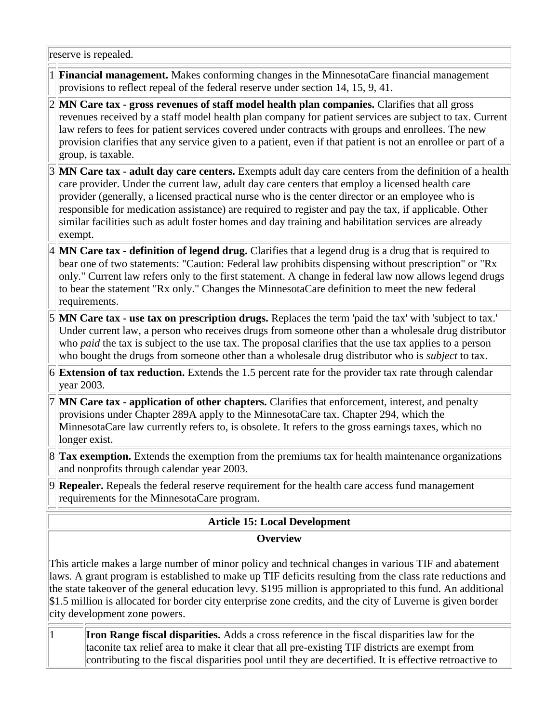reserve is repealed.

- 1 **Financial management.** Makes conforming changes in the MinnesotaCare financial management provisions to reflect repeal of the federal reserve under section 14, 15, 9, 41.
- 2 **MN Care tax - gross revenues of staff model health plan companies.** Clarifies that all gross revenues received by a staff model health plan company for patient services are subject to tax. Current law refers to fees for patient services covered under contracts with groups and enrollees. The new provision clarifies that any service given to a patient, even if that patient is not an enrollee or part of a group, is taxable.
- 3 **MN Care tax - adult day care centers.** Exempts adult day care centers from the definition of a health care provider. Under the current law, adult day care centers that employ a licensed health care provider (generally, a licensed practical nurse who is the center director or an employee who is responsible for medication assistance) are required to register and pay the tax, if applicable. Other similar facilities such as adult foster homes and day training and habilitation services are already exempt.
- 4 **MN Care tax - definition of legend drug.** Clarifies that a legend drug is a drug that is required to bear one of two statements: "Caution: Federal law prohibits dispensing without prescription" or "Rx only." Current law refers only to the first statement. A change in federal law now allows legend drugs to bear the statement "Rx only." Changes the MinnesotaCare definition to meet the new federal requirements.
- 5 **MN Care tax - use tax on prescription drugs.** Replaces the term 'paid the tax' with 'subject to tax.' Under current law, a person who receives drugs from someone other than a wholesale drug distributor who *paid* the tax is subject to the use tax. The proposal clarifies that the use tax applies to a person who bought the drugs from someone other than a wholesale drug distributor who is *subject* to tax.
- 6 **Extension of tax reduction.** Extends the 1.5 percent rate for the provider tax rate through calendar year 2003.
- 7 **MN Care tax - application of other chapters.** Clarifies that enforcement, interest, and penalty provisions under Chapter 289A apply to the MinnesotaCare tax. Chapter 294, which the MinnesotaCare law currently refers to, is obsolete. It refers to the gross earnings taxes, which no longer exist.
- 8 **Tax exemption.** Extends the exemption from the premiums tax for health maintenance organizations and nonprofits through calendar year 2003.
- 9 **Repealer.** Repeals the federal reserve requirement for the health care access fund management requirements for the MinnesotaCare program.

## **Article 15: Local Development**

#### **Overview**

This article makes a large number of minor policy and technical changes in various TIF and abatement laws. A grant program is established to make up TIF deficits resulting from the class rate reductions and the state takeover of the general education levy. \$195 million is appropriated to this fund. An additional \$1.5 million is allocated for border city enterprise zone credits, and the city of Luverne is given border city development zone powers.

1 **Iron Range fiscal disparities.** Adds a cross reference in the fiscal disparities law for the taconite tax relief area to make it clear that all pre-existing TIF districts are exempt from contributing to the fiscal disparities pool until they are decertified. It is effective retroactive to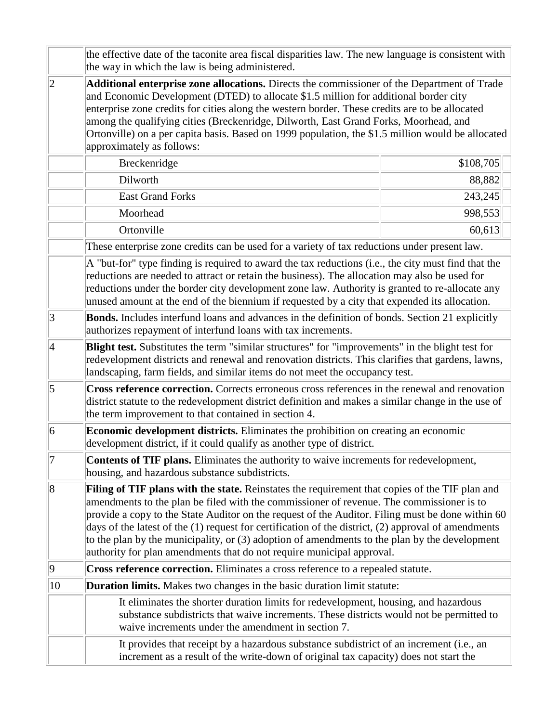|             | the effective date of the taconite area fiscal disparities law. The new language is consistent with<br>the way in which the law is being administered.                                                                                                                                                                                                                                                                                                                                                                                                                          |           |
|-------------|---------------------------------------------------------------------------------------------------------------------------------------------------------------------------------------------------------------------------------------------------------------------------------------------------------------------------------------------------------------------------------------------------------------------------------------------------------------------------------------------------------------------------------------------------------------------------------|-----------|
| $ 2\rangle$ | Additional enterprise zone allocations. Directs the commissioner of the Department of Trade<br>and Economic Development (DTED) to allocate \$1.5 million for additional border city<br>enterprise zone credits for cities along the western border. These credits are to be allocated<br>among the qualifying cities (Breckenridge, Dilworth, East Grand Forks, Moorhead, and<br>Ortonville) on a per capita basis. Based on 1999 population, the \$1.5 million would be allocated<br>approximately as follows:                                                                 |           |
|             | Breckenridge                                                                                                                                                                                                                                                                                                                                                                                                                                                                                                                                                                    | \$108,705 |
|             | Dilworth                                                                                                                                                                                                                                                                                                                                                                                                                                                                                                                                                                        | 88,882    |
|             | <b>East Grand Forks</b>                                                                                                                                                                                                                                                                                                                                                                                                                                                                                                                                                         | 243,245   |
|             | Moorhead                                                                                                                                                                                                                                                                                                                                                                                                                                                                                                                                                                        | 998,553   |
|             | Ortonville                                                                                                                                                                                                                                                                                                                                                                                                                                                                                                                                                                      | 60,613    |
|             | These enterprise zone credits can be used for a variety of tax reductions under present law.                                                                                                                                                                                                                                                                                                                                                                                                                                                                                    |           |
|             | A "but-for" type finding is required to award the tax reductions (i.e., the city must find that the<br>reductions are needed to attract or retain the business). The allocation may also be used for<br>reductions under the border city development zone law. Authority is granted to re-allocate any<br>unused amount at the end of the biennium if requested by a city that expended its allocation.                                                                                                                                                                         |           |
| 3           | Bonds. Includes interfund loans and advances in the definition of bonds. Section 21 explicitly<br>authorizes repayment of interfund loans with tax increments.                                                                                                                                                                                                                                                                                                                                                                                                                  |           |
| $\vert 4$   | Blight test. Substitutes the term "similar structures" for "improvements" in the blight test for<br>redevelopment districts and renewal and renovation districts. This clarifies that gardens, lawns,<br>landscaping, farm fields, and similar items do not meet the occupancy test.                                                                                                                                                                                                                                                                                            |           |
| 5           | Cross reference correction. Corrects erroneous cross references in the renewal and renovation<br>district statute to the redevelopment district definition and makes a similar change in the use of<br>the term improvement to that contained in section 4.                                                                                                                                                                                                                                                                                                                     |           |
| 6           | <b>Economic development districts.</b> Eliminates the prohibition on creating an economic<br>development district, if it could qualify as another type of district.                                                                                                                                                                                                                                                                                                                                                                                                             |           |
| 7           | Contents of TIF plans. Eliminates the authority to waive increments for redevelopment,<br>housing, and hazardous substance subdistricts.                                                                                                                                                                                                                                                                                                                                                                                                                                        |           |
| 8           | Filing of TIF plans with the state. Reinstates the requirement that copies of the TIF plan and<br>amendments to the plan be filed with the commissioner of revenue. The commissioner is to<br>provide a copy to the State Auditor on the request of the Auditor. Filing must be done within 60<br>days of the latest of the (1) request for certification of the district, (2) approval of amendments<br>to the plan by the municipality, or (3) adoption of amendments to the plan by the development<br>authority for plan amendments that do not require municipal approval. |           |
| $ 9\rangle$ | Cross reference correction. Eliminates a cross reference to a repealed statute.                                                                                                                                                                                                                                                                                                                                                                                                                                                                                                 |           |
| 10          | <b>Duration limits.</b> Makes two changes in the basic duration limit statute:                                                                                                                                                                                                                                                                                                                                                                                                                                                                                                  |           |
|             | It eliminates the shorter duration limits for redevelopment, housing, and hazardous<br>substance subdistricts that waive increments. These districts would not be permitted to<br>waive increments under the amendment in section 7.                                                                                                                                                                                                                                                                                                                                            |           |
|             | It provides that receipt by a hazardous substance subdistrict of an increment (i.e., an<br>increment as a result of the write-down of original tax capacity) does not start the                                                                                                                                                                                                                                                                                                                                                                                                 |           |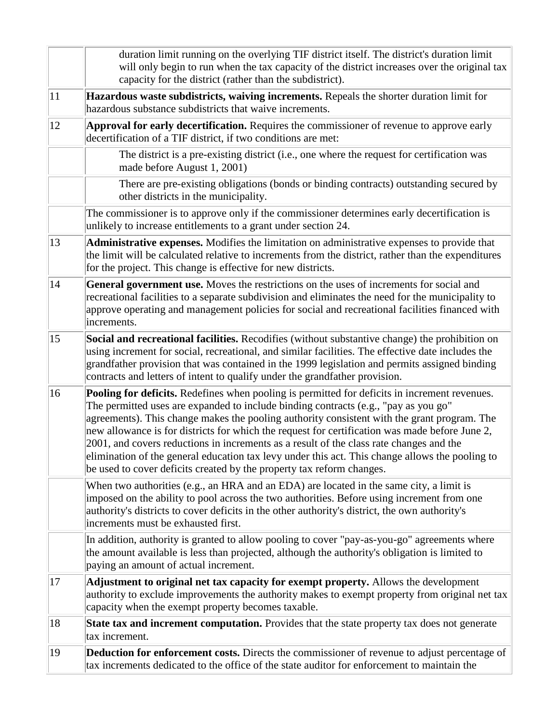|    | duration limit running on the overlying TIF district itself. The district's duration limit<br>will only begin to run when the tax capacity of the district increases over the original tax<br>capacity for the district (rather than the subdistrict).                                                                                                                                                                                                                                                                                                                                                                                                       |
|----|--------------------------------------------------------------------------------------------------------------------------------------------------------------------------------------------------------------------------------------------------------------------------------------------------------------------------------------------------------------------------------------------------------------------------------------------------------------------------------------------------------------------------------------------------------------------------------------------------------------------------------------------------------------|
| 11 | Hazardous waste subdistricts, waiving increments. Repeals the shorter duration limit for<br>hazardous substance subdistricts that waive increments.                                                                                                                                                                                                                                                                                                                                                                                                                                                                                                          |
| 12 | Approval for early decertification. Requires the commissioner of revenue to approve early<br>decertification of a TIF district, if two conditions are met:                                                                                                                                                                                                                                                                                                                                                                                                                                                                                                   |
|    | The district is a pre-existing district (i.e., one where the request for certification was<br>made before August 1, 2001)                                                                                                                                                                                                                                                                                                                                                                                                                                                                                                                                    |
|    | There are pre-existing obligations (bonds or binding contracts) outstanding secured by<br>other districts in the municipality.                                                                                                                                                                                                                                                                                                                                                                                                                                                                                                                               |
|    | The commissioner is to approve only if the commissioner determines early decertification is<br>unlikely to increase entitlements to a grant under section 24.                                                                                                                                                                                                                                                                                                                                                                                                                                                                                                |
| 13 | Administrative expenses. Modifies the limitation on administrative expenses to provide that<br>the limit will be calculated relative to increments from the district, rather than the expenditures<br>for the project. This change is effective for new districts.                                                                                                                                                                                                                                                                                                                                                                                           |
| 14 | General government use. Moves the restrictions on the uses of increments for social and<br>recreational facilities to a separate subdivision and eliminates the need for the municipality to<br>approve operating and management policies for social and recreational facilities financed with<br>increments.                                                                                                                                                                                                                                                                                                                                                |
| 15 | Social and recreational facilities. Recodifies (without substantive change) the prohibition on<br>using increment for social, recreational, and similar facilities. The effective date includes the<br>grandfather provision that was contained in the 1999 legislation and permits assigned binding<br>contracts and letters of intent to qualify under the grandfather provision.                                                                                                                                                                                                                                                                          |
| 16 | Pooling for deficits. Redefines when pooling is permitted for deficits in increment revenues.<br>The permitted uses are expanded to include binding contracts (e.g., "pay as you go"<br>agreements). This change makes the pooling authority consistent with the grant program. The<br>new allowance is for districts for which the request for certification was made before June 2,<br>2001, and covers reductions in increments as a result of the class rate changes and the<br>elimination of the general education tax levy under this act. This change allows the pooling to<br>be used to cover deficits created by the property tax reform changes. |
|    | When two authorities (e.g., an HRA and an EDA) are located in the same city, a limit is<br>imposed on the ability to pool across the two authorities. Before using increment from one<br>authority's districts to cover deficits in the other authority's district, the own authority's<br>increments must be exhausted first.                                                                                                                                                                                                                                                                                                                               |
|    | In addition, authority is granted to allow pooling to cover "pay-as-you-go" agreements where<br>the amount available is less than projected, although the authority's obligation is limited to<br>paying an amount of actual increment.                                                                                                                                                                                                                                                                                                                                                                                                                      |
| 17 | Adjustment to original net tax capacity for exempt property. Allows the development<br>authority to exclude improvements the authority makes to exempt property from original net tax<br>capacity when the exempt property becomes taxable.                                                                                                                                                                                                                                                                                                                                                                                                                  |
| 18 | State tax and increment computation. Provides that the state property tax does not generate<br>tax increment.                                                                                                                                                                                                                                                                                                                                                                                                                                                                                                                                                |
| 19 | <b>Deduction for enforcement costs.</b> Directs the commissioner of revenue to adjust percentage of<br>tax increments dedicated to the office of the state auditor for enforcement to maintain the                                                                                                                                                                                                                                                                                                                                                                                                                                                           |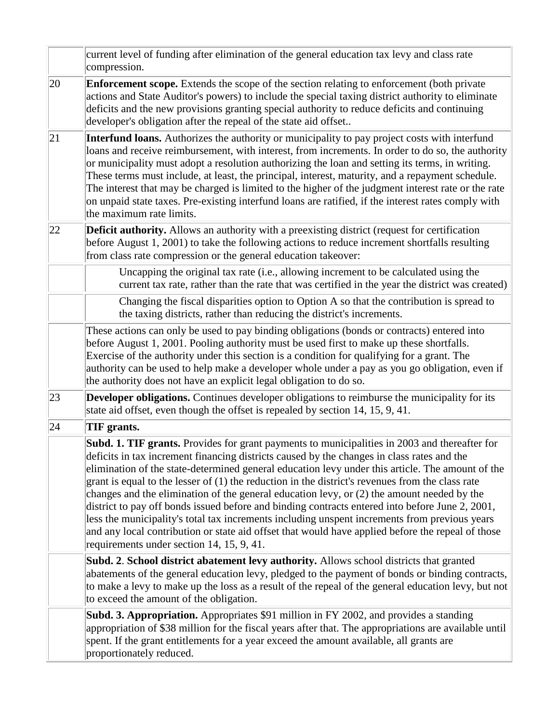|    | current level of funding after elimination of the general education tax levy and class rate<br>compression.                                                                                                                                                                                                                                                                                                                                                                                                                                                                                                                                                                                                                                                                                                                                                      |  |
|----|------------------------------------------------------------------------------------------------------------------------------------------------------------------------------------------------------------------------------------------------------------------------------------------------------------------------------------------------------------------------------------------------------------------------------------------------------------------------------------------------------------------------------------------------------------------------------------------------------------------------------------------------------------------------------------------------------------------------------------------------------------------------------------------------------------------------------------------------------------------|--|
| 20 | <b>Enforcement scope.</b> Extends the scope of the section relating to enforcement (both private<br>actions and State Auditor's powers) to include the special taxing district authority to eliminate<br>deficits and the new provisions granting special authority to reduce deficits and continuing<br>developer's obligation after the repeal of the state aid offset                                                                                                                                                                                                                                                                                                                                                                                                                                                                                         |  |
| 21 | Interfund loans. Authorizes the authority or municipality to pay project costs with interfund<br>loans and receive reimbursement, with interest, from increments. In order to do so, the authority<br>or municipality must adopt a resolution authorizing the loan and setting its terms, in writing.<br>These terms must include, at least, the principal, interest, maturity, and a repayment schedule.<br>The interest that may be charged is limited to the higher of the judgment interest rate or the rate<br>on unpaid state taxes. Pre-existing interfund loans are ratified, if the interest rates comply with<br>the maximum rate limits.                                                                                                                                                                                                              |  |
| 22 | <b>Deficit authority.</b> Allows an authority with a preexisting district (request for certification<br>before August 1, 2001) to take the following actions to reduce increment shortfalls resulting<br>from class rate compression or the general education takeover:                                                                                                                                                                                                                                                                                                                                                                                                                                                                                                                                                                                          |  |
|    | Uncapping the original tax rate (i.e., allowing increment to be calculated using the<br>current tax rate, rather than the rate that was certified in the year the district was created)                                                                                                                                                                                                                                                                                                                                                                                                                                                                                                                                                                                                                                                                          |  |
|    | Changing the fiscal disparities option to Option A so that the contribution is spread to<br>the taxing districts, rather than reducing the district's increments.                                                                                                                                                                                                                                                                                                                                                                                                                                                                                                                                                                                                                                                                                                |  |
|    | These actions can only be used to pay binding obligations (bonds or contracts) entered into<br>before August 1, 2001. Pooling authority must be used first to make up these shortfalls.<br>Exercise of the authority under this section is a condition for qualifying for a grant. The<br>authority can be used to help make a developer whole under a pay as you go obligation, even if<br>the authority does not have an explicit legal obligation to do so.                                                                                                                                                                                                                                                                                                                                                                                                   |  |
| 23 | <b>Developer obligations.</b> Continues developer obligations to reimburse the municipality for its<br>state aid offset, even though the offset is repealed by section 14, 15, 9, 41.                                                                                                                                                                                                                                                                                                                                                                                                                                                                                                                                                                                                                                                                            |  |
| 24 | TIF grants.                                                                                                                                                                                                                                                                                                                                                                                                                                                                                                                                                                                                                                                                                                                                                                                                                                                      |  |
|    | <b>Subd. 1. TIF grants.</b> Provides for grant payments to municipalities in 2003 and thereafter for<br>deficits in tax increment financing districts caused by the changes in class rates and the<br>elimination of the state-determined general education levy under this article. The amount of the<br>grant is equal to the lesser of $(1)$ the reduction in the district's revenues from the class rate<br>changes and the elimination of the general education levy, or (2) the amount needed by the<br>district to pay off bonds issued before and binding contracts entered into before June 2, 2001,<br>less the municipality's total tax increments including unspent increments from previous years<br>and any local contribution or state aid offset that would have applied before the repeal of those<br>requirements under section 14, 15, 9, 41. |  |
|    | Subd. 2. School district abatement levy authority. Allows school districts that granted<br>abatements of the general education levy, pledged to the payment of bonds or binding contracts,<br>to make a levy to make up the loss as a result of the repeal of the general education levy, but not<br>to exceed the amount of the obligation.                                                                                                                                                                                                                                                                                                                                                                                                                                                                                                                     |  |
|    | <b>Subd. 3. Appropriation.</b> Appropriates \$91 million in FY 2002, and provides a standing<br>appropriation of \$38 million for the fiscal years after that. The appropriations are available until<br>spent. If the grant entitlements for a year exceed the amount available, all grants are<br>proportionately reduced.                                                                                                                                                                                                                                                                                                                                                                                                                                                                                                                                     |  |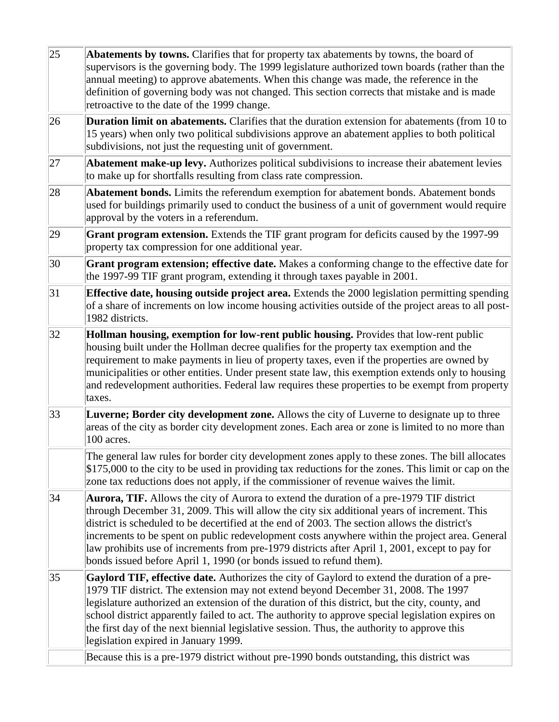| $ 25\rangle$ | Abatements by towns. Clarifies that for property tax abatements by towns, the board of<br>supervisors is the governing body. The 1999 legislature authorized town boards (rather than the<br>annual meeting) to approve abatements. When this change was made, the reference in the<br>definition of governing body was not changed. This section corrects that mistake and is made<br>retroactive to the date of the 1999 change.                                                                                                                                         |
|--------------|----------------------------------------------------------------------------------------------------------------------------------------------------------------------------------------------------------------------------------------------------------------------------------------------------------------------------------------------------------------------------------------------------------------------------------------------------------------------------------------------------------------------------------------------------------------------------|
| 26           | <b>Duration limit on abatements.</b> Clarifies that the duration extension for abatements (from 10 to<br>15 years) when only two political subdivisions approve an abatement applies to both political<br>subdivisions, not just the requesting unit of government.                                                                                                                                                                                                                                                                                                        |
| 27           | <b>Abatement make-up levy.</b> Authorizes political subdivisions to increase their abatement levies<br>to make up for shortfalls resulting from class rate compression.                                                                                                                                                                                                                                                                                                                                                                                                    |
| 28           | Abatement bonds. Limits the referendum exemption for abatement bonds. Abatement bonds<br>used for buildings primarily used to conduct the business of a unit of government would require<br>approval by the voters in a referendum.                                                                                                                                                                                                                                                                                                                                        |
| 29           | Grant program extension. Extends the TIF grant program for deficits caused by the 1997-99<br>property tax compression for one additional year.                                                                                                                                                                                                                                                                                                                                                                                                                             |
| 30           | Grant program extension; effective date. Makes a conforming change to the effective date for<br>the 1997-99 TIF grant program, extending it through taxes payable in 2001.                                                                                                                                                                                                                                                                                                                                                                                                 |
| 31           | <b>Effective date, housing outside project area.</b> Extends the 2000 legislation permitting spending<br>of a share of increments on low income housing activities outside of the project areas to all post-<br>1982 districts.                                                                                                                                                                                                                                                                                                                                            |
| 32           | Hollman housing, exemption for low-rent public housing. Provides that low-rent public<br>housing built under the Hollman decree qualifies for the property tax exemption and the<br>requirement to make payments in lieu of property taxes, even if the properties are owned by<br>municipalities or other entities. Under present state law, this exemption extends only to housing<br>and redevelopment authorities. Federal law requires these properties to be exempt from property<br>taxes.                                                                          |
| 33           | Luverne; Border city development zone. Allows the city of Luverne to designate up to three<br>areas of the city as border city development zones. Each area or zone is limited to no more than<br>100 acres.                                                                                                                                                                                                                                                                                                                                                               |
|              | The general law rules for border city development zones apply to these zones. The bill allocates<br>\$175,000 to the city to be used in providing tax reductions for the zones. This limit or cap on the<br>zone tax reductions does not apply, if the commissioner of revenue waives the limit.                                                                                                                                                                                                                                                                           |
| 34           | <b>Aurora, TIF.</b> Allows the city of Aurora to extend the duration of a pre-1979 TIF district<br>through December 31, 2009. This will allow the city six additional years of increment. This<br>district is scheduled to be decertified at the end of 2003. The section allows the district's<br>increments to be spent on public redevelopment costs anywhere within the project area. General<br>law prohibits use of increments from pre-1979 districts after April 1, 2001, except to pay for<br>bonds issued before April 1, 1990 (or bonds issued to refund them). |
| $ 35\rangle$ | Gaylord TIF, effective date. Authorizes the city of Gaylord to extend the duration of a pre-<br>1979 TIF district. The extension may not extend beyond December 31, 2008. The 1997<br>legislature authorized an extension of the duration of this district, but the city, county, and<br>school district apparently failed to act. The authority to approve special legislation expires on<br>the first day of the next biennial legislative session. Thus, the authority to approve this<br>legislation expired in January 1999.                                          |
|              | Because this is a pre-1979 district without pre-1990 bonds outstanding, this district was                                                                                                                                                                                                                                                                                                                                                                                                                                                                                  |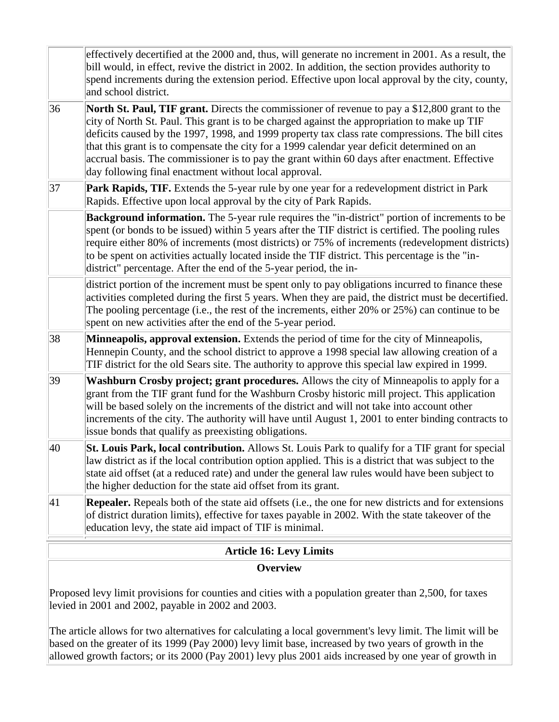|    | effectively decertified at the 2000 and, thus, will generate no increment in 2001. As a result, the<br>bill would, in effect, revive the district in 2002. In addition, the section provides authority to<br>spend increments during the extension period. Effective upon local approval by the city, county,<br>and school district.                                                                                                                                                                                                                             |
|----|-------------------------------------------------------------------------------------------------------------------------------------------------------------------------------------------------------------------------------------------------------------------------------------------------------------------------------------------------------------------------------------------------------------------------------------------------------------------------------------------------------------------------------------------------------------------|
| 36 | <b>North St. Paul, TIF grant.</b> Directs the commissioner of revenue to pay a \$12,800 grant to the<br>city of North St. Paul. This grant is to be charged against the appropriation to make up TIF<br>deficits caused by the 1997, 1998, and 1999 property tax class rate compressions. The bill cites<br>that this grant is to compensate the city for a 1999 calendar year deficit determined on an<br>accrual basis. The commissioner is to pay the grant within 60 days after enactment. Effective<br>day following final enactment without local approval. |
| 37 | Park Rapids, TIF. Extends the 5-year rule by one year for a redevelopment district in Park<br>Rapids. Effective upon local approval by the city of Park Rapids.                                                                                                                                                                                                                                                                                                                                                                                                   |
|    | Background information. The 5-year rule requires the "in-district" portion of increments to be<br>spent (or bonds to be issued) within 5 years after the TIF district is certified. The pooling rules<br>require either 80% of increments (most districts) or 75% of increments (redevelopment districts)<br>to be spent on activities actually located inside the TIF district. This percentage is the "in-<br>district" percentage. After the end of the 5-year period, the in-                                                                                 |
|    | district portion of the increment must be spent only to pay obligations incurred to finance these<br>activities completed during the first 5 years. When they are paid, the district must be decertified.<br>The pooling percentage (i.e., the rest of the increments, either 20% or 25%) can continue to be<br>spent on new activities after the end of the 5-year period.                                                                                                                                                                                       |
| 38 | Minneapolis, approval extension. Extends the period of time for the city of Minneapolis,<br>Hennepin County, and the school district to approve a 1998 special law allowing creation of a<br>TIF district for the old Sears site. The authority to approve this special law expired in 1999.                                                                                                                                                                                                                                                                      |
| 39 | Washburn Crosby project; grant procedures. Allows the city of Minneapolis to apply for a<br>grant from the TIF grant fund for the Washburn Crosby historic mill project. This application<br>will be based solely on the increments of the district and will not take into account other<br>increments of the city. The authority will have until August 1, 2001 to enter binding contracts to<br>issue bonds that qualify as preexisting obligations.                                                                                                            |
| 40 | St. Louis Park, local contribution. Allows St. Louis Park to qualify for a TIF grant for special<br>law district as if the local contribution option applied. This is a district that was subject to the<br>state aid offset (at a reduced rate) and under the general law rules would have been subject to<br>the higher deduction for the state aid offset from its grant.                                                                                                                                                                                      |
| 41 | Repealer. Repeals both of the state aid offsets (i.e., the one for new districts and for extensions<br>of district duration limits), effective for taxes payable in 2002. With the state takeover of the<br>education levy, the state aid impact of TIF is minimal.                                                                                                                                                                                                                                                                                               |

### **Article 16: Levy Limits Overview**

Proposed levy limit provisions for counties and cities with a population greater than 2,500, for taxes levied in 2001 and 2002, payable in 2002 and 2003.

The article allows for two alternatives for calculating a local government's levy limit. The limit will be based on the greater of its 1999 (Pay 2000) levy limit base, increased by two years of growth in the allowed growth factors; or its 2000 (Pay 2001) levy plus 2001 aids increased by one year of growth in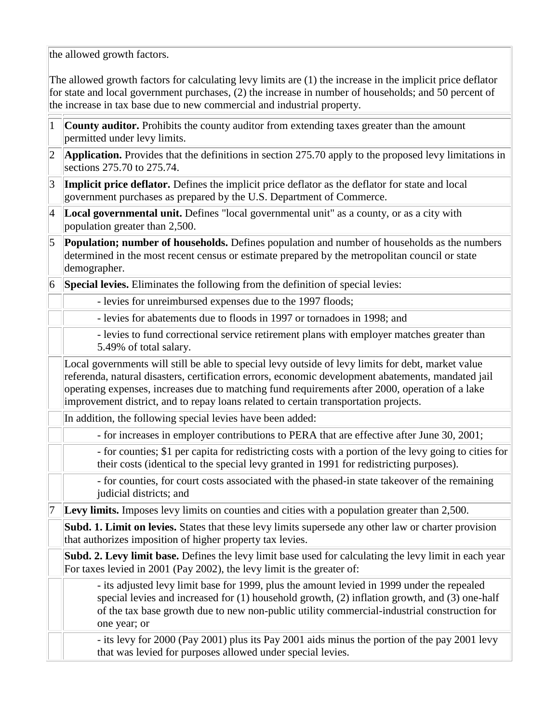the allowed growth factors.

The allowed growth factors for calculating levy limits are (1) the increase in the implicit price deflator for state and local government purchases, (2) the increase in number of households; and 50 percent of the increase in tax base due to new commercial and industrial property.

| 1               | County auditor. Prohibits the county auditor from extending taxes greater than the amount<br>permitted under levy limits.                                                                                                                                                                                                                                                                           |
|-----------------|-----------------------------------------------------------------------------------------------------------------------------------------------------------------------------------------------------------------------------------------------------------------------------------------------------------------------------------------------------------------------------------------------------|
| $ 2\rangle$     | Application. Provides that the definitions in section 275.70 apply to the proposed levy limitations in<br>sections 275.70 to 275.74.                                                                                                                                                                                                                                                                |
| 3               | Implicit price deflator. Defines the implicit price deflator as the deflator for state and local<br>government purchases as prepared by the U.S. Department of Commerce.                                                                                                                                                                                                                            |
| $ 4\rangle$     | Local governmental unit. Defines "local governmental unit" as a county, or as a city with<br>population greater than 2,500.                                                                                                                                                                                                                                                                         |
| $\overline{5}$  | <b>Population; number of households.</b> Defines population and number of households as the numbers<br>determined in the most recent census or estimate prepared by the metropolitan council or state<br>demographer.                                                                                                                                                                               |
| $\vert 6 \vert$ | Special levies. Eliminates the following from the definition of special levies:                                                                                                                                                                                                                                                                                                                     |
|                 | - levies for unreimbursed expenses due to the 1997 floods;                                                                                                                                                                                                                                                                                                                                          |
|                 | - levies for abatements due to floods in 1997 or tornadoes in 1998; and                                                                                                                                                                                                                                                                                                                             |
|                 | - levies to fund correctional service retirement plans with employer matches greater than<br>5.49% of total salary.                                                                                                                                                                                                                                                                                 |
|                 | Local governments will still be able to special levy outside of levy limits for debt, market value<br>referenda, natural disasters, certification errors, economic development abatements, mandated jail<br>operating expenses, increases due to matching fund requirements after 2000, operation of a lake<br>improvement district, and to repay loans related to certain transportation projects. |
|                 | In addition, the following special levies have been added:                                                                                                                                                                                                                                                                                                                                          |
|                 | - for increases in employer contributions to PERA that are effective after June 30, 2001;                                                                                                                                                                                                                                                                                                           |
|                 | - for counties; \$1 per capita for redistricting costs with a portion of the levy going to cities for<br>their costs (identical to the special levy granted in 1991 for redistricting purposes).                                                                                                                                                                                                    |
|                 | - for counties, for court costs associated with the phased-in state takeover of the remaining<br>judicial districts; and                                                                                                                                                                                                                                                                            |
| 7               | Levy limits. Imposes levy limits on counties and cities with a population greater than 2,500.                                                                                                                                                                                                                                                                                                       |
|                 | Subd. 1. Limit on levies. States that these levy limits supersede any other law or charter provision<br>that authorizes imposition of higher property tax levies.                                                                                                                                                                                                                                   |
|                 | Subd. 2. Levy limit base. Defines the levy limit base used for calculating the levy limit in each year<br>For taxes levied in 2001 (Pay 2002), the levy limit is the greater of:                                                                                                                                                                                                                    |
|                 | - its adjusted levy limit base for 1999, plus the amount levied in 1999 under the repealed<br>special levies and increased for (1) household growth, (2) inflation growth, and (3) one-half<br>of the tax base growth due to new non-public utility commercial-industrial construction for<br>one year; or                                                                                          |
|                 | - its levy for 2000 (Pay 2001) plus its Pay 2001 aids minus the portion of the pay 2001 levy<br>that was levied for purposes allowed under special levies.                                                                                                                                                                                                                                          |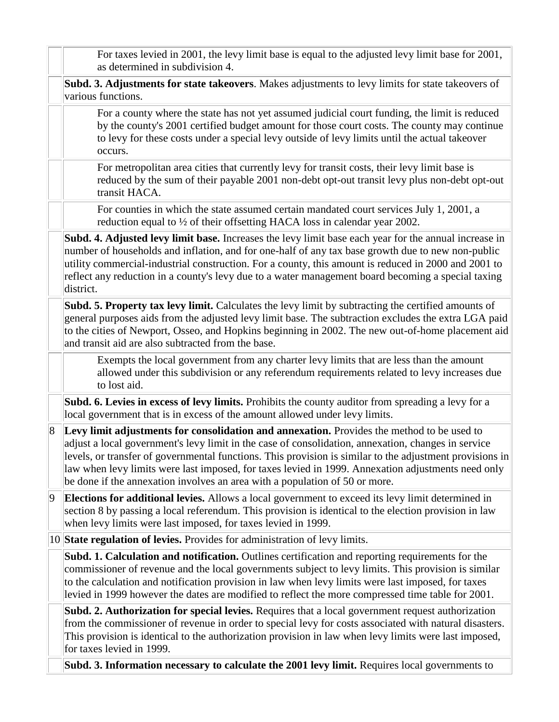|             | For taxes levied in 2001, the levy limit base is equal to the adjusted levy limit base for 2001,<br>as determined in subdivision 4.                                                                                                                                                                                                                                                                                                                                                                |
|-------------|----------------------------------------------------------------------------------------------------------------------------------------------------------------------------------------------------------------------------------------------------------------------------------------------------------------------------------------------------------------------------------------------------------------------------------------------------------------------------------------------------|
|             | Subd. 3. Adjustments for state takeovers. Makes adjustments to levy limits for state takeovers of<br>various functions.                                                                                                                                                                                                                                                                                                                                                                            |
|             | For a county where the state has not yet assumed judicial court funding, the limit is reduced<br>by the county's 2001 certified budget amount for those court costs. The county may continue<br>to levy for these costs under a special levy outside of levy limits until the actual takeover<br>occurs.                                                                                                                                                                                           |
|             | For metropolitan area cities that currently levy for transit costs, their levy limit base is<br>reduced by the sum of their payable 2001 non-debt opt-out transit levy plus non-debt opt-out<br>transit HACA.                                                                                                                                                                                                                                                                                      |
|             | For counties in which the state assumed certain mandated court services July 1, 2001, a<br>reduction equal to 1/2 of their offsetting HACA loss in calendar year 2002.                                                                                                                                                                                                                                                                                                                             |
|             | Subd. 4. Adjusted levy limit base. Increases the levy limit base each year for the annual increase in<br>number of households and inflation, and for one-half of any tax base growth due to new non-public<br>utility commercial-industrial construction. For a county, this amount is reduced in 2000 and 2001 to<br>reflect any reduction in a county's levy due to a water management board becoming a special taxing<br>district.                                                              |
|             | Subd. 5. Property tax levy limit. Calculates the levy limit by subtracting the certified amounts of<br>general purposes aids from the adjusted levy limit base. The subtraction excludes the extra LGA paid<br>to the cities of Newport, Osseo, and Hopkins beginning in 2002. The new out-of-home placement aid<br>and transit aid are also subtracted from the base.                                                                                                                             |
|             | Exempts the local government from any charter levy limits that are less than the amount<br>allowed under this subdivision or any referendum requirements related to levy increases due<br>to lost aid.                                                                                                                                                                                                                                                                                             |
|             | Subd. 6. Levies in excess of levy limits. Prohibits the county auditor from spreading a levy for a<br>local government that is in excess of the amount allowed under levy limits.                                                                                                                                                                                                                                                                                                                  |
| 8           | Levy limit adjustments for consolidation and annexation. Provides the method to be used to<br>adjust a local government's levy limit in the case of consolidation, annexation, changes in service<br>levels, or transfer of governmental functions. This provision is similar to the adjustment provisions in<br>law when levy limits were last imposed, for taxes levied in 1999. Annexation adjustments need only<br>be done if the annexation involves an area with a population of 50 or more. |
| $ 9\rangle$ | <b>Elections for additional levies.</b> Allows a local government to exceed its levy limit determined in<br>section 8 by passing a local referendum. This provision is identical to the election provision in law<br>when levy limits were last imposed, for taxes levied in 1999.                                                                                                                                                                                                                 |
|             | 10 State regulation of levies. Provides for administration of levy limits.                                                                                                                                                                                                                                                                                                                                                                                                                         |
|             | Subd. 1. Calculation and notification. Outlines certification and reporting requirements for the<br>commissioner of revenue and the local governments subject to levy limits. This provision is similar<br>to the calculation and notification provision in law when levy limits were last imposed, for taxes<br>levied in 1999 however the dates are modified to reflect the more compressed time table for 2001.                                                                                 |
|             | Subd. 2. Authorization for special levies. Requires that a local government request authorization<br>from the commissioner of revenue in order to special levy for costs associated with natural disasters.<br>This provision is identical to the authorization provision in law when levy limits were last imposed,<br>for taxes levied in 1999.                                                                                                                                                  |
|             | Subd. 3. Information necessary to calculate the 2001 levy limit. Requires local governments to                                                                                                                                                                                                                                                                                                                                                                                                     |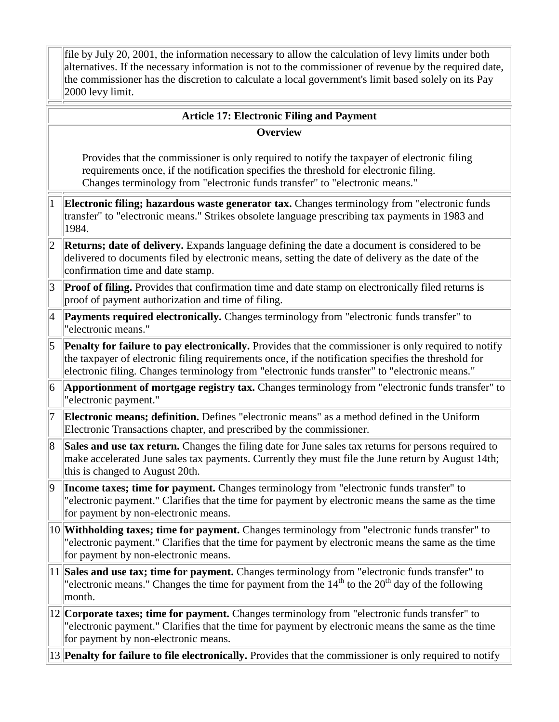file by July 20, 2001, the information necessary to allow the calculation of levy limits under both alternatives. If the necessary information is not to the commissioner of revenue by the required date, the commissioner has the discretion to calculate a local government's limit based solely on its Pay 2000 levy limit.

### **Article 17: Electronic Filing and Payment**

#### **Overview**

Provides that the commissioner is only required to notify the taxpayer of electronic filing requirements once, if the notification specifies the threshold for electronic filing. Changes terminology from "electronic funds transfer" to "electronic means."

- 1 **Electronic filing; hazardous waste generator tax.** Changes terminology from "electronic funds transfer" to "electronic means." Strikes obsolete language prescribing tax payments in 1983 and 1984.
- 2 **Returns; date of delivery.** Expands language defining the date a document is considered to be delivered to documents filed by electronic means, setting the date of delivery as the date of the confirmation time and date stamp.
- 3 **Proof of filing.** Provides that confirmation time and date stamp on electronically filed returns is proof of payment authorization and time of filing.
- 4 **Payments required electronically.** Changes terminology from "electronic funds transfer" to "electronic means."
- 5 **Penalty for failure to pay electronically.** Provides that the commissioner is only required to notify the taxpayer of electronic filing requirements once, if the notification specifies the threshold for electronic filing. Changes terminology from "electronic funds transfer" to "electronic means."
- 6 **Apportionment of mortgage registry tax.** Changes terminology from "electronic funds transfer" to "electronic payment."
- 7 **Electronic means; definition.** Defines "electronic means" as a method defined in the Uniform Electronic Transactions chapter, and prescribed by the commissioner.
- 8 **Sales and use tax return.** Changes the filing date for June sales tax returns for persons required to make accelerated June sales tax payments. Currently they must file the June return by August 14th; this is changed to August 20th.
- 9 **Income taxes; time for payment.** Changes terminology from "electronic funds transfer" to "electronic payment." Clarifies that the time for payment by electronic means the same as the time for payment by non-electronic means.
- 10 **Withholding taxes; time for payment.** Changes terminology from "electronic funds transfer" to "electronic payment." Clarifies that the time for payment by electronic means the same as the time for payment by non-electronic means.
- 11 **Sales and use tax; time for payment.** Changes terminology from "electronic funds transfer" to "electronic means." Changes the time for payment from the  $14<sup>th</sup>$  to the  $20<sup>th</sup>$  day of the following month.
- 12 **Corporate taxes; time for payment.** Changes terminology from "electronic funds transfer" to "electronic payment." Clarifies that the time for payment by electronic means the same as the time for payment by non-electronic means.

13 **Penalty for failure to file electronically.** Provides that the commissioner is only required to notify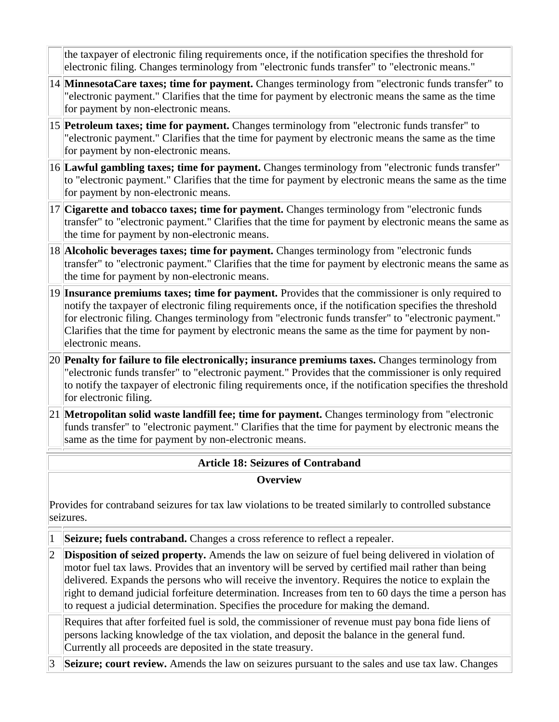the taxpayer of electronic filing requirements once, if the notification specifies the threshold for electronic filing. Changes terminology from "electronic funds transfer" to "electronic means."

- 14 **MinnesotaCare taxes; time for payment.** Changes terminology from "electronic funds transfer" to "electronic payment." Clarifies that the time for payment by electronic means the same as the time for payment by non-electronic means.
- 15 **Petroleum taxes; time for payment.** Changes terminology from "electronic funds transfer" to "electronic payment." Clarifies that the time for payment by electronic means the same as the time for payment by non-electronic means.
- 16 **Lawful gambling taxes; time for payment.** Changes terminology from "electronic funds transfer" to "electronic payment." Clarifies that the time for payment by electronic means the same as the time for payment by non-electronic means.
- 17 **Cigarette and tobacco taxes; time for payment.** Changes terminology from "electronic funds transfer" to "electronic payment." Clarifies that the time for payment by electronic means the same as the time for payment by non-electronic means.
- 18 **Alcoholic beverages taxes; time for payment.** Changes terminology from "electronic funds transfer" to "electronic payment." Clarifies that the time for payment by electronic means the same as the time for payment by non-electronic means.
- 19 **Insurance premiums taxes; time for payment.** Provides that the commissioner is only required to notify the taxpayer of electronic filing requirements once, if the notification specifies the threshold for electronic filing. Changes terminology from "electronic funds transfer" to "electronic payment." Clarifies that the time for payment by electronic means the same as the time for payment by nonelectronic means.
- 20 **Penalty for failure to file electronically; insurance premiums taxes.** Changes terminology from "electronic funds transfer" to "electronic payment." Provides that the commissioner is only required to notify the taxpayer of electronic filing requirements once, if the notification specifies the threshold for electronic filing.
- 21 **Metropolitan solid waste landfill fee; time for payment.** Changes terminology from "electronic funds transfer" to "electronic payment." Clarifies that the time for payment by electronic means the same as the time for payment by non-electronic means.

## **Article 18: Seizures of Contraband**

### **Overview**

Provides for contraband seizures for tax law violations to be treated similarly to controlled substance seizures.

- 1 **Seizure; fuels contraband.** Changes a cross reference to reflect a repealer.
- 2 **Disposition of seized property.** Amends the law on seizure of fuel being delivered in violation of motor fuel tax laws. Provides that an inventory will be served by certified mail rather than being delivered. Expands the persons who will receive the inventory. Requires the notice to explain the right to demand judicial forfeiture determination. Increases from ten to 60 days the time a person has to request a judicial determination. Specifies the procedure for making the demand.

Requires that after forfeited fuel is sold, the commissioner of revenue must pay bona fide liens of persons lacking knowledge of the tax violation, and deposit the balance in the general fund. Currently all proceeds are deposited in the state treasury.

**Seizure; court review.** Amends the law on seizures pursuant to the sales and use tax law. Changes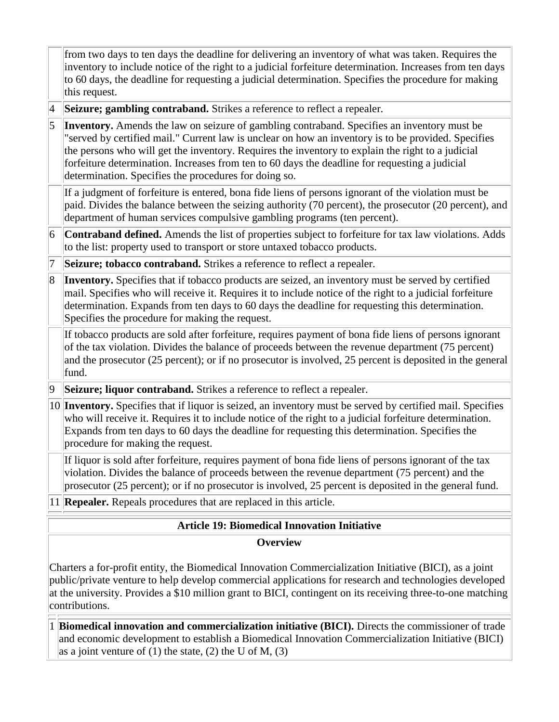|             | from two days to ten days the deadline for delivering an inventory of what was taken. Requires the<br>inventory to include notice of the right to a judicial forfeiture determination. Increases from ten days<br>to 60 days, the deadline for requesting a judicial determination. Specifies the procedure for making<br>this request.                                                                                                                            |  |  |
|-------------|--------------------------------------------------------------------------------------------------------------------------------------------------------------------------------------------------------------------------------------------------------------------------------------------------------------------------------------------------------------------------------------------------------------------------------------------------------------------|--|--|
| $\vert 4$   | Seizure; gambling contraband. Strikes a reference to reflect a repealer.                                                                                                                                                                                                                                                                                                                                                                                           |  |  |
| $\vert$ 5   | Inventory. Amends the law on seizure of gambling contraband. Specifies an inventory must be<br>"served by certified mail." Current law is unclear on how an inventory is to be provided. Specifies<br>the persons who will get the inventory. Requires the inventory to explain the right to a judicial<br>forfeiture determination. Increases from ten to 60 days the deadline for requesting a judicial<br>determination. Specifies the procedures for doing so. |  |  |
|             | If a judgment of forfeiture is entered, bona fide liens of persons ignorant of the violation must be<br>paid. Divides the balance between the seizing authority (70 percent), the prosecutor (20 percent), and<br>department of human services compulsive gambling programs (ten percent).                                                                                                                                                                         |  |  |
| 6           | Contraband defined. Amends the list of properties subject to forfeiture for tax law violations. Adds<br>to the list: property used to transport or store untaxed tobacco products.                                                                                                                                                                                                                                                                                 |  |  |
| $ 7\>$      | Seizure; tobacco contraband. Strikes a reference to reflect a repealer.                                                                                                                                                                                                                                                                                                                                                                                            |  |  |
| 8           | Inventory. Specifies that if tobacco products are seized, an inventory must be served by certified<br>mail. Specifies who will receive it. Requires it to include notice of the right to a judicial forfeiture<br>determination. Expands from ten days to 60 days the deadline for requesting this determination.<br>Specifies the procedure for making the request.                                                                                               |  |  |
|             | If tobacco products are sold after forfeiture, requires payment of bona fide liens of persons ignorant<br>of the tax violation. Divides the balance of proceeds between the revenue department (75 percent)<br>and the prosecutor (25 percent); or if no prosecutor is involved, 25 percent is deposited in the general<br>fund.                                                                                                                                   |  |  |
| $ 9\rangle$ | Seizure; liquor contraband. Strikes a reference to reflect a repealer.                                                                                                                                                                                                                                                                                                                                                                                             |  |  |
|             | 10 Inventory. Specifies that if liquor is seized, an inventory must be served by certified mail. Specifies<br>who will receive it. Requires it to include notice of the right to a judicial forfeiture determination.<br>Expands from ten days to 60 days the deadline for requesting this determination. Specifies the<br>procedure for making the request.                                                                                                       |  |  |
|             | If liquor is sold after forfeiture, requires payment of bona fide liens of persons ignorant of the tax<br>violation. Divides the balance of proceeds between the revenue department (75 percent) and the<br>prosecutor (25 percent); or if no prosecutor is involved, 25 percent is deposited in the general fund.                                                                                                                                                 |  |  |
|             | 11 <b>Repealer.</b> Repeals procedures that are replaced in this article.                                                                                                                                                                                                                                                                                                                                                                                          |  |  |
|             | <b>Article 19: Biomedical Innovation Initiative</b>                                                                                                                                                                                                                                                                                                                                                                                                                |  |  |
|             | <b>Overview</b>                                                                                                                                                                                                                                                                                                                                                                                                                                                    |  |  |

Charters a for-profit entity, the Biomedical Innovation Commercialization Initiative (BICI), as a joint public/private venture to help develop commercial applications for research and technologies developed at the university. Provides a \$10 million grant to BICI, contingent on its receiving three-to-one matching contributions.

1 **Biomedical innovation and commercialization initiative (BICI).** Directs the commissioner of trade and economic development to establish a Biomedical Innovation Commercialization Initiative (BICI) as a joint venture of  $(1)$  the state,  $(2)$  the U of M,  $(3)$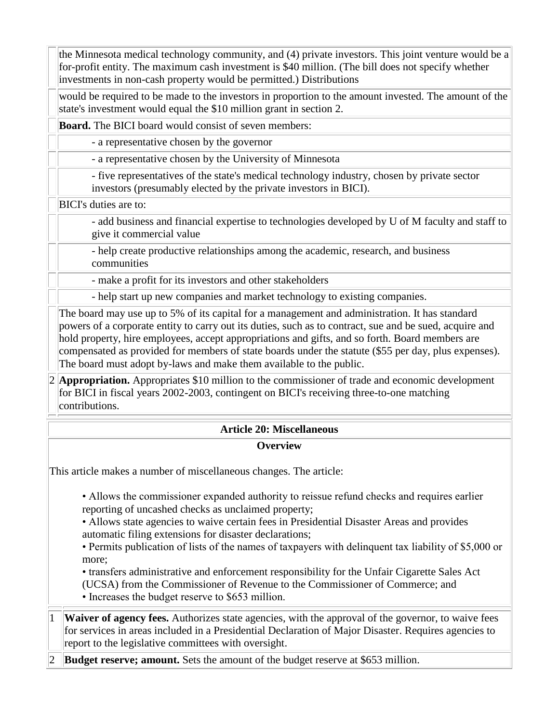the Minnesota medical technology community, and (4) private investors. This joint venture would be a for-profit entity. The maximum cash investment is \$40 million. (The bill does not specify whether investments in non-cash property would be permitted.) Distributions

would be required to be made to the investors in proportion to the amount invested. The amount of the state's investment would equal the \$10 million grant in section 2.

**Board.** The BICI board would consist of seven members:

- a representative chosen by the governor

- a representative chosen by the University of Minnesota

- five representatives of the state's medical technology industry, chosen by private sector investors (presumably elected by the private investors in BICI).

BICI's duties are to:

- add business and financial expertise to technologies developed by U of M faculty and staff to give it commercial value

- help create productive relationships among the academic, research, and business communities

- make a profit for its investors and other stakeholders

- help start up new companies and market technology to existing companies.

The board may use up to 5% of its capital for a management and administration. It has standard powers of a corporate entity to carry out its duties, such as to contract, sue and be sued, acquire and hold property, hire employees, accept appropriations and gifts, and so forth. Board members are compensated as provided for members of state boards under the statute (\$55 per day, plus expenses). The board must adopt by-laws and make them available to the public.

2 **Appropriation.** Appropriates \$10 million to the commissioner of trade and economic development for BICI in fiscal years 2002-2003, contingent on BICI's receiving three-to-one matching contributions.

## **Article 20: Miscellaneous**

**Overview**

This article makes a number of miscellaneous changes. The article:

• Allows the commissioner expanded authority to reissue refund checks and requires earlier reporting of uncashed checks as unclaimed property;

• Allows state agencies to waive certain fees in Presidential Disaster Areas and provides automatic filing extensions for disaster declarations;

• Permits publication of lists of the names of taxpayers with delinquent tax liability of \$5,000 or more;

• transfers administrative and enforcement responsibility for the Unfair Cigarette Sales Act

(UCSA) from the Commissioner of Revenue to the Commissioner of Commerce; and

• Increases the budget reserve to \$653 million.

**Waiver of agency fees.** Authorizes state agencies, with the approval of the governor, to waive fees for services in areas included in a Presidential Declaration of Major Disaster. Requires agencies to report to the legislative committees with oversight.

**Budget reserve; amount.** Sets the amount of the budget reserve at \$653 million.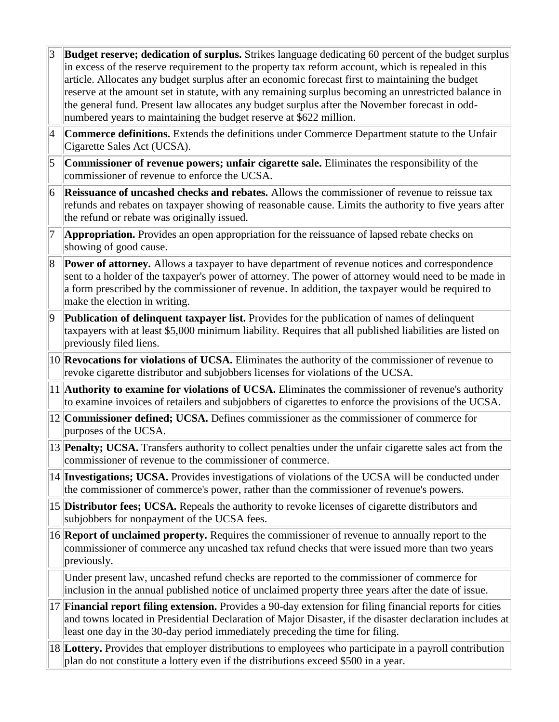- **Budget reserve; dedication of surplus.** Strikes language dedicating 60 percent of the budget surplus in excess of the reserve requirement to the property tax reform account, which is repealed in this article. Allocates any budget surplus after an economic forecast first to maintaining the budget reserve at the amount set in statute, with any remaining surplus becoming an unrestricted balance in the general fund. Present law allocates any budget surplus after the November forecast in oddnumbered years to maintaining the budget reserve at \$622 million.
- 4 **Commerce definitions.** Extends the definitions under Commerce Department statute to the Unfair Cigarette Sales Act (UCSA).
- 5 **Commissioner of revenue powers; unfair cigarette sale.** Eliminates the responsibility of the commissioner of revenue to enforce the UCSA.
- 6 **Reissuance of uncashed checks and rebates.** Allows the commissioner of revenue to reissue tax refunds and rebates on taxpayer showing of reasonable cause. Limits the authority to five years after the refund or rebate was originally issued.
- 7 **Appropriation.** Provides an open appropriation for the reissuance of lapsed rebate checks on showing of good cause.
- 8 **Power of attorney.** Allows a taxpayer to have department of revenue notices and correspondence sent to a holder of the taxpayer's power of attorney. The power of attorney would need to be made in a form prescribed by the commissioner of revenue. In addition, the taxpayer would be required to make the election in writing.
- 9 **Publication of delinquent taxpayer list.** Provides for the publication of names of delinquent taxpayers with at least \$5,000 minimum liability. Requires that all published liabilities are listed on previously filed liens.
- 10 **Revocations for violations of UCSA.** Eliminates the authority of the commissioner of revenue to revoke cigarette distributor and subjobbers licenses for violations of the UCSA.
- 11 **Authority to examine for violations of UCSA.** Eliminates the commissioner of revenue's authority to examine invoices of retailers and subjobbers of cigarettes to enforce the provisions of the UCSA.
- 12 **Commissioner defined; UCSA.** Defines commissioner as the commissioner of commerce for purposes of the UCSA.
- 13 **Penalty; UCSA.** Transfers authority to collect penalties under the unfair cigarette sales act from the commissioner of revenue to the commissioner of commerce.
- 14 **Investigations; UCSA.** Provides investigations of violations of the UCSA will be conducted under the commissioner of commerce's power, rather than the commissioner of revenue's powers.
- 15 **Distributor fees; UCSA.** Repeals the authority to revoke licenses of cigarette distributors and subjobbers for nonpayment of the UCSA fees.
- 16 **Report of unclaimed property.** Requires the commissioner of revenue to annually report to the commissioner of commerce any uncashed tax refund checks that were issued more than two years previously.

Under present law, uncashed refund checks are reported to the commissioner of commerce for inclusion in the annual published notice of unclaimed property three years after the date of issue.

- 17 **Financial report filing extension.** Provides a 90-day extension for filing financial reports for cities and towns located in Presidential Declaration of Major Disaster, if the disaster declaration includes at least one day in the 30-day period immediately preceding the time for filing.
- 18 **Lottery.** Provides that employer distributions to employees who participate in a payroll contribution plan do not constitute a lottery even if the distributions exceed \$500 in a year.